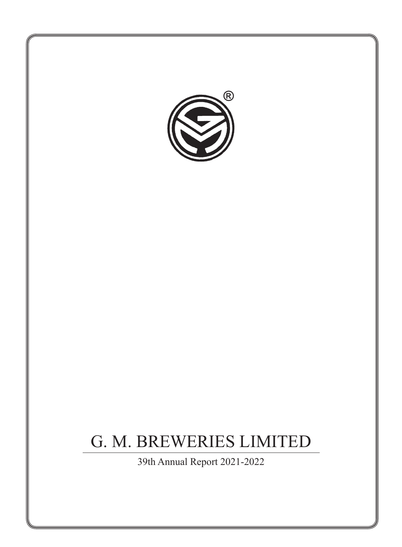

39th Annual Report 2021-2022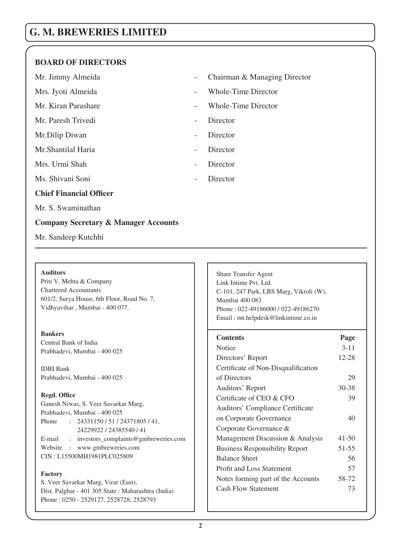# **BOARD OF DIRECTORS**

Mr. Paresh Trivedi - Director

Mr. Dilip Diwan - Director

Mr. Shantilal Haria **- Director** 

Mrs. Urmi Shah - Director

Ms. Shivani Soni - Director

# **Chief Financial Officer**

Mr. S. Swaminathan

# **Company Secretary & Manager Accounts**

Mr. Sandeep Kutchhi

#### **Auditors**

Priti V. Mehta & Company Chartered Accountants 601/2, Surya House, 6th Floor, Road No. 7, Vidhyavihar , Mumbai - 400 077.

#### **Bankers**

Central Bank of India Prabhadevi, Mumbai - 400 025

IDBI Bank Prabhadevi, Mumbai - 400 025

#### **Regd. Office**

Ganesh Niwas, S. Veer Savarkar Marg, Prabhadevi, Mumbai - 400 025 Phone : 24331150 / 51 / 24371805 / 41, 24229922 / 24385540 / 41 E-mail : investors\_complaints@gmbreweries.com Website : www.gmbreweries.com CIN : L15500MH1981PLC025809

#### **Factory**

S. Veer Savarkar Marg, Virar (East), Dist. Palghar - 401 305 State : Maharashtra (India) Phone : 0250 - 2529127, 2528728, 2528793

Mr. Jimmy Almeida **- Chairman & Managing Director** 

- Mrs. Jyoti Almeida Whole-Time Director
- Mr. Kiran Parashare  **Whole-Time Director** 
	-
	-
	-
	-
	-

Share Transfer Agent Link Intime Pvt. Ltd. C-101, 247 Park, LBS Marg, Vikroli (W), Mumbai 400 083 Phone : 022-49186000 / 022-49186270 Email : rnt.helpdesk@linkintime.co.in

| <b>Contents</b>                       | Page      |
|---------------------------------------|-----------|
| Notice                                | $3 - 11$  |
| Directors' Report                     | 12-28     |
| Certificate of Non-Disqualification   |           |
| of Directors                          | 29        |
| Auditors' Report                      | $30 - 38$ |
| Certificate of CEO & CFO              | 39        |
| Auditors' Compliance Certificate      |           |
| on Corporate Governance               | 40        |
| Corporate Governance &                |           |
| Management Discussion & Analysis      | $41 - 50$ |
| <b>Business Responsibility Report</b> | 51-55     |
| <b>Balance Sheet</b>                  | 56        |
| <b>Profit and Loss Statement</b>      | 57        |
| Notes forming part of the Accounts    | 58-72     |
| <b>Cash Flow Statement</b>            | 73        |
|                                       |           |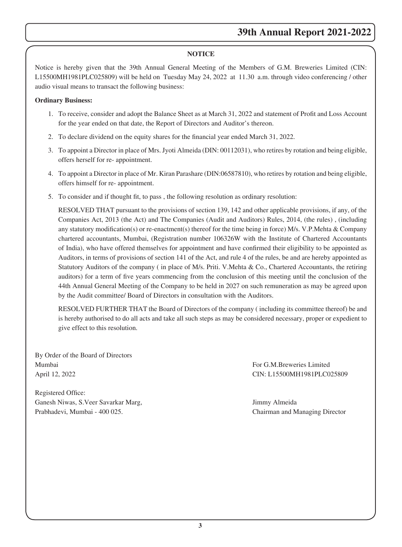### **NOTICE**

Notice is hereby given that the 39th Annual General Meeting of the Members of G.M. Breweries Limited (CIN: L15500MH1981PLC025809) will be held on Tuesday May 24, 2022 at 11.30 a.m. through video conferencing / other audio visual means to transact the following business:

#### **Ordinary Business:**

- 1. To receive, consider and adopt the Balance Sheet as at March 31, 2022 and statement of Profit and Loss Account for the year ended on that date, the Report of Directors and Auditor's thereon.
- 2. To declare dividend on the equity shares for the financial year ended March 31, 2022.
- 3. To appoint a Director in place of Mrs. Jyoti Almeida (DIN: 00112031), who retires by rotation and being eligible, offers herself for re- appointment.
- 4. To appoint a Director in place of Mr. Kiran Parashare (DIN:06587810), who retires by rotation and being eligible, offers himself for re- appointment.
- 5. To consider and if thought fit, to pass , the following resolution as ordinary resolution:

RESOLVED THAT pursuant to the provisions of section 139, 142 and other applicable provisions, if any, of the Companies Act, 2013 (the Act) and The Companies (Audit and Auditors) Rules, 2014, (the rules) , (including any statutory modification(s) or re-enactment(s) thereof for the time being in force) M/s. V.P.Mehta & Company chartered accountants, Mumbai, (Registration number 106326W with the Institute of Chartered Accountants of India), who have offered themselves for appointment and have confirmed their eligibility to be appointed as Auditors, in terms of provisions of section 141 of the Act, and rule 4 of the rules, be and are hereby appointed as Statutory Auditors of the company ( in place of M/s. Priti. V.Mehta & Co., Chartered Accountants, the retiring auditors) for a term of five years commencing from the conclusion of this meeting until the conclusion of the 44th Annual General Meeting of the Company to be held in 2027 on such remuneration as may be agreed upon by the Audit committee/ Board of Directors in consultation with the Auditors.

RESOLVED FURTHER THAT the Board of Directors of the company ( including its committee thereof) be and is hereby authorised to do all acts and take all such steps as may be considered necessary, proper or expedient to give effect to this resolution.

By Order of the Board of Directors Mumbai For G.M.Breweries Limited April 12, 2022 CIN: L15500MH1981PLC025809

Registered Office: Ganesh Niwas, S.Veer Savarkar Marg, Jimmy Almeida Prabhadevi, Mumbai - 400 025. Chairman and Managing Director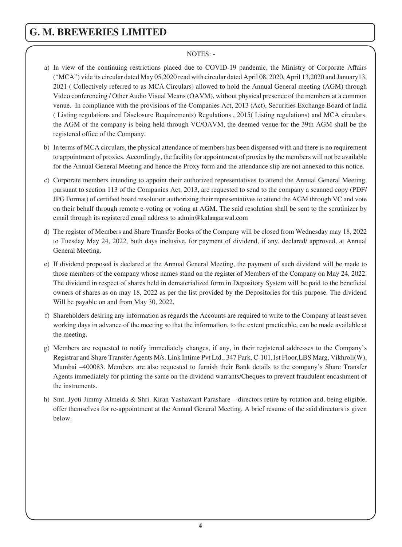#### NOTES: -

- a) In view of the continuing restrictions placed due to COVID-19 pandemic, the Ministry of Corporate Affairs ("MCA") vide its circular dated May 05,2020 read with circular dated April 08, 2020, April 13,2020 and January13, 2021 ( Collectively referred to as MCA Circulars) allowed to hold the Annual General meeting (AGM) through Video conferencing / Other Audio Visual Means (OAVM), without physical presence of the members at a common venue. In compliance with the provisions of the Companies Act, 2013 (Act), Securities Exchange Board of India ( Listing regulations and Disclosure Requirements) Regulations , 2015( Listing regulations) and MCA circulars, the AGM of the company is being held through VC/OAVM, the deemed venue for the 39th AGM shall be the registered office of the Company.
- b) In terms of MCA circulars, the physical attendance of members has been dispensed with and there is no requirement to appointment of proxies. Accordingly, the facility for appointment of proxies by the members will not be available for the Annual General Meeting and hence the Proxy form and the attendance slip are not annexed to this notice.
- c) Corporate members intending to appoint their authorized representatives to attend the Annual General Meeting, pursuant to section 113 of the Companies Act, 2013, are requested to send to the company a scanned copy (PDF/ JPG Format) of certified board resolution authorizing their representatives to attend the AGM through VC and vote on their behalf through remote e-voting or voting at AGM. The said resolution shall be sent to the scrutinizer by email through its registered email address to admin@kalaagarwal.com
- d) The register of Members and Share Transfer Books of the Company will be closed from Wednesday may 18, 2022 to Tuesday May 24, 2022, both days inclusive, for payment of dividend, if any, declared/ approved, at Annual General Meeting.
- e) If dividend proposed is declared at the Annual General Meeting, the payment of such dividend will be made to those members of the company whose names stand on the register of Members of the Company on May 24, 2022. The dividend in respect of shares held in dematerialized form in Depository System will be paid to the beneficial owners of shares as on may 18, 2022 as per the list provided by the Depositories for this purpose. The dividend Will be payable on and from May 30, 2022.
- f) Shareholders desiring any information as regards the Accounts are required to write to the Company at least seven working days in advance of the meeting so that the information, to the extent practicable, can be made available at the meeting.
- g) Members are requested to notify immediately changes, if any, in their registered addresses to the Company's Registrar and Share Transfer Agents M/s. Link Intime Pvt Ltd., 347 Park, C-101,1st Floor,LBS Marg, Vikhroli(W), Mumbai –400083. Members are also requested to furnish their Bank details to the company's Share Transfer Agents immediately for printing the same on the dividend warrants/Cheques to prevent fraudulent encashment of the instruments.
- h) Smt. Jyoti Jimmy Almeida & Shri. Kiran Yashawant Parashare directors retire by rotation and, being eligible, offer themselves for re-appointment at the Annual General Meeting. A brief resume of the said directors is given below.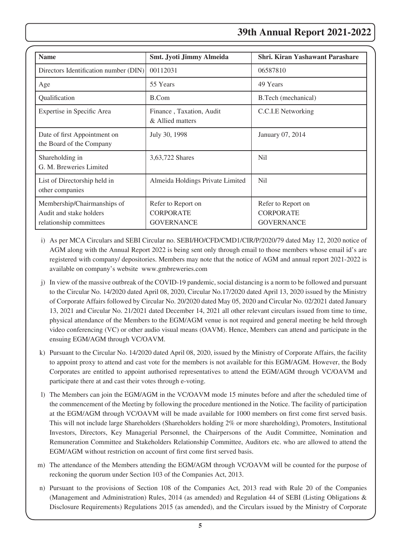# **39th Annual Report 2021-2022**

| <b>Name</b>                                                                       | Smt. Jyoti Jimmy Almeida                                    | Shri. Kiran Yashawant Parashare                             |
|-----------------------------------------------------------------------------------|-------------------------------------------------------------|-------------------------------------------------------------|
| Directors Identification number (DIN)                                             | 00112031                                                    | 06587810                                                    |
| Age                                                                               | 55 Years                                                    | 49 Years                                                    |
| Qualification                                                                     | B.Com                                                       | B. Tech (mechanical)                                        |
| Expertise in Specific Area                                                        | Finance, Taxation, Audit<br>& Allied matters                | C.C.I.E Networking                                          |
| Date of first Appointment on<br>the Board of the Company                          | July 30, 1998                                               | January 07, 2014                                            |
| Shareholding in<br>G. M. Breweries Limited                                        | 3,63,722 Shares                                             | Nil                                                         |
| List of Directorship held in<br>other companies                                   | Almeida Holdings Private Limited                            | Nil                                                         |
| Membership/Chairmanships of<br>Audit and stake holders<br>relationship committees | Refer to Report on<br><b>CORPORATE</b><br><b>GOVERNANCE</b> | Refer to Report on<br><b>CORPORATE</b><br><b>GOVERNANCE</b> |

- i) As per MCA Circulars and SEBI Circular no. SEBI/HO/CFD/CMD1/CIR/P/2020/79 dated May 12, 2020 notice of AGM along with the Annual Report 2022 is being sent only through email to those members whose email id's are registered with company/ depositories. Members may note that the notice of AGM and annual report 2021-2022 is available on company's website www.gmbreweries.com
- j) In view of the massive outbreak of the COVID-19 pandemic, social distancing is a norm to be followed and pursuant to the Circular No. 14/2020 dated April 08, 2020, Circular No.17/2020 dated April 13, 2020 issued by the Ministry of Corporate Affairs followed by Circular No. 20/2020 dated May 05, 2020 and Circular No. 02/2021 dated January 13, 2021 and Circular No. 21/2021 dated December 14, 2021 all other relevant circulars issued from time to time, physical attendance of the Members to the EGM/AGM venue is not required and general meeting be held through video conferencing (VC) or other audio visual means (OAVM). Hence, Members can attend and participate in the ensuing EGM/AGM through VC/OAVM.
- k) Pursuant to the Circular No. 14/2020 dated April 08, 2020, issued by the Ministry of Corporate Affairs, the facility to appoint proxy to attend and cast vote for the members is not available for this EGM/AGM. However, the Body Corporates are entitled to appoint authorised representatives to attend the EGM/AGM through VC/OAVM and participate there at and cast their votes through e-voting.
- l) The Members can join the EGM/AGM in the VC/OAVM mode 15 minutes before and after the scheduled time of the commencement of the Meeting by following the procedure mentioned in the Notice. The facility of participation at the EGM/AGM through VC/OAVM will be made available for 1000 members on first come first served basis. This will not include large Shareholders (Shareholders holding 2% or more shareholding), Promoters, Institutional Investors, Directors, Key Managerial Personnel, the Chairpersons of the Audit Committee, Nomination and Remuneration Committee and Stakeholders Relationship Committee, Auditors etc. who are allowed to attend the EGM/AGM without restriction on account of first come first served basis.
- m) The attendance of the Members attending the EGM/AGM through VC/OAVM will be counted for the purpose of reckoning the quorum under Section 103 of the Companies Act, 2013.
- n) Pursuant to the provisions of Section 108 of the Companies Act, 2013 read with Rule 20 of the Companies (Management and Administration) Rules, 2014 (as amended) and Regulation 44 of SEBI (Listing Obligations & Disclosure Requirements) Regulations 2015 (as amended), and the Circulars issued by the Ministry of Corporate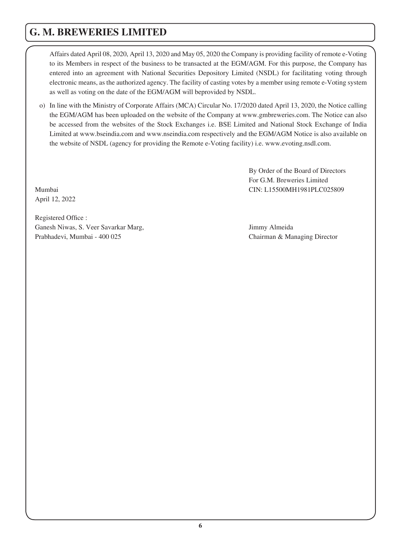Affairs dated April 08, 2020, April 13, 2020 and May 05, 2020 the Company is providing facility of remote e-Voting to its Members in respect of the business to be transacted at the EGM/AGM. For this purpose, the Company has entered into an agreement with National Securities Depository Limited (NSDL) for facilitating voting through electronic means, as the authorized agency. The facility of casting votes by a member using remote e-Voting system as well as voting on the date of the EGM/AGM will beprovided by NSDL.

o) In line with the Ministry of Corporate Affairs (MCA) Circular No. 17/2020 dated April 13, 2020, the Notice calling the EGM/AGM has been uploaded on the website of the Company at www.gmbreweries.com. The Notice can also be accessed from the websites of the Stock Exchanges i.e. BSE Limited and National Stock Exchange of India Limited at www.bseindia.com and www.nseindia.com respectively and the EGM/AGM Notice is also available on the website of NSDL (agency for providing the Remote e-Voting facility) i.e. www.evoting.nsdl.com.

By Order of the Board of Directors For G.M. Breweries Limited Mumbai CIN: L15500MH1981PLC025809

April 12, 2022

Registered Office : Ganesh Niwas, S. Veer Savarkar Marg, Jimmy Almeida Prabhadevi, Mumbai - 400 025 Chairman & Managing Director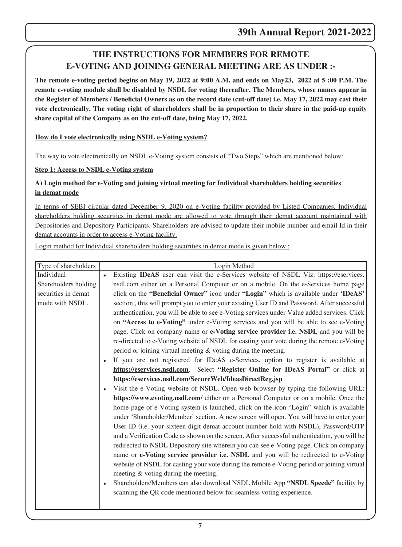# **THE INSTRUCTIONS FOR MEMBERS FOR REMOTE E-VOTING AND JOINING GENERAL MEETING ARE AS UNDER :-**

**The remote e-voting period begins on May 19, 2022 at 9:00 A.M. and ends on May23, 2022 at 5 :00 P.M. The remote e-voting module shall be disabled by NSDL for voting thereafter. The Members, whose names appear in the Register of Members / Beneficial Owners as on the record date (cut-off date) i.e. May 17, 2022 may cast their vote electronically. The voting right of shareholders shall be in proportion to their share in the paid-up equity share capital of the Company as on the cut-off date, being May 17, 2022.**

### **How do I vote electronically using NSDL e-Voting system?**

The way to vote electronically on NSDL e-Voting system consists of "Two Steps" which are mentioned below:

### **Step 1: Access to NSDL e-Voting system**

# **A) Login method for e-Voting and joining virtual meeting for Individual shareholders holding securities in demat mode**

In terms of SEBI circular dated December 9, 2020 on e-Voting facility provided by Listed Companies, Individual shareholders holding securities in demat mode are allowed to vote through their demat account maintained with Depositories and Depository Participants. Shareholders are advised to update their mobile number and email Id in their demat accounts in order to access e-Voting facility.

Login method for Individual shareholders holding securities in demat mode is given below :

| Type of shareholders | Login Method                                                                                 |
|----------------------|----------------------------------------------------------------------------------------------|
| Individual           | Existing IDeAS user can visit the e-Services website of NSDL Viz. https://eservices.         |
| Shareholders holding | nsdl.com either on a Personal Computer or on a mobile. On the e-Services home page           |
| securities in demat  | click on the "Beneficial Owner" icon under "Login" which is available under 'IDeAS'          |
| mode with NSDL.      | section, this will prompt you to enter your existing User ID and Password. After successful  |
|                      | authentication, you will be able to see e-Voting services under Value added services. Click  |
|                      | on "Access to e-Voting" under e-Voting services and you will be able to see e-Voting         |
|                      | page. Click on company name or e-Voting service provider i.e. NSDL and you will be           |
|                      | re-directed to e-Voting website of NSDL for casting your vote during the remote e-Voting     |
|                      | period or joining virtual meeting $&$ voting during the meeting.                             |
|                      | If you are not registered for IDeAS e-Services, option to register is available at           |
|                      | https://eservices.nsdl.com. Select "Register Online for IDeAS Portal" or click at            |
|                      | https://eservices.nsdl.com/SecureWeb/IdeasDirectReg.jsp                                      |
|                      | Visit the e-Voting website of NSDL. Open web browser by typing the following URL:            |
|                      | https://www.evoting.nsdl.com/ either on a Personal Computer or on a mobile. Once the         |
|                      | home page of e-Voting system is launched, click on the icon "Login" which is available       |
|                      | under 'Shareholder/Member' section. A new screen will open. You will have to enter your      |
|                      | User ID (i.e. your sixteen digit demat account number hold with NSDL), Password/OTP          |
|                      | and a Verification Code as shown on the screen. After successful authentication, you will be |
|                      | redirected to NSDL Depository site wherein you can see e-Voting page. Click on company       |
|                      | name or e-Voting service provider i.e. NSDL and you will be redirected to e-Voting           |
|                      | website of NSDL for casting your vote during the remote e-Voting period or joining virtual   |
|                      | meeting & voting during the meeting.                                                         |
|                      | Shareholders/Members can also download NSDL Mobile App "NSDL Speede" facility by             |
|                      | scanning the QR code mentioned below for seamless voting experience.                         |
|                      |                                                                                              |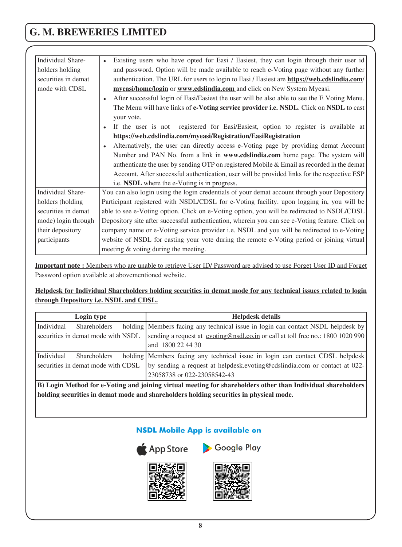| Individual Share-   | Existing users who have opted for Easi / Easiest, they can login through their user id          |
|---------------------|-------------------------------------------------------------------------------------------------|
| holders holding     | and password. Option will be made available to reach e-Voting page without any further          |
| securities in demat | authentication. The URL for users to login to Easi / Easiest are https://web.cdslindia.com/     |
| mode with CDSL      | myeasi/home/login or www.cdslindia.com and click on New System Myeasi.                          |
|                     | After successful login of Easi/Easiest the user will be also able to see the E Voting Menu.     |
|                     | The Menu will have links of e-Voting service provider i.e. NSDL. Click on NSDL to cast          |
|                     | your vote.                                                                                      |
|                     | If the user is not registered for Easi/Easiest, option to register is available at              |
|                     | https://web.cdslindia.com/myeasi/Registration/EasiRegistration                                  |
|                     | Alternatively, the user can directly access e-Voting page by providing demat Account            |
|                     | Number and PAN No. from a link in <b>www.cdslindia.com</b> home page. The system will           |
|                     | authenticate the user by sending OTP on registered Mobile & Email as recorded in the demat      |
|                     | Account. After successful authentication, user will be provided links for the respective ESP    |
|                     | i.e. NSDL where the e-Voting is in progress.                                                    |
| Individual Share-   | You can also login using the login credentials of your demat account through your Depository    |
| holders (holding    | Participant registered with NSDL/CDSL for e-Voting facility. upon logging in, you will be       |
| securities in demat | able to see e-Voting option. Click on e-Voting option, you will be redirected to NSDL/CDSL      |
| mode) login through | Depository site after successful authentication, wherein you can see e-Voting feature. Click on |
| their depository    | company name or e-Voting service provider i.e. NSDL and you will be redirected to e-Voting      |
| participants        | website of NSDL for casting your vote during the remote e-Voting period or joining virtual      |
|                     | meeting & voting during the meeting.                                                            |

**Important note :** Members who are unable to retrieve User ID/ Password are advised to use Forget User ID and Forget Password option available at abovementioned website.

### **Helpdesk for Individual Shareholders holding securities in demat mode for any technical issues related to login through Depository i.e. NSDL and CDSL.**

| Login type                         | <b>Helpdesk details</b>                                                                                  |
|------------------------------------|----------------------------------------------------------------------------------------------------------|
| <b>Shareholders</b><br>Individual  | holding Members facing any technical issue in login can contact NSDL helpdesk by                         |
| securities in demat mode with NSDL | sending a request at evoting@nsdl.co.in or call at toll free no.: 1800 1020 990                          |
|                                    | and 1800 22 44 30                                                                                        |
| Individual<br><b>Shareholders</b>  | holding Members facing any technical issue in login can contact CDSL helpdesk                            |
| securities in demat mode with CDSL | by sending a request at helpdesk.evoting@cdslindia.com or contact at 022-<br>23058738 or 022-23058542-43 |

**B) Login Method for e-Voting and joining virtual meeting for shareholders other than Individual shareholders holding securities in demat mode and shareholders holding securities in physical mode.**

# **NSDL Mobile App is available on**



App Store > Google Play



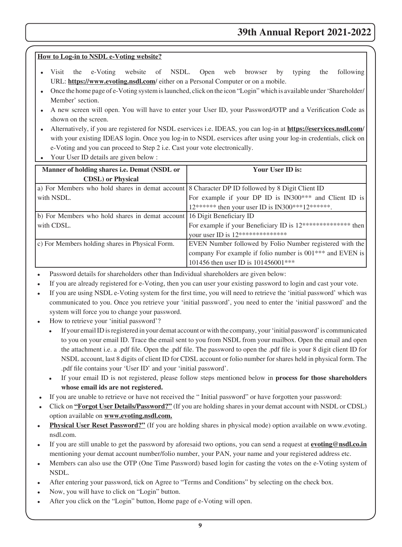# **How to Log-in to NSDL e-Voting website?**

- · Visit the e-Voting website of NSDL. Open web browser by typing the following URL: **https://www.evoting.nsdl.com**/ either on a Personal Computer or on a mobile.
- · Once the home page of e-Voting system is launched, click on the icon "Login" which is available under 'Shareholder/ Member' section.
- · A new screen will open. You will have to enter your User ID, your Password/OTP and a Verification Code as shown on the screen.
- · Alternatively, if you are registered for NSDL eservices i.e. IDEAS, you can log-in at **https://eservices.nsdl.com**/ with your existing IDEAS login. Once you log-in to NSDL eservices after using your log-in credentials, click on e-Voting and you can proceed to Step 2 i.e. Cast your vote electronically.
- Your User ID details are given below :

| Manner of holding shares <i>i.e.</i> Demat (NSDL or                                             | Your User ID is:                                                      |
|-------------------------------------------------------------------------------------------------|-----------------------------------------------------------------------|
| <b>CDSL</b> ) or Physical                                                                       |                                                                       |
| a) For Members who hold shares in demat account 8 Character DP ID followed by 8 Digit Client ID |                                                                       |
| with NSDL.                                                                                      | For example if your DP ID is IN300 <sup>***</sup> and Client ID is    |
|                                                                                                 | 12****** then your user ID is IN300***12******.                       |
| b) For Members who hold shares in demat account 16 Digit Beneficiary ID                         |                                                                       |
| with CDSL.                                                                                      | For example if your Beneficiary ID is 12*************** then          |
|                                                                                                 | your user ID is 12***************                                     |
| c) For Members holding shares in Physical Form.                                                 | EVEN Number followed by Folio Number registered with the              |
|                                                                                                 | company For example if folio number is 001 <sup>***</sup> and EVEN is |
|                                                                                                 | 101456 then user ID is 101456001***                                   |

- Password details for shareholders other than Individual shareholders are given below:
- If you are already registered for e-Voting, then you can user your existing password to login and cast your vote.
- If you are using NSDL e-Voting system for the first time, you will need to retrieve the 'initial password' which was communicated to you. Once you retrieve your 'initial password', you need to enter the 'initial password' and the system will force you to change your password.
- How to retrieve your 'initial password'?
	- · If your email ID is registered in your demat account or with the company, your 'initial password' is communicated to you on your email ID. Trace the email sent to you from NSDL from your mailbox. Open the email and open the attachment i.e. a .pdf file. Open the .pdf file. The password to open the .pdf file is your 8 digit client ID for NSDL account, last 8 digits of client ID for CDSL account or folio number for shares held in physical form. The .pdf file contains your 'User ID' and your 'initial password'.
	- · If your email ID is not registered, please follow steps mentioned below in **process for those shareholders whose email ids are not registered.**
- · If you are unable to retrieve or have not received the " Initial password" or have forgotten your password:
- · Click on **"Forgot User Details/Password?"** (If you are holding shares in your demat account with NSDL or CDSL) option available on **www.evoting.nsdl.com.**
- **Physical User Reset Password?"** (If you are holding shares in physical mode) option available on www.evoting. nsdl.com.
- · If you are still unable to get the password by aforesaid two options, you can send a request at **evoting@nsdl.co.in**  mentioning your demat account number/folio number, your PAN, your name and your registered address etc.
- Members can also use the OTP (One Time Password) based login for casting the votes on the e-Voting system of NSDL.
- · After entering your password, tick on Agree to "Terms and Conditions" by selecting on the check box.
- Now, you will have to click on "Login" button.
- After you click on the "Login" button, Home page of e-Voting will open.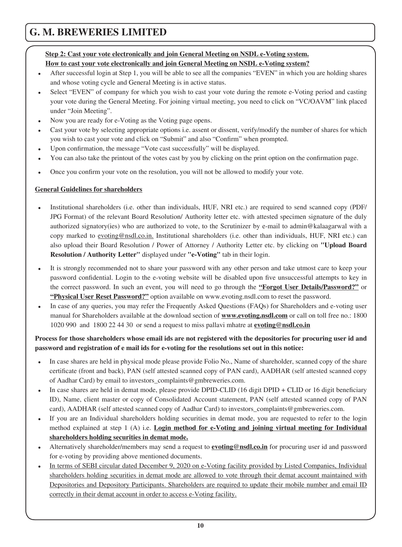# **Step 2: Cast your vote electronically and join General Meeting on NSDL e-Voting system. How to cast your vote electronically and join General Meeting on NSDL e-Voting system?**

- After successful login at Step 1, you will be able to see all the companies "EVEN" in which you are holding shares and whose voting cycle and General Meeting is in active status.
- Select "EVEN" of company for which you wish to cast your vote during the remote e-Voting period and casting your vote during the General Meeting. For joining virtual meeting, you need to click on "VC/OAVM" link placed under "Join Meeting".
- Now you are ready for e-Voting as the Voting page opens.
- Cast your vote by selecting appropriate options i.e. assent or dissent, verify/modify the number of shares for which you wish to cast your vote and click on "Submit" and also "Confirm" when prompted.
- Upon confirmation, the message "Vote cast successfully" will be displayed.
- · You can also take the printout of the votes cast by you by clicking on the print option on the confirmation page.
- · Once you confirm your vote on the resolution, you will not be allowed to modify your vote.

#### **General Guidelines for shareholders**

- Institutional shareholders (i.e. other than individuals, HUF, NRI etc.) are required to send scanned copy (PDF/ JPG Format) of the relevant Board Resolution/ Authority letter etc. with attested specimen signature of the duly authorized signatory(ies) who are authorized to vote, to the Scrutinizer by e-mail to admin@kalaagarwal with a copy marked to evoting@nsdl.co.in. Institutional shareholders (i.e. other than individuals, HUF, NRI etc.) can also upload their Board Resolution / Power of Attorney / Authority Letter etc. by clicking on **"Upload Board Resolution / Authority Letter"** displayed under **"e-Voting"** tab in their login.
- It is strongly recommended not to share your password with any other person and take utmost care to keep your password confidential. Login to the e-voting website will be disabled upon five unsuccessful attempts to key in the correct password. In such an event, you will need to go through the **"Forgot User Details/Password?"** or **"Physical User Reset Password?"** option available on www.evoting.nsdl.com to reset the password.
- In case of any queries, you may refer the Frequently Asked Questions (FAQs) for Shareholders and e-voting user manual for Shareholders available at the download section of **www.evoting.nsdl.com** or call on toll free no.: 1800 1020 990 and 1800 22 44 30 or send a request to miss pallavi mhatre at **evoting@nsdl.co.in**

### **Process for those shareholders whose email ids are not registered with the depositories for procuring user id and password and registration of e mail ids for e-voting for the resolutions set out in this notice:**

- · In case shares are held in physical mode please provide Folio No., Name of shareholder, scanned copy of the share certificate (front and back), PAN (self attested scanned copy of PAN card), AADHAR (self attested scanned copy of Aadhar Card) by email to investors\_complaints@gmbreweries.com.
- In case shares are held in demat mode, please provide DPID-CLID (16 digit DPID + CLID or 16 digit beneficiary ID), Name, client master or copy of Consolidated Account statement, PAN (self attested scanned copy of PAN card), AADHAR (self attested scanned copy of Aadhar Card) to investors\_complaints@gmbreweries.com.
- If you are an Individual shareholders holding securities in demat mode, you are requested to refer to the login method explained at step 1 (A) i.e. **Login method for e-Voting and joining virtual meeting for Individual shareholders holding securities in demat mode.**
- · Alternatively shareholder/members may send a request to **evoting@nsdl.co.in** for procuring user id and password for e-voting by providing above mentioned documents.
- In terms of SEBI circular dated December 9, 2020 on e-Voting facility provided by Listed Companies, Individual shareholders holding securities in demat mode are allowed to vote through their demat account maintained with Depositories and Depository Participants. Shareholders are required to update their mobile number and email ID correctly in their demat account in order to access e-Voting facility.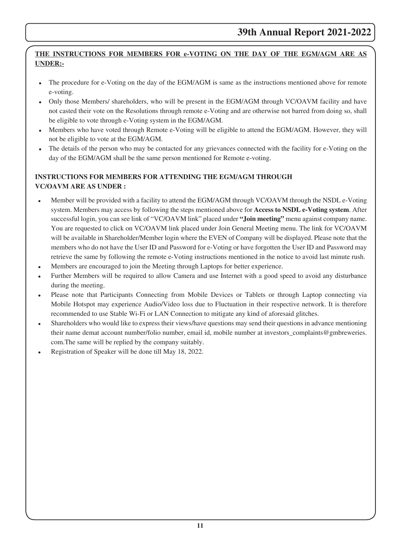# **THE INSTRUCTIONS FOR MEMBERS FOR e-VOTING ON THE DAY OF THE EGM/AGM ARE AS UNDER:-**

- The procedure for e-Voting on the day of the EGM/AGM is same as the instructions mentioned above for remote e-voting.
- · Only those Members/ shareholders, who will be present in the EGM/AGM through VC/OAVM facility and have not casted their vote on the Resolutions through remote e-Voting and are otherwise not barred from doing so, shall be eligible to vote through e-Voting system in the EGM/AGM.
- Members who have voted through Remote e-Voting will be eligible to attend the EGM/AGM. However, they will not be eligible to vote at the EGM/AGM.
- · The details of the person who may be contacted for any grievances connected with the facility for e-Voting on the day of the EGM/AGM shall be the same person mentioned for Remote e-voting.

# **INSTRUCTIONS FOR MEMBERS FOR ATTENDING THE EGM/AGM THROUGH VC/OAVM ARE AS UNDER :**

- Member will be provided with a facility to attend the EGM/AGM through VC/OAVM through the NSDL e-Voting system. Members may access by following the steps mentioned above for **Access to NSDL e-Voting system**. After successful login, you can see link of "VC/OAVM link" placed under **"Join meeting"** menu against company name. You are requested to click on VC/OAVM link placed under Join General Meeting menu. The link for VC/OAVM will be available in Shareholder/Member login where the EVEN of Company will be displayed. Please note that the members who do not have the User ID and Password for e-Voting or have forgotten the User ID and Password may retrieve the same by following the remote e-Voting instructions mentioned in the notice to avoid last minute rush.
- Members are encouraged to join the Meeting through Laptops for better experience.
- Further Members will be required to allow Camera and use Internet with a good speed to avoid any disturbance during the meeting.
- Please note that Participants Connecting from Mobile Devices or Tablets or through Laptop connecting via Mobile Hotspot may experience Audio/Video loss due to Fluctuation in their respective network. It is therefore recommended to use Stable Wi-Fi or LAN Connection to mitigate any kind of aforesaid glitches.
- · Shareholders who would like to express their views/have questions may send their questions in advance mentioning their name demat account number/folio number, email id, mobile number at investors\_complaints@gmbreweries. com.The same will be replied by the company suitably.
- Registration of Speaker will be done till May 18, 2022.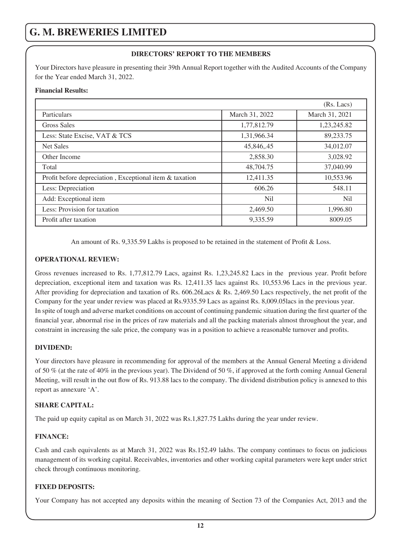#### **DIRECTORS' REPORT TO THE MEMBERS**

Your Directors have pleasure in presenting their 39th Annual Report together with the Audited Accounts of the Company for the Year ended March 31, 2022.

#### **Financial Results:**

|                                                         |                | (Rs. Lacs)     |
|---------------------------------------------------------|----------------|----------------|
| Particulars                                             | March 31, 2022 | March 31, 2021 |
| Gross Sales                                             | 1,77,812.79    | 1,23,245.82    |
| Less: State Excise, VAT & TCS                           | 1,31,966.34    | 89,233.75      |
| <b>Net Sales</b>                                        | 45,846,.45     | 34,012.07      |
| Other Income                                            | 2,858.30       | 3,028.92       |
| Total                                                   | 48,704.75      | 37,040.99      |
| Profit before depreciation, Exceptional item & taxation | 12,411.35      | 10,553.96      |
| Less: Depreciation                                      | 606.26         | 548.11         |
| Add: Exceptional item                                   | Ni1            | Nil            |
| Less: Provision for taxation                            | 2,469.50       | 1,996.80       |
| Profit after taxation                                   | 9,335.59       | 8009.05        |

An amount of Rs. 9,335.59 Lakhs is proposed to be retained in the statement of Profit & Loss.

#### **OPERATIONAL REVIEW:**

Gross revenues increased to Rs. 1,77,812.79 Lacs, against Rs. 1,23,245.82 Lacs in the previous year. Profit before depreciation, exceptional item and taxation was Rs. 12,411.35 lacs against Rs. 10,553.96 Lacs in the previous year. After providing for depreciation and taxation of Rs. 606.26Lacs & Rs. 2,469.50 Lacs respectively, the net profit of the Company for the year under review was placed at Rs.9335.59 Lacs as against Rs. 8,009.05lacs in the previous year. In spite of tough and adverse market conditions on account of continuing pandemic situation during the first quarter of the financial year, abnormal rise in the prices of raw materials and all the packing materials almost throughout the year, and constraint in increasing the sale price, the company was in a position to achieve a reasonable turnover and profits.

#### **DIVIDEND:**

Your directors have pleasure in recommending for approval of the members at the Annual General Meeting a dividend of 50 % (at the rate of 40% in the previous year). The Dividend of 50 %, if approved at the forth coming Annual General Meeting, will result in the out flow of Rs. 913.88 lacs to the company. The dividend distribution policy is annexed to this report as annexure 'A'.

#### **SHARE CAPITAL:**

The paid up equity capital as on March 31, 2022 was Rs.1,827.75 Lakhs during the year under review.

#### **FINANCE:**

Cash and cash equivalents as at March 31, 2022 was Rs.152.49 lakhs. The company continues to focus on judicious management of its working capital. Receivables, inventories and other working capital parameters were kept under strict check through continuous monitoring.

#### **FIXED DEPOSITS:**

Your Company has not accepted any deposits within the meaning of Section 73 of the Companies Act, 2013 and the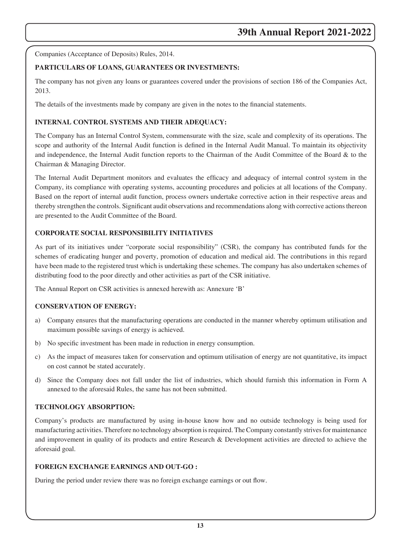Companies (Acceptance of Deposits) Rules, 2014.

### **PARTICULARS OF LOANS, GUARANTEES OR INVESTMENTS:**

The company has not given any loans or guarantees covered under the provisions of section 186 of the Companies Act, 2013.

The details of the investments made by company are given in the notes to the financial statements.

### **INTERNAL CONTROL SYSTEMS AND THEIR ADEQUACY:**

The Company has an Internal Control System, commensurate with the size, scale and complexity of its operations. The scope and authority of the Internal Audit function is defined in the Internal Audit Manual. To maintain its objectivity and independence, the Internal Audit function reports to the Chairman of the Audit Committee of the Board & to the Chairman & Managing Director.

The Internal Audit Department monitors and evaluates the efficacy and adequacy of internal control system in the Company, its compliance with operating systems, accounting procedures and policies at all locations of the Company. Based on the report of internal audit function, process owners undertake corrective action in their respective areas and thereby strengthen the controls. Significant audit observations and recommendations along with corrective actions thereon are presented to the Audit Committee of the Board.

### **CORPORATE SOCIAL RESPONSIBILITY INITIATIVES**

As part of its initiatives under "corporate social responsibility" (CSR), the company has contributed funds for the schemes of eradicating hunger and poverty, promotion of education and medical aid. The contributions in this regard have been made to the registered trust which is undertaking these schemes. The company has also undertaken schemes of distributing food to the poor directly and other activities as part of the CSR initiative.

The Annual Report on CSR activities is annexed herewith as: Annexure 'B'

#### **CONSERVATION OF ENERGY:**

- a) Company ensures that the manufacturing operations are conducted in the manner whereby optimum utilisation and maximum possible savings of energy is achieved.
- b) No specific investment has been made in reduction in energy consumption.
- c) As the impact of measures taken for conservation and optimum utilisation of energy are not quantitative, its impact on cost cannot be stated accurately.
- d) Since the Company does not fall under the list of industries, which should furnish this information in Form A annexed to the aforesaid Rules, the same has not been submitted.

#### **TECHNOLOGY ABSORPTION:**

Company's products are manufactured by using in-house know how and no outside technology is being used for manufacturing activities. Therefore no technology absorption is required. The Company constantly strives for maintenance and improvement in quality of its products and entire Research & Development activities are directed to achieve the aforesaid goal.

#### **FOREIGN EXCHANGE EARNINGS AND OUT-GO :**

During the period under review there was no foreign exchange earnings or out flow.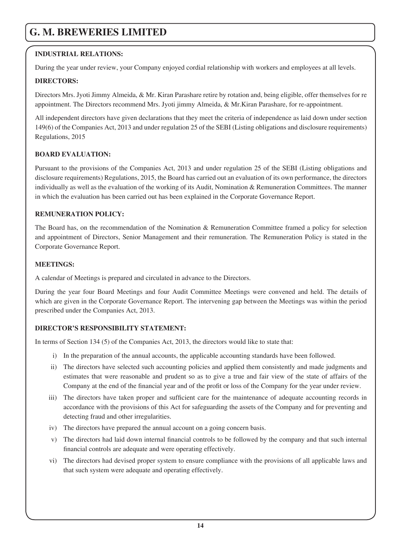### **INDUSTRIAL RELATIONS:**

During the year under review, your Company enjoyed cordial relationship with workers and employees at all levels.

#### **DIRECTORS:**

Directors Mrs. Jyoti Jimmy Almeida, & Mr. Kiran Parashare retire by rotation and, being eligible, offer themselves for re appointment. The Directors recommend Mrs. Jyoti jimmy Almeida, & Mr.Kiran Parashare, for re-appointment.

All independent directors have given declarations that they meet the criteria of independence as laid down under section 149(6) of the Companies Act, 2013 and under regulation 25 of the SEBI (Listing obligations and disclosure requirements) Regulations, 2015

#### **BOARD EVALUATION:**

Pursuant to the provisions of the Companies Act, 2013 and under regulation 25 of the SEBI (Listing obligations and disclosure requirements) Regulations, 2015, the Board has carried out an evaluation of its own performance, the directors individually as well as the evaluation of the working of its Audit, Nomination & Remuneration Committees. The manner in which the evaluation has been carried out has been explained in the Corporate Governance Report.

#### **REMUNERATION POLICY:**

The Board has, on the recommendation of the Nomination & Remuneration Committee framed a policy for selection and appointment of Directors, Senior Management and their remuneration. The Remuneration Policy is stated in the Corporate Governance Report.

#### **MEETINGS:**

A calendar of Meetings is prepared and circulated in advance to the Directors.

During the year four Board Meetings and four Audit Committee Meetings were convened and held. The details of which are given in the Corporate Governance Report. The intervening gap between the Meetings was within the period prescribed under the Companies Act, 2013.

#### **DIRECTOR'S RESPONSIBILITY STATEMENT:**

In terms of Section 134 (5) of the Companies Act, 2013, the directors would like to state that:

- i) In the preparation of the annual accounts, the applicable accounting standards have been followed.
- ii) The directors have selected such accounting policies and applied them consistently and made judgments and estimates that were reasonable and prudent so as to give a true and fair view of the state of affairs of the Company at the end of the financial year and of the profit or loss of the Company for the year under review.
- iii) The directors have taken proper and sufficient care for the maintenance of adequate accounting records in accordance with the provisions of this Act for safeguarding the assets of the Company and for preventing and detecting fraud and other irregularities.
- iv) The directors have prepared the annual account on a going concern basis.
- v) The directors had laid down internal financial controls to be followed by the company and that such internal financial controls are adequate and were operating effectively.
- vi) The directors had devised proper system to ensure compliance with the provisions of all applicable laws and that such system were adequate and operating effectively.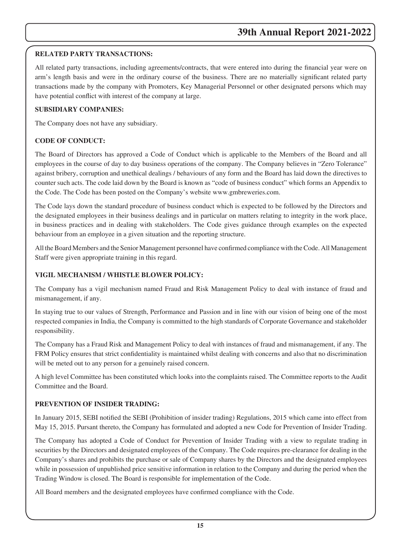### **RELATED PARTY TRANSACTIONS:**

All related party transactions, including agreements/contracts, that were entered into during the financial year were on arm's length basis and were in the ordinary course of the business. There are no materially significant related party transactions made by the company with Promoters, Key Managerial Personnel or other designated persons which may have potential conflict with interest of the company at large.

#### **SUBSIDIARY COMPANIES:**

The Company does not have any subsidiary.

### **CODE OF CONDUCT:**

The Board of Directors has approved a Code of Conduct which is applicable to the Members of the Board and all employees in the course of day to day business operations of the company. The Company believes in "Zero Tolerance" against bribery, corruption and unethical dealings / behaviours of any form and the Board has laid down the directives to counter such acts. The code laid down by the Board is known as "code of business conduct" which forms an Appendix to the Code. The Code has been posted on the Company's website www.gmbreweries.com.

The Code lays down the standard procedure of business conduct which is expected to be followed by the Directors and the designated employees in their business dealings and in particular on matters relating to integrity in the work place, in business practices and in dealing with stakeholders. The Code gives guidance through examples on the expected behaviour from an employee in a given situation and the reporting structure.

All the Board Members and the Senior Management personnel have confirmed compliance with the Code. All Management Staff were given appropriate training in this regard.

#### **VIGIL MECHANISM / WHISTLE BLOWER POLICY:**

The Company has a vigil mechanism named Fraud and Risk Management Policy to deal with instance of fraud and mismanagement, if any.

In staying true to our values of Strength, Performance and Passion and in line with our vision of being one of the most respected companies in India, the Company is committed to the high standards of Corporate Governance and stakeholder responsibility.

The Company has a Fraud Risk and Management Policy to deal with instances of fraud and mismanagement, if any. The FRM Policy ensures that strict confidentiality is maintained whilst dealing with concerns and also that no discrimination will be meted out to any person for a genuinely raised concern.

A high level Committee has been constituted which looks into the complaints raised. The Committee reports to the Audit Committee and the Board.

#### **PREVENTION OF INSIDER TRADING:**

In January 2015, SEBI notified the SEBI (Prohibition of insider trading) Regulations, 2015 which came into effect from May 15, 2015. Pursant thereto, the Company has formulated and adopted a new Code for Prevention of Insider Trading.

The Company has adopted a Code of Conduct for Prevention of Insider Trading with a view to regulate trading in securities by the Directors and designated employees of the Company. The Code requires pre-clearance for dealing in the Company's shares and prohibits the purchase or sale of Company shares by the Directors and the designated employees while in possession of unpublished price sensitive information in relation to the Company and during the period when the Trading Window is closed. The Board is responsible for implementation of the Code.

All Board members and the designated employees have confirmed compliance with the Code.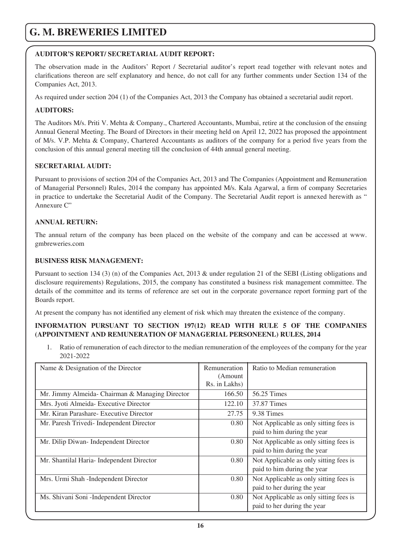#### **AUDITOR'S REPORT/ SECRETARIAL AUDIT REPORT:**

The observation made in the Auditors' Report / Secretarial auditor's report read together with relevant notes and clarifications thereon are self explanatory and hence, do not call for any further comments under Section 134 of the Companies Act, 2013.

As required under section 204 (1) of the Companies Act, 2013 the Company has obtained a secretarial audit report.

### **AUDITORS:**

The Auditors M/s. Priti V. Mehta & Company., Chartered Accountants, Mumbai, retire at the conclusion of the ensuing Annual General Meeting. The Board of Directors in their meeting held on April 12, 2022 has proposed the appointment of M/s. V.P. Mehta & Company, Chartered Accountants as auditors of the company for a period five years from the conclusion of this annual general meeting till the conclusion of 44th annual general meeting.

### **SECRETARIAL AUDIT:**

Pursuant to provisions of section 204 of the Companies Act, 2013 and The Companies (Appointment and Remuneration of Managerial Personnel) Rules, 2014 the company has appointed M/s. Kala Agarwal, a firm of company Secretaries in practice to undertake the Secretarial Audit of the Company. The Secretarial Audit report is annexed herewith as " Annexure C"

#### **ANNUAL RETURN:**

The annual return of the company has been placed on the website of the company and can be accessed at www. gmbreweries.com

#### **BUSINESS RISK MANAGEMENT:**

Pursuant to section 134 (3) (n) of the Companies Act, 2013 & under regulation 21 of the SEBI (Listing obligations and disclosure requirements) Regulations, 2015, the company has constituted a business risk management committee. The details of the committee and its terms of reference are set out in the corporate governance report forming part of the Boards report.

At present the company has not identified any element of risk which may threaten the existence of the company.

#### **INFORMATION PURSUANT TO SECTION 197(12) READ WITH RULE 5 OF THE COMPANIES (APPOINTMENT AND REMUNERATION OF MANAGERIAL PERSONEENL) RULES, 2014**

1. Ratio of remuneration of each director to the median remuneration of the employees of the company for the year 2021-2022

| Name & Designation of the Director              | Remuneration<br>(Amount)<br>Rs. in Lakhs) | Ratio to Median remuneration           |
|-------------------------------------------------|-------------------------------------------|----------------------------------------|
|                                                 | 166.50                                    | 56.25 Times                            |
| Mr. Jimmy Almeida- Chairman & Managing Director |                                           |                                        |
| Mrs. Jyoti Almeida- Executive Director          | 122.10                                    | 37.87 Times                            |
| Mr. Kiran Parashare- Executive Director         | 27.75                                     | 9.38 Times                             |
| Mr. Paresh Trivedi- Independent Director        | 0.80                                      | Not Applicable as only sitting fees is |
|                                                 |                                           | paid to him during the year            |
| Mr. Dilip Diwan-Independent Director            | 0.80                                      | Not Applicable as only sitting fees is |
|                                                 |                                           | paid to him during the year            |
| Mr. Shantilal Haria-Independent Director        | 0.80                                      | Not Applicable as only sitting fees is |
|                                                 |                                           | paid to him during the year            |
| Mrs. Urmi Shah - Independent Director           | 0.80                                      | Not Applicable as only sitting fees is |
|                                                 |                                           | paid to her during the year            |
| Ms. Shivani Soni - Independent Director         | 0.80                                      | Not Applicable as only sitting fees is |
|                                                 |                                           | paid to her during the year            |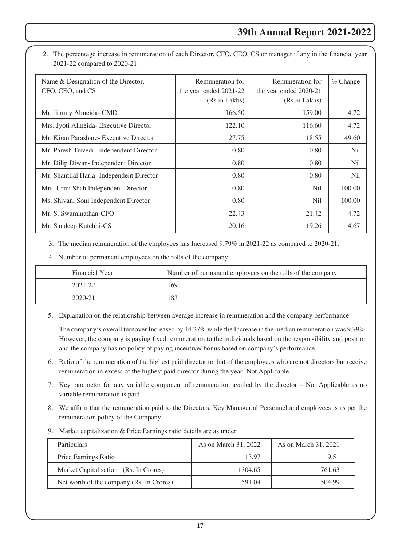2. The percentage increase in remuneration of each Director, CFO, CEO, CS or manager if any in the financial year 2021-22 compared to 2020-21

| Name & Designation of the Director,<br>CFO, CEO, and CS | Remuneration for<br>the year ended 2021-22<br>(Rs.in Lakhs) | Remuneration for<br>the year ended 2020-21<br>(Rs.in Lakhs) | $%$ Change |
|---------------------------------------------------------|-------------------------------------------------------------|-------------------------------------------------------------|------------|
| Mr. Jimmy Almeida- CMD                                  | 166.50                                                      | 159.00                                                      | 4.72       |
| Mrs. Jyoti Almeida- Executive Director                  | 122.10                                                      | 116.60                                                      | 4.72       |
| Mr. Kiran Parashare- Executive Director                 | 27.75                                                       | 18.55                                                       | 49.60      |
| Mr. Paresh Trivedi- Independent Director                | 0.80                                                        | 0.80                                                        | Nil        |
| Mr. Dilip Diwan-Independent Director                    | 0.80                                                        | 0.80                                                        | Nil        |
| Mr. Shantilal Haria-Independent Director                | 0.80                                                        | 0.80                                                        | Nil        |
| Mrs. Urmi Shah Independent Director                     | 0.80                                                        | N <sub>i</sub>                                              | 100.00     |
| Ms. Shivani Soni Independent Director                   | 0.80                                                        | Nil                                                         | 100.00     |
| Mr. S. Swaminathan-CFO                                  | 22.43                                                       | 21.42                                                       | 4.72       |
| Mr. Sandeep Kutchhi-CS                                  | 20.16                                                       | 19.26                                                       | 4.67       |

3. The median remuneration of the employees has Increased 9.79% in 2021-22 as compared to 2020-21.

4. Number of permanent employees on the rolls of the company

| Financial Year | Number of permanent employees on the rolls of the company |
|----------------|-----------------------------------------------------------|
| 2021-22        | 169                                                       |
| 2020-21        | 183                                                       |

5. Explanation on the relationship between average increase in remuneration and the company performance

 The company's overall turnover Increased by 44.27% while the Increase in the median remuneration was 9.79%. However, the company is paying fixed remuneration to the individuals based on the responsibility and position and the company has no policy of paying incentive/ bonus based on company's performance.

- 6. Ratio of the remuneration of the highest paid director to that of the employees who are not directors but receive remuneration in excess of the highest paid director during the year- Not Applicable.
- 7. Key parameter for any variable component of remuneration availed by the director Not Applicable as no variable remuneration is paid.
- 8. We affirm that the remuneration paid to the Directors, Key Managerial Personnel and employees is as per the remuneration policy of the Company.
- 9. Market capitalization & Price Earnings ratio details are as under

| <b>Particulars</b>                       | As on March 31, 2022 | As on March 31, 2021 |
|------------------------------------------|----------------------|----------------------|
| Price Earnings Ratio                     | 13.97                | 9.51                 |
| Market Capitalisation (Rs. In Crores)    | 1304.65              | 761.63               |
| Net worth of the company (Rs. In Crores) | 591.04               | 504.99               |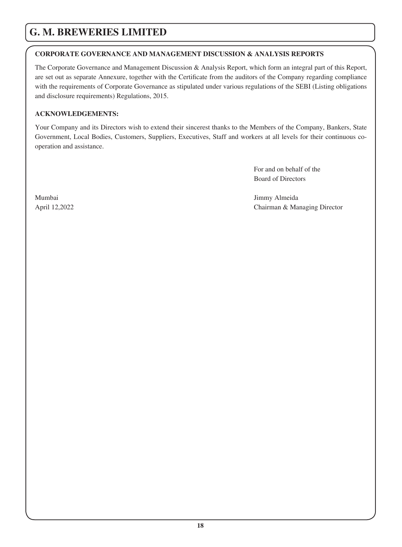# **CORPORATE GOVERNANCE AND MANAGEMENT DISCUSSION & ANALYSIS REPORTS**

The Corporate Governance and Management Discussion & Analysis Report, which form an integral part of this Report, are set out as separate Annexure, together with the Certificate from the auditors of the Company regarding compliance with the requirements of Corporate Governance as stipulated under various regulations of the SEBI (Listing obligations and disclosure requirements) Regulations, 2015.

### **ACKNOWLEDGEMENTS:**

Your Company and its Directors wish to extend their sincerest thanks to the Members of the Company, Bankers, State Government, Local Bodies, Customers, Suppliers, Executives, Staff and workers at all levels for their continuous cooperation and assistance.

> For and on behalf of the Board of Directors

Mumbai Jimmy Almeida April 12,2022 Chairman & Managing Director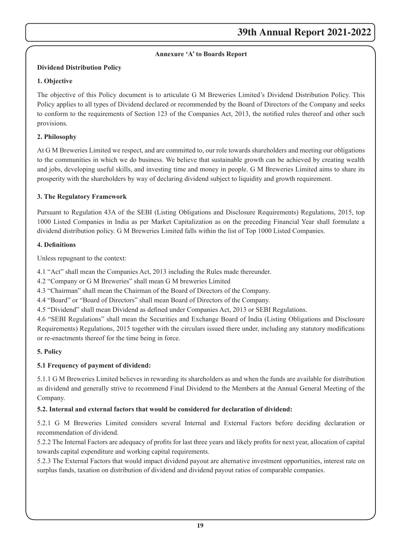### **Annexure 'A' to Boards Report**

#### **Dividend Distribution Policy**

#### **1. Objective**

The objective of this Policy document is to articulate G M Breweries Limited's Dividend Distribution Policy. This Policy applies to all types of Dividend declared or recommended by the Board of Directors of the Company and seeks to conform to the requirements of Section 123 of the Companies Act, 2013, the notified rules thereof and other such provisions.

### **2. Philosophy**

At G M Breweries Limited we respect, and are committed to, our role towards shareholders and meeting our obligations to the communities in which we do business. We believe that sustainable growth can be achieved by creating wealth and jobs, developing useful skills, and investing time and money in people. G M Breweries Limited aims to share its prosperity with the shareholders by way of declaring dividend subject to liquidity and growth requirement.

### **3. The Regulatory Framework**

Pursuant to Regulation 43A of the SEBI (Listing Obligations and Disclosure Requirements) Regulations, 2015, top 1000 Listed Companies in India as per Market Capitalization as on the preceding Financial Year shall formulate a dividend distribution policy. G M Breweries Limited falls within the list of Top 1000 Listed Companies.

#### **4. Definitions**

Unless repugnant to the context:

4.1 "Act" shall mean the Companies Act, 2013 including the Rules made thereunder.

4.2 "Company or G M Breweries" shall mean G M breweries Limited

4.3 "Chairman" shall mean the Chairman of the Board of Directors of the Company.

4.4 "Board" or "Board of Directors" shall mean Board of Directors of the Company.

4.5 "Dividend" shall mean Dividend as defined under Companies Act, 2013 or SEBI Regulations.

4.6 "SEBI Regulations" shall mean the Securities and Exchange Board of India (Listing Obligations and Disclosure Requirements) Regulations, 2015 together with the circulars issued there under, including any statutory modifications or re-enactments thereof for the time being in force.

# **5. Policy**

# **5.1 Frequency of payment of dividend:**

5.1.1 G M Breweries Limited believes in rewarding its shareholders as and when the funds are available for distribution as dividend and generally strive to recommend Final Dividend to the Members at the Annual General Meeting of the Company.

# **5.2. Internal and external factors that would be considered for declaration of dividend:**

5.2.1 G M Breweries Limited considers several Internal and External Factors before deciding declaration or recommendation of dividend.

5.2.2 The Internal Factors are adequacy of profits for last three years and likely profits for next year, allocation of capital towards capital expenditure and working capital requirements.

5.2.3 The External Factors that would impact dividend payout are alternative investment opportunities, interest rate on surplus funds, taxation on distribution of dividend and dividend payout ratios of comparable companies.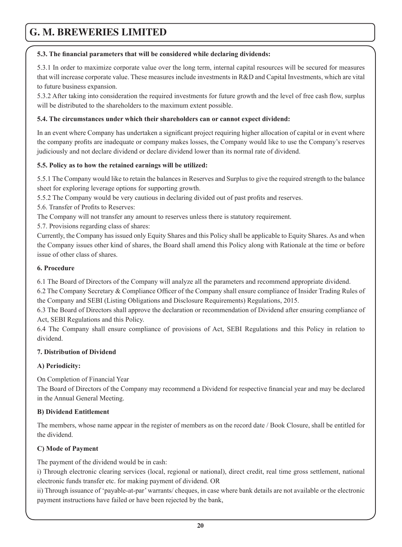#### **5.3. The financial parameters that will be considered while declaring dividends:**

5.3.1 In order to maximize corporate value over the long term, internal capital resources will be secured for measures that will increase corporate value. These measures include investments in R&D and Capital Investments, which are vital to future business expansion.

5.3.2 After taking into consideration the required investments for future growth and the level of free cash flow, surplus will be distributed to the shareholders to the maximum extent possible.

### **5.4. The circumstances under which their shareholders can or cannot expect dividend:**

In an event where Company has undertaken a significant project requiring higher allocation of capital or in event where the company profits are inadequate or company makes losses, the Company would like to use the Company's reserves judiciously and not declare dividend or declare dividend lower than its normal rate of dividend.

### **5.5. Policy as to how the retained earnings will be utilized:**

5.5.1 The Company would like to retain the balances in Reserves and Surplus to give the required strength to the balance sheet for exploring leverage options for supporting growth.

5.5.2 The Company would be very cautious in declaring divided out of past profits and reserves.

5.6. Transfer of Profits to Reserves:

The Company will not transfer any amount to reserves unless there is statutory requirement.

5.7. Provisions regarding class of shares:

Currently, the Company has issued only Equity Shares and this Policy shall be applicable to Equity Shares. As and when the Company issues other kind of shares, the Board shall amend this Policy along with Rationale at the time or before issue of other class of shares.

#### **6. Procedure**

6.1 The Board of Directors of the Company will analyze all the parameters and recommend appropriate dividend.

6.2 The Company Secretary & Compliance Officer of the Company shall ensure compliance of Insider Trading Rules of the Company and SEBI (Listing Obligations and Disclosure Requirements) Regulations, 2015.

6.3 The Board of Directors shall approve the declaration or recommendation of Dividend after ensuring compliance of Act, SEBI Regulations and this Policy.

6.4 The Company shall ensure compliance of provisions of Act, SEBI Regulations and this Policy in relation to dividend.

# **7. Distribution of Dividend**

# **A) Periodicity:**

On Completion of Financial Year

The Board of Directors of the Company may recommend a Dividend for respective financial year and may be declared in the Annual General Meeting.

#### **B) Dividend Entitlement**

The members, whose name appear in the register of members as on the record date / Book Closure, shall be entitled for the dividend.

#### **C) Mode of Payment**

The payment of the dividend would be in cash:

i) Through electronic clearing services (local, regional or national), direct credit, real time gross settlement, national electronic funds transfer etc. for making payment of dividend. OR

ii) Through issuance of 'payable-at-par' warrants/ cheques, in case where bank details are not available or the electronic payment instructions have failed or have been rejected by the bank,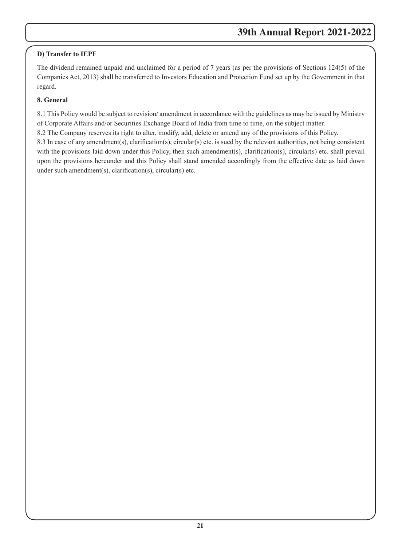# **D) Transfer to IEPF**

The dividend remained unpaid and unclaimed for a period of 7 years (as per the provisions of Sections 124(5) of the Companies Act, 2013) shall be transferred to Investors Education and Protection Fund set up by the Government in that regard.

# **8. General**

8.1 This Policy would be subject to revision/ amendment in accordance with the guidelines as may be issued by Ministry of Corporate Affairs and/or Securities Exchange Board of India from time to time, on the subject matter.

8.2 The Company reserves its right to alter, modify, add, delete or amend any of the provisions of this Policy.

8.3 In case of any amendment(s), clarification(s), circular(s) etc. is sued by the relevant authorities, not being consistent with the provisions laid down under this Policy, then such amendment(s), clarification(s), circular(s) etc. shall prevail upon the provisions hereunder and this Policy shall stand amended accordingly from the effective date as laid down under such amendment(s), clarification(s), circular(s) etc.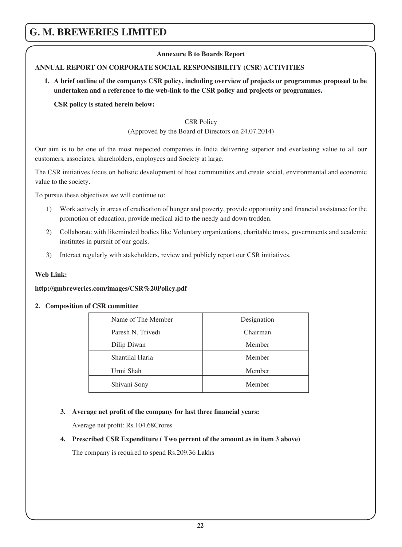#### **Annexure B to Boards Report**

### **ANNUAL REPORT ON CORPORATE SOCIAL RESPONSIBILITY (CSR) ACTIVITIES**

**1. A brief outline of the companys CSR policy, including overview of projects or programmes proposed to be undertaken and a reference to the web-link to the CSR policy and projects or programmes.**

**CSR policy is stated herein below:**

#### CSR Policy

(Approved by the Board of Directors on 24.07.2014)

Our aim is to be one of the most respected companies in India delivering superior and everlasting value to all our customers, associates, shareholders, employees and Society at large.

The CSR initiatives focus on holistic development of host communities and create social, environmental and economic value to the society.

To pursue these objectives we will continue to:

- 1) Work actively in areas of eradication of hunger and poverty, provide opportunity and financial assistance for the promotion of education, provide medical aid to the needy and down trodden.
- 2) Collaborate with likeminded bodies like Voluntary organizations, charitable trusts, governments and academic institutes in pursuit of our goals.
- 3) Interact regularly with stakeholders, review and publicly report our CSR initiatives.

#### **Web Link:**

#### **http://gmbreweries.com/images/CSR%20Policy.pdf**

#### **2. Composition of CSR committee**

| Name of The Member | Designation |
|--------------------|-------------|
| Paresh N. Trivedi  | Chairman    |
| Dilip Diwan        | Member      |
| Shantilal Haria    | Member      |
| Urmi Shah          | Member      |
| Shivani Sony       | Member      |

#### **3. Average net profit of the company for last three financial years:**

Average net profit: Rs.104.68Crores

#### **4. Prescribed CSR Expenditure ( Two percent of the amount as in item 3 above)**

The company is required to spend Rs.209.36 Lakhs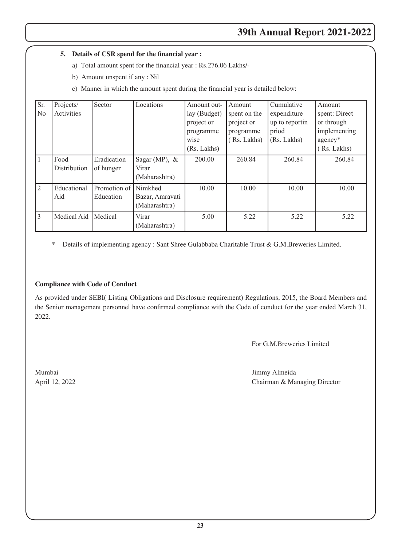#### **5. Details of CSR spend for the financial year :**

- a) Total amount spent for the financial year : Rs.276.06 Lakhs/-
- b) Amount unspent if any : Nil
- c) Manner in which the amount spent during the financial year is detailed below:

| Sr.            | Projects/    | Sector               | Locations        | Amount out-  | Amount       | Cumulative     | Amount        |
|----------------|--------------|----------------------|------------------|--------------|--------------|----------------|---------------|
| N <sub>0</sub> | Activities   |                      |                  | lay (Budget) | spent on the | expenditure    | spent: Direct |
|                |              |                      |                  | project or   | project or   | up to reportin | or through    |
|                |              |                      |                  | programme    | programme    | priod          | implementing  |
|                |              |                      |                  | wise         | Rs. Lakhs)   | (Rs. Lakhs)    | $agency*$     |
|                |              |                      |                  | (Rs. Lakhs)  |              |                | Rs. Lakhs)    |
|                | Food         | Eradication          | Sagar (MP), $\&$ | 200.00       | 260.84       | 260.84         | 260.84        |
|                | Distribution | of hunger            | Virar            |              |              |                |               |
|                |              |                      | (Maharashtra)    |              |              |                |               |
| 2              | Educational  | Promotion of Nimkhed |                  | 10.00        | 10.00        | 10.00          | 10.00         |
|                | Aid          | Education            | Bazar, Amravati  |              |              |                |               |
|                |              |                      | (Maharashtra)    |              |              |                |               |
| 3              | Medical Aid  | Medical              | Virar            | 5.00         | 5.22         | 5.22           | 5.22          |
|                |              |                      | (Maharashtra)    |              |              |                |               |

\* Details of implementing agency : Sant Shree Gulabbaba Charitable Trust & G.M.Breweries Limited.

#### **Compliance with Code of Conduct**

As provided under SEBI( Listing Obligations and Disclosure requirement) Regulations, 2015, the Board Members and the Senior management personnel have confirmed compliance with the Code of conduct for the year ended March 31, 2022.

For G.M.Breweries Limited

Mumbai Jimmy Almeida April 12, 2022 Chairman & Managing Director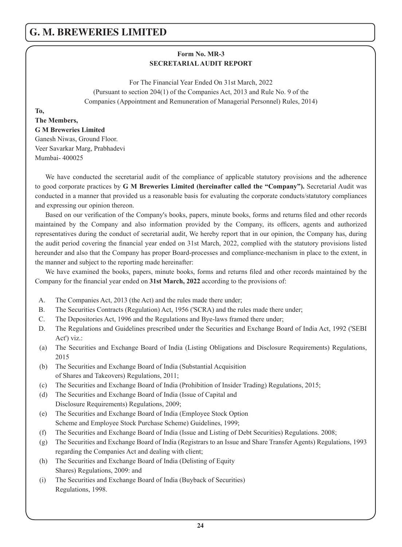# **Form No. MR-3 SECRETARIAL AUDIT REPORT**

For The Financial Year Ended On 31st March, 2022 (Pursuant to section 204(1) of the Companies Act, 2013 and Rule No. 9 of the Companies (Appointment and Remuneration of Managerial Personnel) Rules, 2014)

#### **To,**

#### **The Members,**

#### **G M Breweries Limited**

Ganesh Niwas, Ground Floor. Veer Savarkar Marg, Prabhadevi Mumbai- 400025

We have conducted the secretarial audit of the compliance of applicable statutory provisions and the adherence to good corporate practices by **G M Breweries Limited (hereinafter called the "Company").** Secretarial Audit was conducted in a manner that provided us a reasonable basis for evaluating the corporate conducts/statutory compliances and expressing our opinion thereon.

Based on our verification of the Company's books, papers, minute books, forms and returns filed and other records maintained by the Company and also information provided by the Company, its officers, agents and authorized representatives during the conduct of secretarial audit, We hereby report that in our opinion, the Company has, during the audit period covering the financial year ended on 31st March, 2022, complied with the statutory provisions listed hereunder and also that the Company has proper Board-processes and compliance-mechanism in place to the extent, in the manner and subject to the reporting made hereinafter:

We have examined the books, papers, minute books, forms and returns filed and other records maintained by the Company for the financial year ended on **31st March, 2022** according to the provisions of:

- A. The Companies Act, 2013 (the Act) and the rules made there under;
- B. The Securities Contracts (Regulation) Act, 1956 ('SCRA) and the rules made there under;
- C. The Depositories Act, 1996 and the Regulations and Bye-laws framed there under;
- D. The Regulations and Guidelines prescribed under the Securities and Exchange Board of India Act, 1992 ('SEBI Act') viz.:
- (a) The Securities and Exchange Board of India (Listing Obligations and Disclosure Requirements) Regulations, 2015
- (b) The Securities and Exchange Board of India (Substantial Acquisition of Shares and Takeovers) Regulations, 2011;
- (c) The Securities and Exchange Board of India (Prohibition of Insider Trading) Regulations, 2015;
- (d) The Securities and Exchange Board of India (Issue of Capital and Disclosure Requirements) Regulations, 2009;
- (e) The Securities and Exchange Board of India (Employee Stock Option Scheme and Employee Stock Purchase Scheme) Guidelines, 1999;
- (f) The Securities and Exchange Board of India (Issue and Listing of Debt Securities) Regulations. 2008;
- (g) The Securities and Exchange Board of India (Registrars to an Issue and Share Transfer Agents) Regulations, 1993 regarding the Companies Act and dealing with client;
- (h) The Securities and Exchange Board of India (Delisting of Equity Shares) Regulations, 2009: and
- (i) The Securities and Exchange Board of India (Buyback of Securities) Regulations, 1998.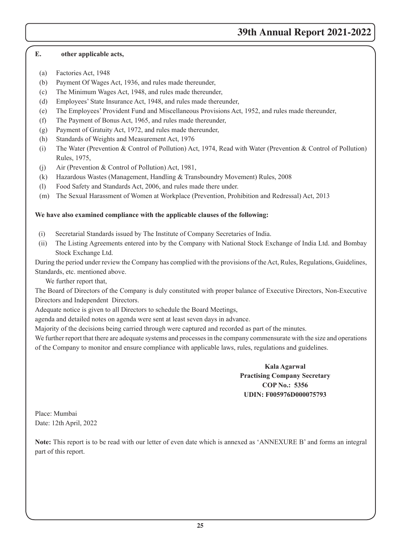# **39th Annual Report 2021-2022**

#### **E. other applicable acts,**

- (a) Factories Act, 1948
- (b) Payment Of Wages Act, 1936, and rules made thereunder,
- (c) The Minimum Wages Act, 1948, and rules made thereunder,
- (d) Employees' State Insurance Act, 1948, and rules made thereunder,
- (e) The Employees' Provident Fund and Miscellaneous Provisions Act, 1952, and rules made thereunder,
- (f) The Payment of Bonus Act, 1965, and rules made thereunder,
- (g) Payment of Gratuity Act, 1972, and rules made thereunder,
- (h) Standards of Weights and Measurement Act, 1976
- (i) The Water (Prevention & Control of Pollution) Act, 1974, Read with Water (Prevention & Control of Pollution) Rules, 1975,
- (j) Air (Prevention & Control of Pollution) Act, 1981,
- (k) Hazardous Wastes (Management, Handling & Transboundry Movement) Rules, 2008
- (l) Food Safety and Standards Act, 2006, and rules made there under.
- (m) The Sexual Harassment of Women at Workplace (Prevention, Prohibition and Redressal) Act, 2013

#### **We have also examined compliance with the applicable clauses of the following:**

- (i) Secretarial Standards issued by The Institute of Company Secretaries of India.
- (ii) The Listing Agreements entered into by the Company with National Stock Exchange of India Ltd. and Bombay Stock Exchange Ltd.

During the period under review the Company has complied with the provisions of the Act, Rules, Regulations, Guidelines, Standards, etc. mentioned above.

We further report that,

The Board of Directors of the Company is duly constituted with proper balance of Executive Directors, Non-Executive Directors and Independent Directors.

Adequate notice is given to all Directors to schedule the Board Meetings,

agenda and detailed notes on agenda were sent at least seven days in advance.

Majority of the decisions being carried through were captured and recorded as part of the minutes.

We further report that there are adequate systems and processes in the company commensurate with the size and operations of the Company to monitor and ensure compliance with applicable laws, rules, regulations and guidelines.

# **Kala Agarwal Practising Company Secretary COP No.: 5356 UDIN: F005976D000075793**

Place: Mumbai Date: 12th April, 2022

**Note:** This report is to be read with our letter of even date which is annexed as 'ANNEXURE B' and forms an integral part of this report.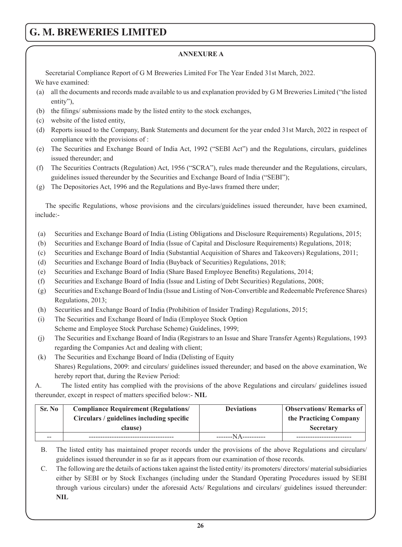#### **ANNEXURE A**

Secretarial Compliance Report of G M Breweries Limited For The Year Ended 31st March, 2022.

We have examined:

- (a) all the documents and records made available to us and explanation provided by G M Breweries Limited ("the listed entity"),
- (b) the filings/ submissions made by the listed entity to the stock exchanges,
- (c) website of the listed entity,
- (d) Reports issued to the Company, Bank Statements and document for the year ended 31st March, 2022 in respect of compliance with the provisions of :
- (e) The Securities and Exchange Board of India Act, 1992 ("SEBI Act") and the Regulations, circulars, guidelines issued thereunder; and
- (f) The Securities Contracts (Regulation) Act, 1956 ("SCRA"), rules made thereunder and the Regulations, circulars, guidelines issued thereunder by the Securities and Exchange Board of India ("SEBI");
- (g) The Depositories Act, 1996 and the Regulations and Bye-laws framed there under;

The specific Regulations, whose provisions and the circulars/guidelines issued thereunder, have been examined, include:-

- (a) Securities and Exchange Board of India (Listing Obligations and Disclosure Requirements) Regulations, 2015;
- (b) Securities and Exchange Board of India (Issue of Capital and Disclosure Requirements) Regulations, 2018;
- (c) Securities and Exchange Board of India (Substantial Acquisition of Shares and Takeovers) Regulations, 2011;
- (d) Securities and Exchange Board of India (Buyback of Securities) Regulations, 2018;
- (e) Securities and Exchange Board of India (Share Based Employee Benefits) Regulations, 2014;
- (f) Securities and Exchange Board of India (Issue and Listing of Debt Securities) Regulations, 2008;
- (g) Securities and Exchange Board of India (Issue and Listing of Non-Convertible and Redeemable Preference Shares) Regulations, 2013;
- (h) Securities and Exchange Board of India (Prohibition of Insider Trading) Regulations, 2015;
- (i) The Securities and Exchange Board of India (Employee Stock Option Scheme and Employee Stock Purchase Scheme) Guidelines, 1999;
- (j) The Securities and Exchange Board of India (Registrars to an Issue and Share Transfer Agents) Regulations, 1993 regarding the Companies Act and dealing with client;
- (k) The Securities and Exchange Board of India (Delisting of Equity Shares) Regulations, 2009: and circulars/ guidelines issued thereunder; and based on the above examination, We hereby report that, during the Review Period:

A. The listed entity has complied with the provisions of the above Regulations and circulars/ guidelines issued thereunder, except in respect of matters specified below:- **NIL**

| Sr. No | <b>Compliance Requirement (Regulations/</b> | <b>Deviations</b>   | <b>Observations/Remarks of</b> |  |
|--------|---------------------------------------------|---------------------|--------------------------------|--|
|        | Circulars / guidelines including specific   |                     | the Practicing Company         |  |
|        | clause)                                     |                     | <b>Secretary</b>               |  |
| $- -$  |                                             | -------NA---------- |                                |  |

B. The listed entity has maintained proper records under the provisions of the above Regulations and circulars/ guidelines issued thereunder in so far as it appears from our examination of those records.

C. The following are the details of actions taken against the listed entity/ its promoters/ directors/ material subsidiaries either by SEBI or by Stock Exchanges (including under the Standard Operating Procedures issued by SEBI through various circulars) under the aforesaid Acts/ Regulations and circulars/ guidelines issued thereunder: **NIL**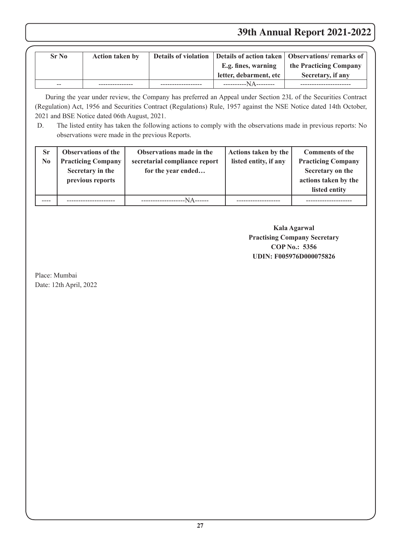# **39th Annual Report 2021-2022**

| Sr No | <b>Action taken by</b> |                        | <b>Details of violation</b> Details of action taken   Observations/ remarks of |
|-------|------------------------|------------------------|--------------------------------------------------------------------------------|
|       |                        | E.g. fines, warning    | the Practicing Company                                                         |
|       |                        | letter, debarment, etc | Secretary, if any                                                              |
| $-$   |                        | -----------NA--------  |                                                                                |

During the year under review, the Company has preferred an Appeal under Section 23L of the Securities Contract (Regulation) Act, 1956 and Securities Contract (Regulations) Rule, 1957 against the NSE Notice dated 14th October, 2021 and BSE Notice dated 06th August, 2021.

D. The listed entity has taken the following actions to comply with the observations made in previous reports: No observations were made in the previous Reports.

| <b>Sr</b><br>No | <b>Observations of the</b><br><b>Practicing Company</b><br>Secretary in the<br>previous reports | Observations made in the<br>secretarial compliance report<br>for the year ended | Actions taken by the<br>listed entity, if any | <b>Comments of the</b><br><b>Practicing Company</b><br>Secretary on the<br>actions taken by the<br>listed entity |
|-----------------|-------------------------------------------------------------------------------------------------|---------------------------------------------------------------------------------|-----------------------------------------------|------------------------------------------------------------------------------------------------------------------|
|                 |                                                                                                 | -----NA------                                                                   |                                               |                                                                                                                  |

**Kala Agarwal Practising Company Secretary COP No.: 5356 UDIN: F005976D000075826**

Place: Mumbai Date: 12th April, 2022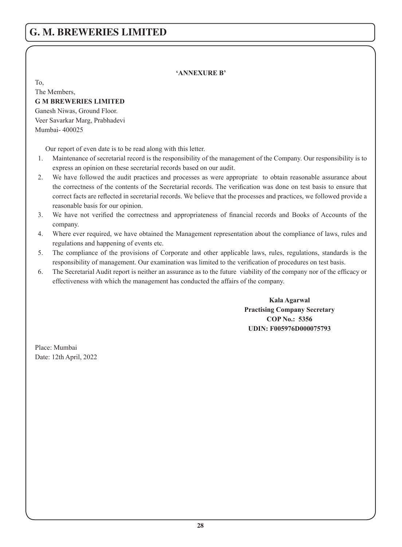#### **'ANNEXURE B'**

To,

The Members, **G M BREWERIES LIMITED** Ganesh Niwas, Ground Floor. Veer Savarkar Marg, Prabhadevi Mumbai- 400025

Our report of even date is to be read along with this letter.

- 1. Maintenance of secretarial record is the responsibility of the management of the Company. Our responsibility is to express an opinion on these secretarial records based on our audit.
- 2. We have followed the audit practices and processes as were appropriate to obtain reasonable assurance about the correctness of the contents of the Secretarial records. The verification was done on test basis to ensure that correct facts are reflected in secretarial records. We believe that the processes and practices, we followed provide a reasonable basis for our opinion.
- 3. We have not verified the correctness and appropriateness of financial records and Books of Accounts of the company.
- 4. Where ever required, we have obtained the Management representation about the compliance of laws, rules and regulations and happening of events etc.
- 5. The compliance of the provisions of Corporate and other applicable laws, rules, regulations, standards is the responsibility of management. Our examination was limited to the verification of procedures on test basis.
- 6. The Secretarial Audit report is neither an assurance as to the future viability of the company nor of the efficacy or effectiveness with which the management has conducted the affairs of the company.

**Kala Agarwal Practising Company Secretary COP No.: 5356 UDIN: F005976D000075793**

Place: Mumbai Date: 12th April, 2022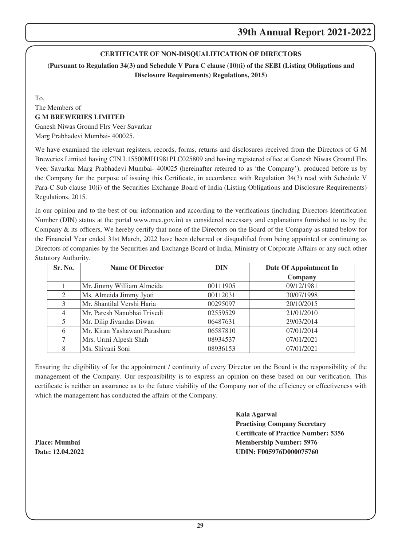#### **CERTIFICATE OF NON-DISQUALIFICATION OF DIRECTORS**

**(Pursuant to Regulation 34(3) and Schedule V Para C clause (10)(i) of the SEBI (Listing Obligations and Disclosure Requirements) Regulations, 2015)**

To,

The Members of

# **G M BREWERIES LIMITED**

Ganesh Niwas Ground Flrs Veer Savarkar Marg Prabhadevi Mumbai- 400025.

We have examined the relevant registers, records, forms, returns and disclosures received from the Directors of G M Breweries Limited having CIN L15500MH1981PLC025809 and having registered office at Ganesh Niwas Ground Flrs Veer Savarkar Marg Prabhadevi Mumbai- 400025 (hereinafter referred to as 'the Company'), produced before us by the Company for the purpose of issuing this Certificate, in accordance with Regulation 34(3) read with Schedule V Para-C Sub clause 10(i) of the Securities Exchange Board of India (Listing Obligations and Disclosure Requirements) Regulations, 2015.

In our opinion and to the best of our information and according to the verifications (including Directors Identification Number (DIN) status at the portal www.mca.gov.in) as considered necessary and explanations furnished to us by the Company & its officers, We hereby certify that none of the Directors on the Board of the Company as stated below for the Financial Year ended 31st March, 2022 have been debarred or disqualified from being appointed or continuing as Directors of companies by the Securities and Exchange Board of India, Ministry of Corporate Affairs or any such other Statutory Authority.

| Sr. No.        | <b>Name Of Director</b>       | <b>DIN</b> | Date Of Appointment In |
|----------------|-------------------------------|------------|------------------------|
|                |                               |            | Company                |
|                | Mr. Jimmy William Almeida     | 00111905   | 09/12/1981             |
| 2              | Ms. Almeida Jimmy Jyoti       | 00112031   | 30/07/1998             |
| 3              | Mr. Shantilal Vershi Haria    | 00295097   | 20/10/2015             |
| $\overline{4}$ | Mr. Paresh Nanubhai Trivedi   | 02559529   | 21/01/2010             |
| 5              | Mr. Dilip Jivandas Diwan      | 06487631   | 29/03/2014             |
| 6              | Mr. Kiran Yashawant Parashare | 06587810   | 07/01/2014             |
|                | Mrs. Urmi Alpesh Shah         | 08934537   | 07/01/2021             |
| 8              | Ms. Shivani Soni              | 08936153   | 07/01/2021             |

Ensuring the eligibility of for the appointment / continuity of every Director on the Board is the responsibility of the management of the Company. Our responsibility is to express an opinion on these based on our verification. This certificate is neither an assurance as to the future viability of the Company nor of the efficiency or effectiveness with which the management has conducted the affairs of the Company.

**Kala Agarwal Practising Company Secretary Certificate of Practice Number: 5356 Place: Mumbai Membership Number: 5976 Date: 12.04.2022 UDIN: F005976D000075760**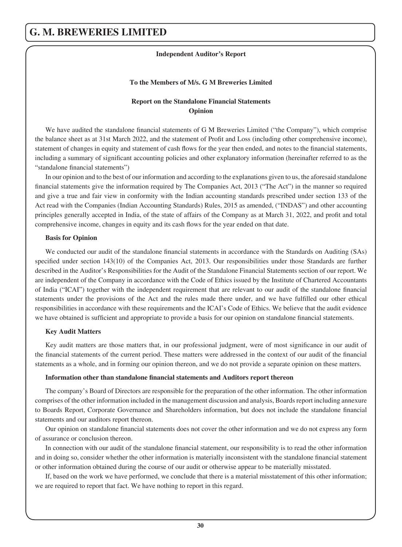#### **Independent Auditor's Report**

#### **To the Members of M/s. G M Breweries Limited**

#### **Report on the Standalone Financial Statements Opinion**

We have audited the standalone financial statements of G M Breweries Limited ("the Company"), which comprise the balance sheet as at 31st March 2022, and the statement of Profit and Loss (including other comprehensive income), statement of changes in equity and statement of cash flows for the year then ended, and notes to the financial statements, including a summary of significant accounting policies and other explanatory information (hereinafter referred to as the "standalone financial statements")

In our opinion and to the best of our information and according to the explanations given to us, the aforesaid standalone financial statements give the information required by The Companies Act, 2013 ("The Act") in the manner so required and give a true and fair view in conformity with the Indian accounting standards prescribed under section 133 of the Act read with the Companies (Indian Accounting Standards) Rules, 2015 as amended, ("INDAS") and other accounting principles generally accepted in India, of the state of affairs of the Company as at March 31, 2022, and profit and total comprehensive income, changes in equity and its cash flows for the year ended on that date.

#### **Basis for Opinion**

We conducted our audit of the standalone financial statements in accordance with the Standards on Auditing (SAs) specified under section 143(10) of the Companies Act, 2013. Our responsibilities under those Standards are further described in the Auditor's Responsibilities for the Audit of the Standalone Financial Statements section of our report. We are independent of the Company in accordance with the Code of Ethics issued by the Institute of Chartered Accountants of India ("ICAI") together with the independent requirement that are relevant to our audit of the standalone financial statements under the provisions of the Act and the rules made there under, and we have fulfilled our other ethical responsibilities in accordance with these requirements and the ICAI's Code of Ethics. We believe that the audit evidence we have obtained is sufficient and appropriate to provide a basis for our opinion on standalone financial statements.

#### **Key Audit Matters**

Key audit matters are those matters that, in our professional judgment, were of most significance in our audit of the financial statements of the current period. These matters were addressed in the context of our audit of the financial statements as a whole, and in forming our opinion thereon, and we do not provide a separate opinion on these matters.

#### **Information other than standalone financial statements and Auditors report thereon**

The company's Board of Directors are responsible for the preparation of the other information. The other information comprises of the other information included in the management discussion and analysis, Boards report including annexure to Boards Report, Corporate Governance and Shareholders information, but does not include the standalone financial statements and our auditors report thereon.

Our opinion on standalone financial statements does not cover the other information and we do not express any form of assurance or conclusion thereon.

In connection with our audit of the standalone financial statement, our responsibility is to read the other information and in doing so, consider whether the other information is materially inconsistent with the standalone financial statement or other information obtained during the course of our audit or otherwise appear to be materially misstated.

If, based on the work we have performed, we conclude that there is a material misstatement of this other information; we are required to report that fact. We have nothing to report in this regard.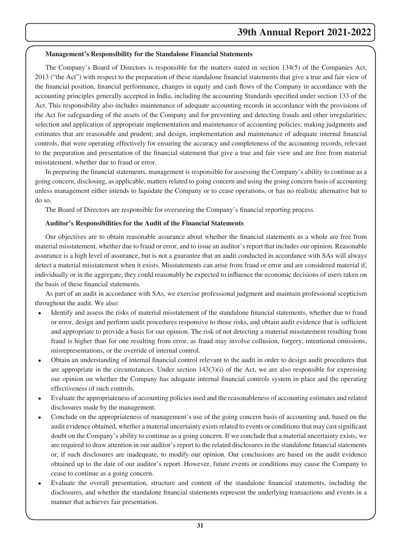#### **Management's Responsibility for the Standalone Financial Statements**

The Company's Board of Directors is responsible for the matters stated in section 134(5) of the Companies Act, 2013 ("the Act") with respect to the preparation of these standalone financial statements that give a true and fair view of the financial position, financial performance, changes in equity and cash flows of the Company in accordance with the accounting principles generally accepted in India, including the accounting Standards specified under section 133 of the Act. This responsibility also includes maintenance of adequate accounting records in accordance with the provisions of the Act for safeguarding of the assets of the Company and for preventing and detecting frauds and other irregularities; selection and application of appropriate implementation and maintenance of accounting policies; making judgments and estimates that are reasonable and prudent; and design, implementation and maintenance of adequate internal financial controls, that were operating effectively for ensuring the accuracy and completeness of the accounting records, relevant to the preparation and presentation of the financial statement that give a true and fair view and are free from material misstatement, whether due to fraud or error.

In preparing the financial statements, management is responsible for assessing the Company's ability to continue as a going concern, disclosing, as applicable, matters related to going concern and using the going concern basis of accounting unless management either intends to liquidate the Company or to cease operations, or has no realistic alternative but to do so.

The Board of Directors are responsible for overseeing the Company's financial reporting process.

#### **Auditor's Responsibilities for the Audit of the Financial Statements**

Our objectives are to obtain reasonable assurance about whether the financial statements as a whole are free from material misstatement, whether due to fraud or error, and to issue an auditor's report that includes our opinion. Reasonable assurance is a high level of assurance, but is not a guarantee that an audit conducted in accordance with SAs will always detect a material misstatement when it exists. Misstatements can arise from fraud or error and are considered material if, individually or in the aggregate, they could reasonably be expected to influence the economic decisions of users taken on the basis of these financial statements.

As part of an audit in accordance with SAs, we exercise professional judgment and maintain professional scepticism throughout the audit. We also:

- Identify and assess the risks of material misstatement of the standalone financial statements, whether due to fraud or error, design and perform audit procedures responsive to those risks, and obtain audit evidence that is sufficient and appropriate to provide a basis for our opinion. The risk of not detecting a material misstatement resulting from fraud is higher than for one resulting from error, as fraud may involve collusion, forgery, intentional omissions, misrepresentations, or the override of internal control.
- · Obtain an understanding of internal financial control relevant to the audit in order to design audit procedures that are appropriate in the circumstances. Under section 143(3)(i) of the Act, we are also responsible for expressing our opinion on whether the Company has adequate internal financial controls system in place and the operating effectiveness of such controls.
- · Evaluate the appropriateness of accounting policies used and the reasonableness of accounting estimates and related disclosures made by the management.
- Conclude on the appropriateness of management's use of the going concern basis of accounting and, based on the audit evidence obtained, whether a material uncertainty exists related to events or conditions that may cast significant doubt on the Company's ability to continue as a going concern. If we conclude that a material uncertainty exists, we are required to draw attention in our auditor's report to the related disclosures in the standalone financial statements or, if such disclosures are inadequate, to modify our opinion. Our conclusions are based on the audit evidence obtained up to the date of our auditor's report. However, future events or conditions may cause the Company to cease to continue as a going concern.
- Evaluate the overall presentation, structure and content of the standalone financial statements, including the disclosures, and whether the standalone financial statements represent the underlying transactions and events in a manner that achieves fair presentation.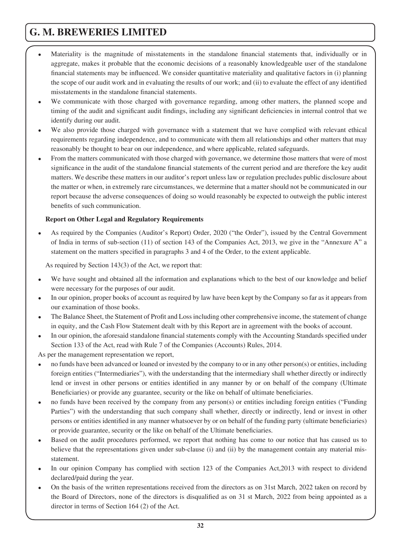- Materiality is the magnitude of misstatements in the standalone financial statements that, individually or in aggregate, makes it probable that the economic decisions of a reasonably knowledgeable user of the standalone financial statements may be influenced. We consider quantitative materiality and qualitative factors in (i) planning the scope of our audit work and in evaluating the results of our work; and (ii) to evaluate the effect of any identified misstatements in the standalone financial statements.
- We communicate with those charged with governance regarding, among other matters, the planned scope and timing of the audit and significant audit findings, including any significant deficiencies in internal control that we identify during our audit.
- We also provide those charged with governance with a statement that we have complied with relevant ethical requirements regarding independence, and to communicate with them all relationships and other matters that may reasonably be thought to bear on our independence, and where applicable, related safeguards.
- From the matters communicated with those charged with governance, we determine those matters that were of most significance in the audit of the standalone financial statements of the current period and are therefore the key audit matters. We describe these matters in our auditor's report unless law or regulation precludes public disclosure about the matter or when, in extremely rare circumstances, we determine that a matter should not be communicated in our report because the adverse consequences of doing so would reasonably be expected to outweigh the public interest benefits of such communication.

#### **Report on Other Legal and Regulatory Requirements**

As required by the Companies (Auditor's Report) Order, 2020 ("the Order"), issued by the Central Government of India in terms of sub-section (11) of section 143 of the Companies Act, 2013, we give in the "Annexure A" a statement on the matters specified in paragraphs 3 and 4 of the Order, to the extent applicable.

As required by Section 143(3) of the Act, we report that:

- We have sought and obtained all the information and explanations which to the best of our knowledge and belief were necessary for the purposes of our audit.
- In our opinion, proper books of account as required by law have been kept by the Company so far as it appears from our examination of those books.
- · The Balance Sheet, the Statement of Profit and Loss including other comprehensive income, the statement of change in equity, and the Cash Flow Statement dealt with by this Report are in agreement with the books of account.
- In our opinion, the aforesaid standalone financial statements comply with the Accounting Standards specified under Section 133 of the Act, read with Rule 7 of the Companies (Accounts) Rules, 2014.

As per the management representation we report,

- no funds have been advanced or loaned or invested by the company to or in any other person(s) or entities, including foreign entities ("Intermediaries"), with the understanding that the intermediary shall whether directly or indirectly lend or invest in other persons or entities identified in any manner by or on behalf of the company (Ultimate Beneficiaries) or provide any guarantee, security or the like on behalf of ultimate beneficiaries.
- no funds have been received by the company from any person(s) or entities including foreign entities ("Funding" Parties") with the understanding that such company shall whether, directly or indirectly, lend or invest in other persons or entities identified in any manner whatsoever by or on behalf of the funding party (ultimate beneficiaries) or provide guarantee, security or the like on behalf of the Ultimate beneficiaries.
- Based on the audit procedures performed, we report that nothing has come to our notice that has caused us to believe that the representations given under sub-clause (i) and (ii) by the management contain any material misstatement.
- In our opinion Company has complied with section 123 of the Companies Act, 2013 with respect to dividend declared/paid during the year.
- On the basis of the written representations received from the directors as on 31st March, 2022 taken on record by the Board of Directors, none of the directors is disqualified as on 31 st March, 2022 from being appointed as a director in terms of Section 164 (2) of the Act.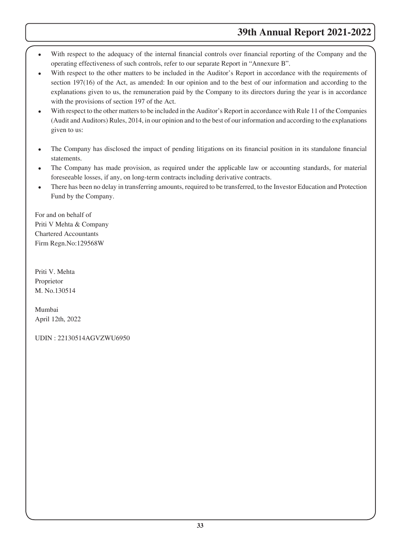# **39th Annual Report 2021-2022**

- With respect to the adequacy of the internal financial controls over financial reporting of the Company and the operating effectiveness of such controls, refer to our separate Report in "Annexure B".
- With respect to the other matters to be included in the Auditor's Report in accordance with the requirements of section 197(16) of the Act, as amended: In our opinion and to the best of our information and according to the explanations given to us, the remuneration paid by the Company to its directors during the year is in accordance with the provisions of section 197 of the Act.
- With respect to the other matters to be included in the Auditor's Report in accordance with Rule 11 of the Companies (Audit and Auditors) Rules, 2014, in our opinion and to the best of our information and according to the explanations given to us:
- · The Company has disclosed the impact of pending litigations on its financial position in its standalone financial statements.
- The Company has made provision, as required under the applicable law or accounting standards, for material foreseeable losses, if any, on long-term contracts including derivative contracts.
- There has been no delay in transferring amounts, required to be transferred, to the Investor Education and Protection Fund by the Company.

For and on behalf of Priti V Mehta & Company Chartered Accountants Firm Regn.No:129568W

Priti V. Mehta Proprietor M. No.130514

Mumbai April 12th, 2022

UDIN : 22130514AGVZWU6950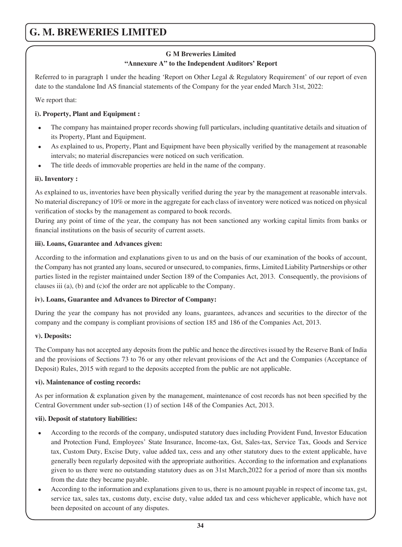# **G M Breweries Limited "Annexure A" to the Independent Auditors' Report**

Referred to in paragraph 1 under the heading 'Report on Other Legal & Regulatory Requirement' of our report of even date to the standalone Ind AS financial statements of the Company for the year ended March 31st, 2022:

We report that:

### **i). Property, Plant and Equipment :**

- · The company has maintained proper records showing full particulars, including quantitative details and situation of its Property, Plant and Equipment.
- As explained to us, Property, Plant and Equipment have been physically verified by the management at reasonable intervals; no material discrepancies were noticed on such verification.
- The title deeds of immovable properties are held in the name of the company.

# **ii). Inventory :**

As explained to us, inventories have been physically verified during the year by the management at reasonable intervals. No material discrepancy of 10% or more in the aggregate for each class of inventory were noticed was noticed on physical verification of stocks by the management as compared to book records.

During any point of time of the year, the company has not been sanctioned any working capital limits from banks or financial institutions on the basis of security of current assets.

### **iii). Loans, Guarantee and Advances given:**

According to the information and explanations given to us and on the basis of our examination of the books of account, the Company has not granted any loans, secured or unsecured, to companies, firms, Limited Liability Partnerships or other parties listed in the register maintained under Section 189 of the Companies Act, 2013. Consequently, the provisions of clauses iii (a), (b) and (c)of the order are not applicable to the Company.

#### **iv). Loans, Guarantee and Advances to Director of Company:**

During the year the company has not provided any loans, guarantees, advances and securities to the director of the company and the company is compliant provisions of section 185 and 186 of the Companies Act, 2013.

#### **v). Deposits:**

The Company has not accepted any deposits from the public and hence the directives issued by the Reserve Bank of India and the provisions of Sections 73 to 76 or any other relevant provisions of the Act and the Companies (Acceptance of Deposit) Rules, 2015 with regard to the deposits accepted from the public are not applicable.

#### **vi). Maintenance of costing records:**

As per information & explanation given by the management, maintenance of cost records has not been specified by the Central Government under sub-section (1) of section 148 of the Companies Act, 2013.

#### **vii). Deposit of statutory liabilities:**

- · According to the records of the company, undisputed statutory dues including Provident Fund, Investor Education and Protection Fund, Employees' State Insurance, Income-tax, Gst, Sales-tax, Service Tax, Goods and Service tax, Custom Duty, Excise Duty, value added tax, cess and any other statutory dues to the extent applicable, have generally been regularly deposited with the appropriate authorities. According to the information and explanations given to us there were no outstanding statutory dues as on 31st March,2022 for a period of more than six months from the date they became payable.
- · According to the information and explanations given to us, there is no amount payable in respect of income tax, gst, service tax, sales tax, customs duty, excise duty, value added tax and cess whichever applicable, which have not been deposited on account of any disputes.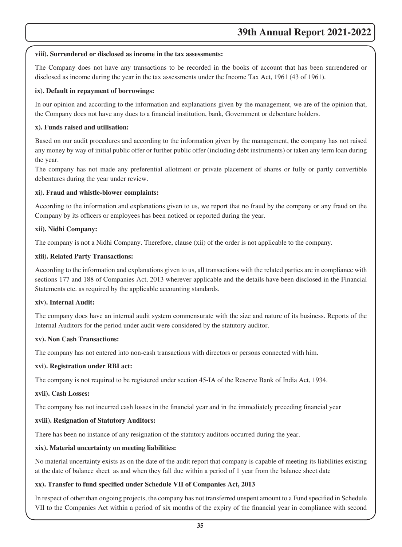#### **viii). Surrendered or disclosed as income in the tax assessments:**

The Company does not have any transactions to be recorded in the books of account that has been surrendered or disclosed as income during the year in the tax assessments under the Income Tax Act, 1961 (43 of 1961).

#### **ix). Default in repayment of borrowings:**

In our opinion and according to the information and explanations given by the management, we are of the opinion that, the Company does not have any dues to a financial institution, bank, Government or debenture holders.

#### **x). Funds raised and utilisation:**

Based on our audit procedures and according to the information given by the management, the company has not raised any money by way of initial public offer or further public offer (including debt instruments) or taken any term loan during the year.

The company has not made any preferential allotment or private placement of shares or fully or partly convertible debentures during the year under review.

#### **xi). Fraud and whistle-blower complaints:**

According to the information and explanations given to us, we report that no fraud by the company or any fraud on the Company by its officers or employees has been noticed or reported during the year.

#### **xii). Nidhi Company:**

The company is not a Nidhi Company. Therefore, clause (xii) of the order is not applicable to the company.

#### **xiii). Related Party Transactions:**

According to the information and explanations given to us, all transactions with the related parties are in compliance with sections 177 and 188 of Companies Act, 2013 wherever applicable and the details have been disclosed in the Financial Statements etc. as required by the applicable accounting standards.

#### **xiv). Internal Audit:**

The company does have an internal audit system commensurate with the size and nature of its business. Reports of the Internal Auditors for the period under audit were considered by the statutory auditor.

#### **xv). Non Cash Transactions:**

The company has not entered into non-cash transactions with directors or persons connected with him.

#### **xvi). Registration under RBI act:**

The company is not required to be registered under section 45-IA of the Reserve Bank of India Act, 1934.

#### **xvii). Cash Losses:**

The company has not incurred cash losses in the financial year and in the immediately preceding financial year

#### **xviii). Resignation of Statutory Auditors:**

There has been no instance of any resignation of the statutory auditors occurred during the year.

#### **xix). Material uncertainty on meeting liabilities:**

No material uncertainty exists as on the date of the audit report that company is capable of meeting its liabilities existing at the date of balance sheet as and when they fall due within a period of 1 year from the balance sheet date

#### **xx). Transfer to fund specified under Schedule VII of Companies Act, 2013**

In respect of other than ongoing projects, the company has not transferred unspent amount to a Fund specified in Schedule VII to the Companies Act within a period of six months of the expiry of the financial year in compliance with second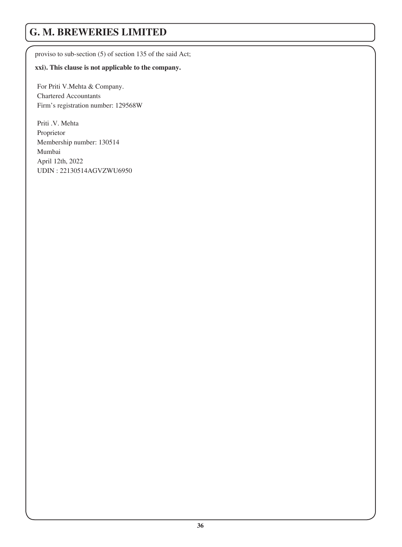proviso to sub-section (5) of section 135 of the said Act;

#### **xxi). This clause is not applicable to the company.**

For Priti V.Mehta & Company. Chartered Accountants Firm's registration number: 129568W

Priti .V. Mehta Proprietor Membership number: 130514 Mumbai April 12th, 2022 UDIN : 22130514AGVZWU6950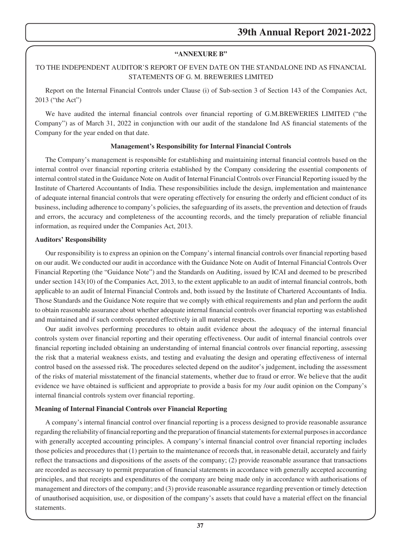### **"ANNEXURE B"**

# TO THE INDEPENDENT AUDITOR'S REPORT OF EVEN DATE ON THE STANDALONE IND AS FINANCIAL STATEMENTS OF G. M. BREWERIES LIMITED

Report on the Internal Financial Controls under Clause (i) of Sub-section 3 of Section 143 of the Companies Act, 2013 ("the Act")

We have audited the internal financial controls over financial reporting of G.M.BREWERIES LIMITED ("the Company") as of March 31, 2022 in conjunction with our audit of the standalone Ind AS financial statements of the Company for the year ended on that date.

## **Management's Responsibility for Internal Financial Controls**

The Company's management is responsible for establishing and maintaining internal financial controls based on the internal control over financial reporting criteria established by the Company considering the essential components of internal control stated in the Guidance Note on Audit of Internal Financial Controls over Financial Reporting issued by the Institute of Chartered Accountants of India. These responsibilities include the design, implementation and maintenance of adequate internal financial controls that were operating effectively for ensuring the orderly and efficient conduct of its business, including adherence to company's policies, the safeguarding of its assets, the prevention and detection of frauds and errors, the accuracy and completeness of the accounting records, and the timely preparation of reliable financial information, as required under the Companies Act, 2013.

### **Auditors' Responsibility**

Our responsibility is to express an opinion on the Company's internal financial controls over financial reporting based on our audit. We conducted our audit in accordance with the Guidance Note on Audit of Internal Financial Controls Over Financial Reporting (the "Guidance Note") and the Standards on Auditing, issued by ICAI and deemed to be prescribed under section 143(10) of the Companies Act, 2013, to the extent applicable to an audit of internal financial controls, both applicable to an audit of Internal Financial Controls and, both issued by the Institute of Chartered Accountants of India. Those Standards and the Guidance Note require that we comply with ethical requirements and plan and perform the audit to obtain reasonable assurance about whether adequate internal financial controls over financial reporting was established and maintained and if such controls operated effectively in all material respects.

Our audit involves performing procedures to obtain audit evidence about the adequacy of the internal financial controls system over financial reporting and their operating effectiveness. Our audit of internal financial controls over financial reporting included obtaining an understanding of internal financial controls over financial reporting, assessing the risk that a material weakness exists, and testing and evaluating the design and operating effectiveness of internal control based on the assessed risk. The procedures selected depend on the auditor's judgement, including the assessment of the risks of material misstatement of the financial statements, whether due to fraud or error. We believe that the audit evidence we have obtained is sufficient and appropriate to provide a basis for my /our audit opinion on the Company's internal financial controls system over financial reporting.

## **Meaning of Internal Financial Controls over Financial Reporting**

A company's internal financial control over financial reporting is a process designed to provide reasonable assurance regarding the reliability of financial reporting and the preparation of financial statements for external purposes in accordance with generally accepted accounting principles. A company's internal financial control over financial reporting includes those policies and procedures that (1) pertain to the maintenance of records that, in reasonable detail, accurately and fairly reflect the transactions and dispositions of the assets of the company; (2) provide reasonable assurance that transactions are recorded as necessary to permit preparation of financial statements in accordance with generally accepted accounting principles, and that receipts and expenditures of the company are being made only in accordance with authorisations of management and directors of the company; and (3) provide reasonable assurance regarding prevention or timely detection of unauthorised acquisition, use, or disposition of the company's assets that could have a material effect on the financial statements.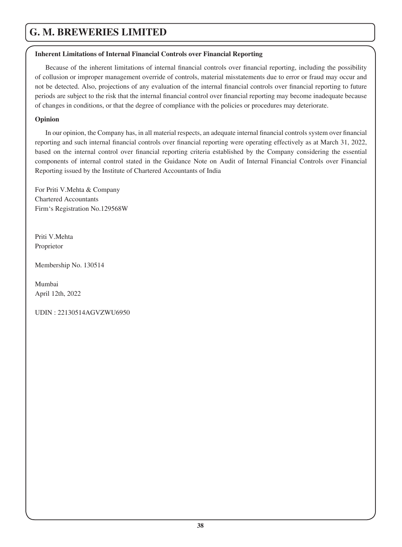## **Inherent Limitations of Internal Financial Controls over Financial Reporting**

Because of the inherent limitations of internal financial controls over financial reporting, including the possibility of collusion or improper management override of controls, material misstatements due to error or fraud may occur and not be detected. Also, projections of any evaluation of the internal financial controls over financial reporting to future periods are subject to the risk that the internal financial control over financial reporting may become inadequate because of changes in conditions, or that the degree of compliance with the policies or procedures may deteriorate.

# **Opinion**

In our opinion, the Company has, in all material respects, an adequate internal financial controls system over financial reporting and such internal financial controls over financial reporting were operating effectively as at March 31, 2022, based on the internal control over financial reporting criteria established by the Company considering the essential components of internal control stated in the Guidance Note on Audit of Internal Financial Controls over Financial Reporting issued by the Institute of Chartered Accountants of India

For Priti V.Mehta & Company Chartered Accountants Firm's Registration No.129568W

Priti V.Mehta Proprietor

Membership No. 130514

Mumbai April 12th, 2022

UDIN : 22130514AGVZWU6950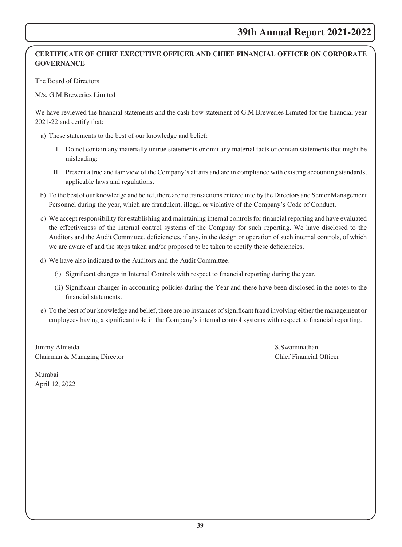# **CERTIFICATE OF CHIEF EXECUTIVE OFFICER AND CHIEF FINANCIAL OFFICER ON CORPORATE GOVERNANCE**

The Board of Directors

M/s. G.M.Breweries Limited

We have reviewed the financial statements and the cash flow statement of G.M.Breweries Limited for the financial year 2021-22 and certify that:

- a) These statements to the best of our knowledge and belief:
	- I. Do not contain any materially untrue statements or omit any material facts or contain statements that might be misleading:
	- II. Present a true and fair view of the Company's affairs and are in compliance with existing accounting standards, applicable laws and regulations.
- b) To the best of our knowledge and belief, there are no transactions entered into by the Directors and Senior Management Personnel during the year, which are fraudulent, illegal or violative of the Company's Code of Conduct.
- c) We accept responsibility for establishing and maintaining internal controls for financial reporting and have evaluated the effectiveness of the internal control systems of the Company for such reporting. We have disclosed to the Auditors and the Audit Committee, deficiencies, if any, in the design or operation of such internal controls, of which we are aware of and the steps taken and/or proposed to be taken to rectify these deficiencies.
- d) We have also indicated to the Auditors and the Audit Committee.
	- (i) Significant changes in Internal Controls with respect to financial reporting during the year.
	- (ii) Significant changes in accounting policies during the Year and these have been disclosed in the notes to the financial statements.
- e) To the best of our knowledge and belief, there are no instances of significant fraud involving either the management or employees having a significant role in the Company's internal control systems with respect to financial reporting.

Jimmy Almeida S.Swaminathan Chairman & Managing Director Chief Financial Officer

Mumbai April 12, 2022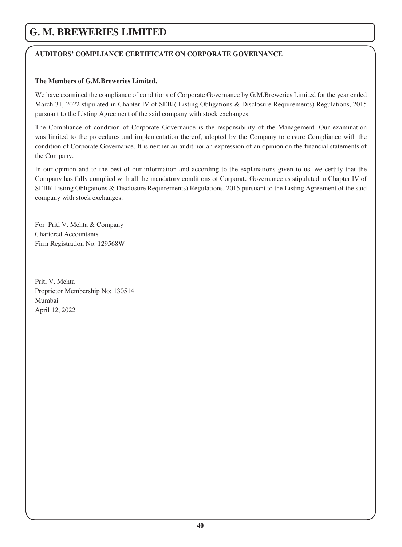# **AUDITORS' COMPLIANCE CERTIFICATE ON CORPORATE GOVERNANCE**

### **The Members of G.M.Breweries Limited.**

We have examined the compliance of conditions of Corporate Governance by G.M.Breweries Limited for the year ended March 31, 2022 stipulated in Chapter IV of SEBI( Listing Obligations & Disclosure Requirements) Regulations, 2015 pursuant to the Listing Agreement of the said company with stock exchanges.

The Compliance of condition of Corporate Governance is the responsibility of the Management. Our examination was limited to the procedures and implementation thereof, adopted by the Company to ensure Compliance with the condition of Corporate Governance. It is neither an audit nor an expression of an opinion on the financial statements of the Company.

In our opinion and to the best of our information and according to the explanations given to us, we certify that the Company has fully complied with all the mandatory conditions of Corporate Governance as stipulated in Chapter IV of SEBI( Listing Obligations & Disclosure Requirements) Regulations, 2015 pursuant to the Listing Agreement of the said company with stock exchanges.

For Priti V. Mehta & Company Chartered Accountants Firm Registration No. 129568W

Priti V. Mehta Proprietor Membership No: 130514 Mumbai April 12, 2022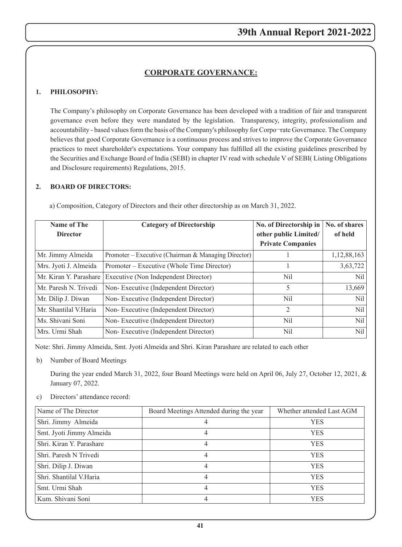# **CORPORATE GOVERNANCE:**

### **1. PHILOSOPHY:**

The Company's philosophy on Corporate Governance has been developed with a tradition of fair and transparent governance even before they were mandated by the legislation. Transparency, integrity, professionalism and accountability - based values form the basis of the Company's philosophy for Corpo¬rate Governance. The Company believes that good Corporate Governance is a continuous process and strives to improve the Corporate Governance practices to meet shareholder's expectations. Your company has fulfilled all the existing guidelines prescribed by the Securities and Exchange Board of India (SEBI) in chapter IV read with schedule V of SEBI( Listing Obligations and Disclosure requirements) Regulations, 2015.

### **2. BOARD OF DIRECTORS:**

| <b>Name of The</b>     | <b>Category of Directorship</b>                     | No. of Directorship in   | No. of shares   |
|------------------------|-----------------------------------------------------|--------------------------|-----------------|
| <b>Director</b>        |                                                     | other public Limited/    | of held         |
|                        |                                                     | <b>Private Companies</b> |                 |
| Mr. Jimmy Almeida      | Promoter – Executive (Chairman & Managing Director) |                          | 1,12,88,163     |
| Mrs. Jyoti J. Almeida  | Promoter – Executive (Whole Time Director)          |                          | 3,63,722        |
| Mr. Kiran Y. Parashare | Executive (Non Independent Director)                | Nil                      | Nil             |
| Mr. Paresh N. Trivedi  | Non-Executive (Independent Director)                | 5                        | 13,669          |
| Mr. Dilip J. Diwan     | Non-Executive (Independent Director)                | Nil                      | N <sub>il</sub> |
| Mr. Shantilal V.Haria  | Non-Executive (Independent Director)                | $\mathfrak{D}$           | Nil             |
| Ms. Shivani Soni       | Non-Executive (Independent Director)                | Nil                      | N <sub>il</sub> |
| Mrs. Urmi Shah         | Non-Executive (Independent Director)                | Nil                      | N <sub>il</sub> |

a) Composition, Category of Directors and their other directorship as on March 31, 2022.

Note: Shri. Jimmy Almeida, Smt. Jyoti Almeida and Shri. Kiran Parashare are related to each other

b) Number of Board Meetings

During the year ended March 31, 2022, four Board Meetings were held on April 06, July 27, October 12, 2021, & January 07, 2022.

c) Directors' attendance record:

| Name of The Director     | Board Meetings Attended during the year | Whether attended Last AGM |
|--------------------------|-----------------------------------------|---------------------------|
| Shri. Jimmy Almeida      | 4                                       | <b>YES</b>                |
| Smt. Jyoti Jimmy Almeida | 4                                       | YES                       |
| Shri, Kiran Y. Parashare | 4                                       | <b>YES</b>                |
| Shri. Paresh N Trivedi   | 4                                       | <b>YES</b>                |
| Shri. Dilip J. Diwan     | 4                                       | <b>YES</b>                |
| Shri. Shantilal V.Haria  | 4                                       | <b>YES</b>                |
| Smt. Urmi Shah           | $\overline{4}$                          | YES                       |
| Kum. Shivani Soni        | 4                                       | YES                       |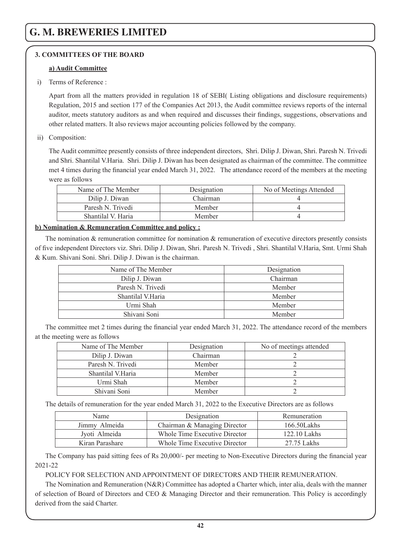# **3. COMMITTEES OF THE BOARD**

### **a) Audit Committee**

i) Terms of Reference :

Apart from all the matters provided in regulation 18 of SEBI( Listing obligations and disclosure requirements) Regulation, 2015 and section 177 of the Companies Act 2013, the Audit committee reviews reports of the internal auditor, meets statutory auditors as and when required and discusses their findings, suggestions, observations and other related matters. It also reviews major accounting policies followed by the company.

### ii) Composition:

The Audit committee presently consists of three independent directors, Shri. Dilip J. Diwan, Shri. Paresh N. Trivedi and Shri. Shantilal V.Haria. Shri. Dilip J. Diwan has been designated as chairman of the committee. The committee met 4 times during the financial year ended March 31, 2022. The attendance record of the members at the meeting were as follows

| Name of The Member | Designation | No of Meetings Attended |
|--------------------|-------------|-------------------------|
| Dilip J. Diwan     | Chairman    |                         |
| Paresh N. Trivedi  | Member      |                         |
| Shantilal V. Haria | Member      |                         |

## **b) Nomination & Remuneration Committee and policy :**

The nomination  $\&$  remuneration committee for nomination  $\&$  remuneration of executive directors presently consists of five independent Directors viz. Shri. Dilip J. Diwan, Shri. Paresh N. Trivedi , Shri. Shantilal V.Haria, Smt. Urmi Shah & Kum. Shivani Soni. Shri. Dilip J. Diwan is the chairman.

| Name of The Member | Designation |
|--------------------|-------------|
| Dilip J. Diwan     | Chairman    |
| Paresh N. Trivedi  | Member      |
| Shantilal V.Haria  | Member      |
| Urmi Shah          | Member      |
| Shivani Soni       | Member      |
|                    |             |

The committee met 2 times during the financial year ended March 31, 2022. The attendance record of the members at the meeting were as follows

| Name of The Member | Designation | No of meetings attended |
|--------------------|-------------|-------------------------|
| Dilip J. Diwan     | Chairman    |                         |
| Paresh N. Trivedi  | Member      |                         |
| Shantilal V.Haria  | Member      |                         |
| Urmi Shah          | Member      |                         |
| Shivani Soni       | Member      |                         |

The details of remuneration for the year ended March 31, 2022 to the Executive Directors are as follows

| Name            | Designation                   | Remuneration   |
|-----------------|-------------------------------|----------------|
| Jimmy Almeida   | Chairman & Managing Director  | 166.50Lakhs    |
| Jyoti Almeida   | Whole Time Executive Director | $122.10$ Lakhs |
| Kiran Parashare | Whole Time Executive Director | 27.75 Lakhs    |

The Company has paid sitting fees of Rs 20,000/- per meeting to Non-Executive Directors during the financial year 2021-22

## POLICY FOR SELECTION AND APPOINTMENT OF DIRECTORS AND THEIR REMUNERATION.

The Nomination and Remuneration (N&R) Committee has adopted a Charter which, inter alia, deals with the manner of selection of Board of Directors and CEO & Managing Director and their remuneration. This Policy is accordingly derived from the said Charter.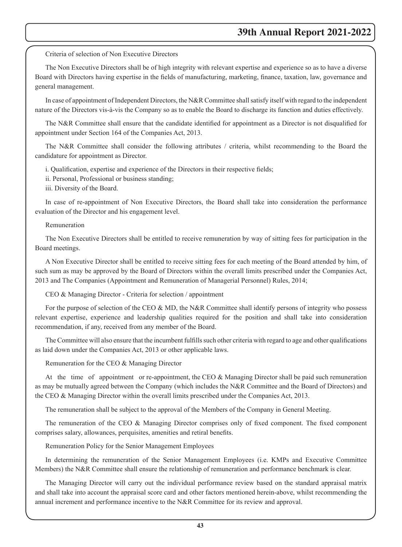Criteria of selection of Non Executive Directors

The Non Executive Directors shall be of high integrity with relevant expertise and experience so as to have a diverse Board with Directors having expertise in the fields of manufacturing, marketing, finance, taxation, law, governance and general management.

In case of appointment of Independent Directors, the N&R Committee shall satisfy itself with regard to the independent nature of the Directors vis-à-vis the Company so as to enable the Board to discharge its function and duties effectively.

The N&R Committee shall ensure that the candidate identified for appointment as a Director is not disqualified for appointment under Section 164 of the Companies Act, 2013.

The N&R Committee shall consider the following attributes / criteria, whilst recommending to the Board the candidature for appointment as Director.

i. Qualification, expertise and experience of the Directors in their respective fields;

ii. Personal, Professional or business standing;

iii. Diversity of the Board.

In case of re-appointment of Non Executive Directors, the Board shall take into consideration the performance evaluation of the Director and his engagement level.

### Remuneration

The Non Executive Directors shall be entitled to receive remuneration by way of sitting fees for participation in the Board meetings.

A Non Executive Director shall be entitled to receive sitting fees for each meeting of the Board attended by him, of such sum as may be approved by the Board of Directors within the overall limits prescribed under the Companies Act, 2013 and The Companies (Appointment and Remuneration of Managerial Personnel) Rules, 2014;

CEO & Managing Director - Criteria for selection / appointment

For the purpose of selection of the CEO & MD, the N&R Committee shall identify persons of integrity who possess relevant expertise, experience and leadership qualities required for the position and shall take into consideration recommendation, if any, received from any member of the Board.

The Committee will also ensure that the incumbent fulfills such other criteria with regard to age and other qualifications as laid down under the Companies Act, 2013 or other applicable laws.

Remuneration for the CEO & Managing Director

At the time of appointment or re-appointment, the CEO & Managing Director shall be paid such remuneration as may be mutually agreed between the Company (which includes the N&R Committee and the Board of Directors) and the CEO & Managing Director within the overall limits prescribed under the Companies Act, 2013.

The remuneration shall be subject to the approval of the Members of the Company in General Meeting.

The remuneration of the CEO & Managing Director comprises only of fixed component. The fixed component comprises salary, allowances, perquisites, amenities and retiral benefits.

Remuneration Policy for the Senior Management Employees

In determining the remuneration of the Senior Management Employees (i.e. KMPs and Executive Committee Members) the N&R Committee shall ensure the relationship of remuneration and performance benchmark is clear.

The Managing Director will carry out the individual performance review based on the standard appraisal matrix and shall take into account the appraisal score card and other factors mentioned herein-above, whilst recommending the annual increment and performance incentive to the N&R Committee for its review and approval.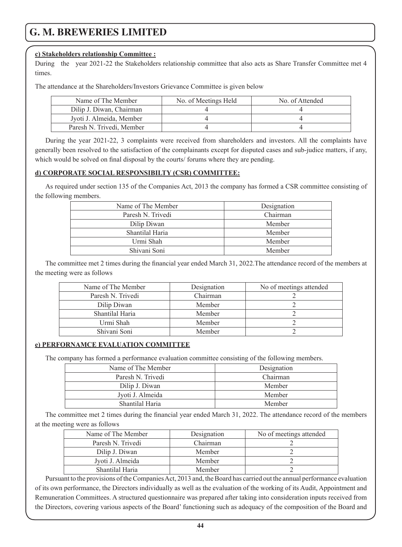### **c) Stakeholders relationship Committee :**

During the year 2021-22 the Stakeholders relationship committee that also acts as Share Transfer Committee met 4 times.

The attendance at the Shareholders/Investors Grievance Committee is given below

| Name of The Member        | No. of Meetings Held | No. of Attended |
|---------------------------|----------------------|-----------------|
| Dilip J. Diwan, Chairman  |                      |                 |
| Jyoti J. Almeida, Member  |                      |                 |
| Paresh N. Trivedi, Member |                      |                 |

During the year 2021-22, 3 complaints were received from shareholders and investors. All the complaints have generally been resolved to the satisfaction of the complainants except for disputed cases and sub-judice matters, if any, which would be solved on final disposal by the courts/ forums where they are pending.

### **d) CORPORATE SOCIAL RESPONSIBILTY (CSR) COMMITTEE:**

As required under section 135 of the Companies Act, 2013 the company has formed a CSR committee consisting of the following members.

| Name of The Member | Designation |
|--------------------|-------------|
| Paresh N. Trivedi  | Chairman    |
| Dilip Diwan        | Member      |
| Shantilal Haria    | Member      |
| Urmi Shah          | Member      |
| Shivani Soni       | Member      |
|                    |             |

The committee met 2 times during the financial year ended March 31, 2022.The attendance record of the members at the meeting were as follows

| Name of The Member | Designation | No of meetings attended |
|--------------------|-------------|-------------------------|
| Paresh N. Trivedi  | Chairman    |                         |
| Dilip Diwan        | Member      |                         |
| Shantilal Haria    | Member      |                         |
| Urmi Shah          | Member      |                         |
| Shivani Soni       | Member      |                         |

### **e) PERFORNAMCE EVALUATION COMMITTEE**

The company has formed a performance evaluation committee consisting of the following members.

| Name of The Member | Designation |  |
|--------------------|-------------|--|
| Paresh N. Trivedi  | Chairman    |  |
| Dilip J. Diwan     | Member      |  |
| Jyoti J. Almeida   | Member      |  |
| Shantilal Haria    | Member      |  |

The committee met 2 times during the financial year ended March 31, 2022. The attendance record of the members at the meeting were as follows

| Name of The Member | Designation | No of meetings attended |
|--------------------|-------------|-------------------------|
| Paresh N. Trivedi  | Chairman    |                         |
| Dilip J. Diwan     | Member      |                         |
| Jyoti J. Almeida   | Member      |                         |
| Shantilal Haria    | Member      |                         |

Pursuant to the provisions of the Companies Act, 2013 and, the Board has carried out the annual performance evaluation of its own performance, the Directors individually as well as the evaluation of the working of its Audit, Appointment and Remuneration Committees. A structured questionnaire was prepared after taking into consideration inputs received from the Directors, covering various aspects of the Board' functioning such as adequacy of the composition of the Board and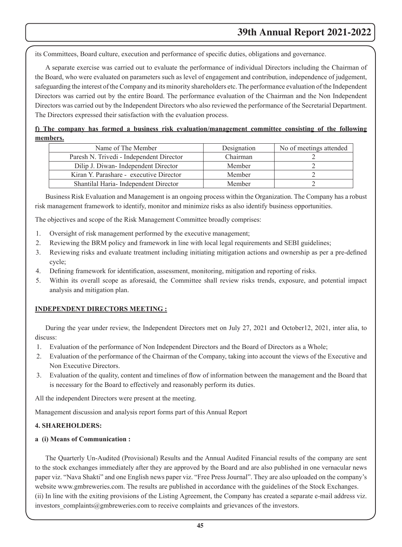its Committees, Board culture, execution and performance of specific duties, obligations and governance.

A separate exercise was carried out to evaluate the performance of individual Directors including the Chairman of the Board, who were evaluated on parameters such as level of engagement and contribution, independence of judgement, safeguarding the interest of the Company and its minority shareholders etc. The performance evaluation of the Independent Directors was carried out by the entire Board. The performance evaluation of the Chairman and the Non Independent Directors was carried out by the Independent Directors who also reviewed the performance of the Secretarial Department. The Directors expressed their satisfaction with the evaluation process.

# **f) The company has formed a business risk evaluation/management committee consisting of the following members.**

| Name of The Member                       | Designation | No of meetings attended |
|------------------------------------------|-------------|-------------------------|
| Paresh N. Trivedi - Independent Director | Chairman    |                         |
| Dilip J. Diwan-Independent Director      | Member      |                         |
| Kiran Y. Parashare - executive Director  | Member      |                         |
| Shantilal Haria-Independent Director     | Member      |                         |

Business Risk Evaluation and Management is an ongoing process within the Organization. The Company has a robust risk management framework to identify, monitor and minimize risks as also identify business opportunities.

The objectives and scope of the Risk Management Committee broadly comprises:

- 1. Oversight of risk management performed by the executive management;
- 2. Reviewing the BRM policy and framework in line with local legal requirements and SEBI guidelines;
- 3. Reviewing risks and evaluate treatment including initiating mitigation actions and ownership as per a pre-defined cycle;
- 4. Defining framework for identification, assessment, monitoring, mitigation and reporting of risks.
- 5. Within its overall scope as aforesaid, the Committee shall review risks trends, exposure, and potential impact analysis and mitigation plan.

## **INDEPENDENT DIRECTORS MEETING :**

During the year under review, the Independent Directors met on July 27, 2021 and October12, 2021, inter alia, to discuss:

- 1. Evaluation of the performance of Non Independent Directors and the Board of Directors as a Whole;
- 2. Evaluation of the performance of the Chairman of the Company, taking into account the views of the Executive and Non Executive Directors.
- 3. Evaluation of the quality, content and timelines of flow of information between the management and the Board that is necessary for the Board to effectively and reasonably perform its duties.

All the independent Directors were present at the meeting.

Management discussion and analysis report forms part of this Annual Report

### **4. SHAREHOLDERS:**

### **a (i) Means of Communication :**

The Quarterly Un-Audited (Provisional) Results and the Annual Audited Financial results of the company are sent to the stock exchanges immediately after they are approved by the Board and are also published in one vernacular news paper viz. "Nava Shakti" and one English news paper viz. "Free Press Journal". They are also uploaded on the company's website www.gmbreweries.com. The results are published in accordance with the guidelines of the Stock Exchanges. (ii) In line with the exiting provisions of the Listing Agreement, the Company has created a separate e-mail address viz. investors complaints@gmbreweries.com to receive complaints and grievances of the investors.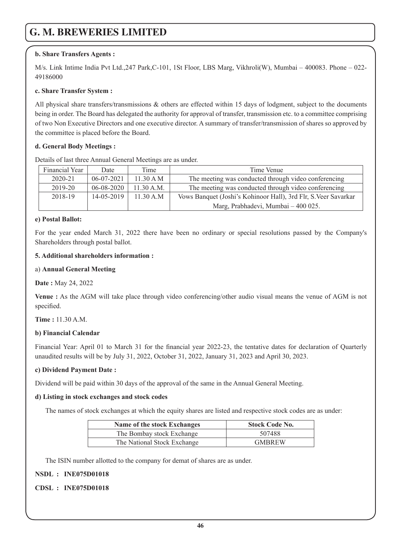# **b. Share Transfers Agents :**

M/s. Link Intime India Pvt Ltd.,247 Park,C-101, 1St Floor, LBS Marg, Vikhroli(W), Mumbai – 400083. Phone – 022- 49186000

## **c. Share Transfer System :**

All physical share transfers/transmissions & others are effected within 15 days of lodgment, subject to the documents being in order. The Board has delegated the authority for approval of transfer, transmission etc. to a committee comprising of two Non Executive Directors and one executive director. A summary of transfer/transmission of shares so approved by the committee is placed before the Board.

## **d. General Body Meetings :**

Details of last three Annual General Meetings are as under.

| Financial Year | Date             | Time       | Time Venue                                                      |  |
|----------------|------------------|------------|-----------------------------------------------------------------|--|
| $2020 - 21$    | $06-07-2021$     | 11.30 A M  | The meeting was conducted through video conferencing            |  |
| 2019-20        | $06 - 08 - 2020$ | 11.30 A.M. | The meeting was conducted through video conferencing            |  |
| 2018-19        | 14-05-2019       | 11.30 A.M  | Vows Banquet (Joshi's Kohinoor Hall), 3rd Flr, S. Veer Savarkar |  |
|                |                  |            | Marg, Prabhadevi, Mumbai – 400 025.                             |  |

## **e) Postal Ballot:**

For the year ended March 31, 2022 there have been no ordinary or special resolutions passed by the Company's Shareholders through postal ballot.

## **5. Additional shareholders information :**

### a) **Annual General Meeting**

**Date :** May 24, 2022

**Venue :** As the AGM will take place through video conferencing/other audio visual means the venue of AGM is not specified.

**Time :** 11.30 A.M.

## **b) Financial Calendar**

Financial Year: April 01 to March 31 for the financial year 2022-23, the tentative dates for declaration of Quarterly unaudited results will be by July 31, 2022, October 31, 2022, January 31, 2023 and April 30, 2023.

## **c) Dividend Payment Date :**

Dividend will be paid within 30 days of the approval of the same in the Annual General Meeting.

## **d) Listing in stock exchanges and stock codes**

The names of stock exchanges at which the equity shares are listed and respective stock codes are as under:

| Name of the stock Exchanges | <b>Stock Code No.</b> |
|-----------------------------|-----------------------|
| The Bombay stock Exchange   | 507488                |
| The National Stock Exchange | <b>GMBREW</b>         |

The ISIN number allotted to the company for demat of shares are as under.

## **NSDL : INE075D01018**

## **CDSL : INE075D01018**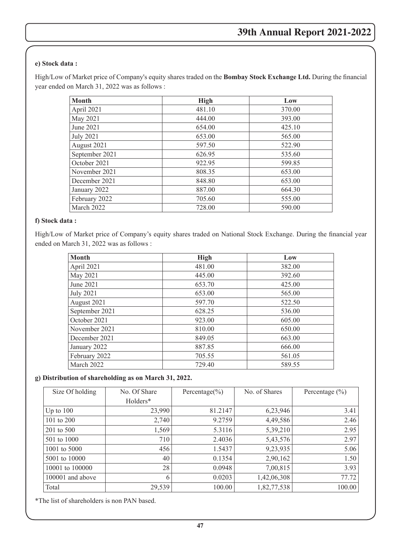# **e) Stock data :**

High/Low of Market price of Company's equity shares traded on the **Bombay Stock Exchange Ltd.** During the financial year ended on March 31, 2022 was as follows :

| <b>Month</b>     | High   | Low    |
|------------------|--------|--------|
| April 2021       | 481.10 | 370.00 |
| May 2021         | 444.00 | 393.00 |
| June 2021        | 654.00 | 425.10 |
| <b>July 2021</b> | 653.00 | 565.00 |
| August 2021      | 597.50 | 522.90 |
| September 2021   | 626.95 | 535.60 |
| October 2021     | 922.95 | 599.85 |
| November 2021    | 808.35 | 653.00 |
| December 2021    | 848.80 | 653.00 |
| January 2022     | 887.00 | 664.30 |
| February 2022    | 705.60 | 555.00 |
| March 2022       | 728.00 | 590.00 |

### **f) Stock data :**

High/Low of Market price of Company's equity shares traded on National Stock Exchange. During the financial year ended on March 31, 2022 was as follows :

| Month            | High   | Low    |
|------------------|--------|--------|
| April 2021       | 481.00 | 382.00 |
| May 2021         | 445.00 | 392.60 |
| June 2021        | 653.70 | 425.00 |
| <b>July 2021</b> | 653.00 | 565.00 |
| August 2021      | 597.70 | 522.50 |
| September 2021   | 628.25 | 536.00 |
| October 2021     | 923.00 | 605.00 |
| November 2021    | 810.00 | 650.00 |
| December 2021    | 849.05 | 663.00 |
| January 2022     | 887.85 | 666.00 |
| February 2022    | 705.55 | 561.05 |
| March 2022       | 729.40 | 589.55 |

### **g) Distribution of shareholding as on March 31, 2022.**

| Size Of holding  | No. Of Share | Percentage $(\% )$ | No. of Shares | Percentage $(\% )$ |
|------------------|--------------|--------------------|---------------|--------------------|
|                  | Holders*     |                    |               |                    |
| Up to $100$      | 23,990       | 81.2147            | 6,23,946      | 3.41               |
| 101 to 200       | 2,740        | 9.2759             | 4,49,586      | 2.46               |
| 201 to 500       | 1,569        | 5.3116             | 5,39,210      | 2.95               |
| 501 to 1000      | 710          | 2.4036             | 5,43,576      | 2.97               |
| 1001 to 5000     | 456          | 1.5437             | 9,23,935      | 5.06               |
| 5001 to 10000    | 40           | 0.1354             | 2,90,162      | 1.50               |
| 10001 to 100000  | 28           | 0.0948             | 7,00,815      | 3.93               |
| 100001 and above | 6            | 0.0203             | 1,42,06,308   | 77.72              |
| Total            | 29,539       | 100.00             | 1,82,77,538   | 100.00             |

\*The list of shareholders is non PAN based.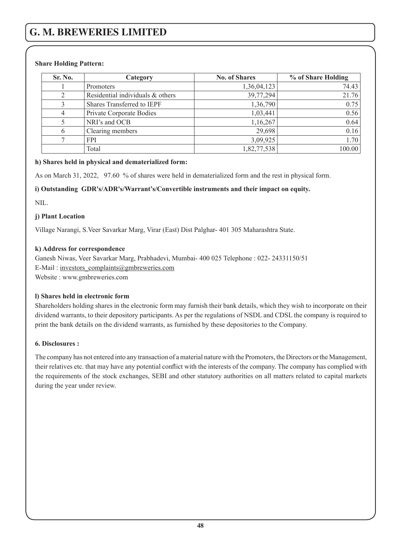# **Share Holding Pattern:**

| Sr. No. | Category                         | <b>No. of Shares</b> | % of Share Holding |
|---------|----------------------------------|----------------------|--------------------|
|         | Promoters                        | 1,36,04,123          | 74.43              |
|         | Residential individuals & others | 39,77,294            | 21.76              |
|         | Shares Transferred to IEPF       | 1,36,790             | 0.75               |
|         | Private Corporate Bodies         | 1,03,441             | 0.56               |
|         | NRI's and OCB                    | 1,16,267             | 0.64               |
|         | Clearing members                 | 29,698               | 0.16               |
|         | <b>FPI</b>                       | 3,09,925             | 1.70               |
|         | Total                            | 1,82,77,538          | 100.00             |

# **h) Shares held in physical and dematerialized form:**

As on March 31, 2022, 97.60 % of shares were held in dematerialized form and the rest in physical form.

# **i) Outstanding GDR's/ADR's/Warrant's/Convertible instruments and their impact on equity.**

NIL.

# **j) Plant Location**

Village Narangi, S.Veer Savarkar Marg, Virar (East) Dist Palghar- 401 305 Maharashtra State.

# **k) Address for correspondence**

Ganesh Niwas, Veer Savarkar Marg, Prabhadevi, Mumbai- 400 025 Telephone : 022- 24331150/51 E-Mail : investors\_complaints@gmbreweries.com Website : www.gmbreweries.com

## **l) Shares held in electronic form**

Shareholders holding shares in the electronic form may furnish their bank details, which they wish to incorporate on their dividend warrants, to their depository participants. As per the regulations of NSDL and CDSL the company is required to print the bank details on the dividend warrants, as furnished by these depositories to the Company.

## **6. Disclosures :**

The company has not entered into any transaction of a material nature with the Promoters, the Directors or the Management, their relatives etc. that may have any potential conflict with the interests of the company. The company has complied with the requirements of the stock exchanges, SEBI and other statutory authorities on all matters related to capital markets during the year under review.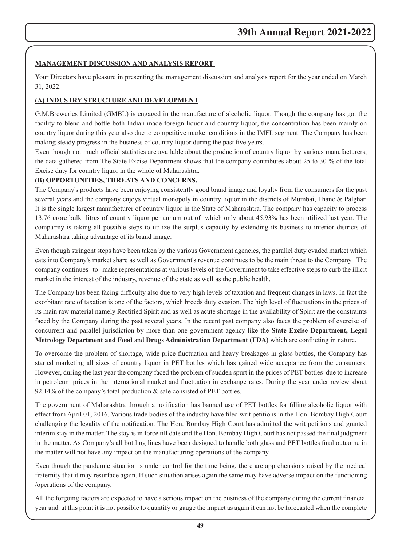## **MANAGEMENT DISCUSSION AND ANALYSIS REPORT**

Your Directors have pleasure in presenting the management discussion and analysis report for the year ended on March 31, 2022.

## **(A) INDUSTRY STRUCTURE AND DEVELOPMENT**

G.M.Breweries Limited (GMBL) is engaged in the manufacture of alcoholic liquor. Though the company has got the facility to blend and bottle both Indian made foreign liquor and country liquor, the concentration has been mainly on country liquor during this year also due to competitive market conditions in the IMFL segment. The Company has been making steady progress in the business of country liquor during the past five years.

Even though not much official statistics are available about the production of country liquor by various manufacturers, the data gathered from The State Excise Department shows that the company contributes about 25 to 30 % of the total Excise duty for country liquor in the whole of Maharashtra.

# **(B) OPPORTUNITIES, THREATS AND CONCERNS.**

The Company's products have been enjoying consistently good brand image and loyalty from the consumers for the past several years and the company enjoys virtual monopoly in country liquor in the districts of Mumbai, Thane & Palghar. It is the single largest manufacturer of country liquor in the State of Maharashtra. The company has capacity to process 13.76 crore bulk litres of country liquor per annum out of which only about 45.93% has been utilized last year. The compa¬ny is taking all possible steps to utilize the surplus capacity by extending its business to interior districts of Maharashtra taking advantage of its brand image.

Even though stringent steps have been taken by the various Government agencies, the parallel duty evaded market which eats into Company's market share as well as Government's revenue continues to be the main threat to the Company. The company continues to make representations at various levels of the Government to take effective steps to curb the illicit market in the interest of the industry, revenue of the state as well as the public health.

The Company has been facing difficulty also due to very high levels of taxation and frequent changes in laws. In fact the exorbitant rate of taxation is one of the factors, which breeds duty evasion. The high level of fluctuations in the prices of its main raw material namely Rectified Spirit and as well as acute shortage in the availability of Spirit are the constraints faced by the Company during the past several years. In the recent past company also faces the problem of exercise of concurrent and parallel jurisdiction by more than one government agency like the **State Excise Department, Legal Metrology Department and Food** and **Drugs Administration Department (FDA)** which are conflicting in nature.

To overcome the problem of shortage, wide price fluctuation and heavy breakages in glass bottles, the Company has started marketing all sizes of country liquor in PET bottles which has gained wide acceptance from the consumers. However, during the last year the company faced the problem of sudden spurt in the prices of PET bottles due to increase in petroleum prices in the international market and fluctuation in exchange rates. During the year under review about 92.14% of the company's total production & sale consisted of PET bottles.

The government of Maharashtra through a notification has banned use of PET bottles for filling alcoholic liquor with effect from April 01, 2016. Various trade bodies of the industry have filed writ petitions in the Hon. Bombay High Court challenging the legality of the notification. The Hon. Bombay High Court has admitted the writ petitions and granted interim stay in the matter. The stay is in force till date and the Hon. Bombay High Court has not passed the final judgment in the matter. As Company's all bottling lines have been designed to handle both glass and PET bottles final outcome in the matter will not have any impact on the manufacturing operations of the company.

Even though the pandemic situation is under control for the time being, there are apprehensions raised by the medical fraternity that it may resurface again. If such situation arises again the same may have adverse impact on the functioning /operations of the company.

All the forgoing factors are expected to have a serious impact on the business of the company during the current financial year and at this point it is not possible to quantify or gauge the impact as again it can not be forecasted when the complete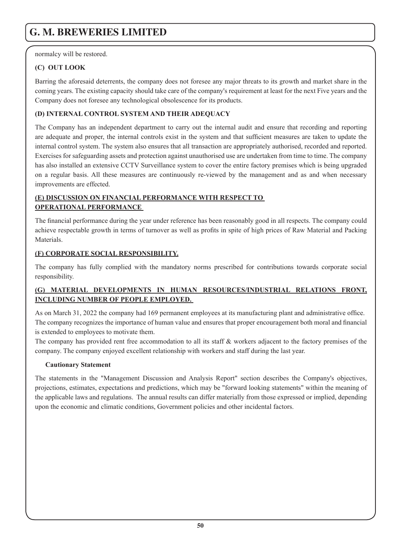normalcy will be restored.

# **(C) OUT LOOK**

Barring the aforesaid deterrents, the company does not foresee any major threats to its growth and market share in the coming years. The existing capacity should take care of the company's requirement at least for the next Five years and the Company does not foresee any technological obsolescence for its products.

# **(D) INTERNAL CONTROL SYSTEM AND THEIR ADEQUACY**

The Company has an independent department to carry out the internal audit and ensure that recording and reporting are adequate and proper, the internal controls exist in the system and that sufficient measures are taken to update the internal control system. The system also ensures that all transaction are appropriately authorised, recorded and reported. Exercises for safeguarding assets and protection against unauthorised use are undertaken from time to time. The company has also installed an extensive CCTV Surveillance system to cover the entire factory premises which is being upgraded on a regular basis. All these measures are continuously re-viewed by the management and as and when necessary improvements are effected.

# **(E) DISCUSSION ON FINANCIAL PERFORMANCE WITH RESPECT TO OPERATIONAL PERFORMANCE**

The financial performance during the year under reference has been reasonably good in all respects. The company could achieve respectable growth in terms of turnover as well as profits in spite of high prices of Raw Material and Packing **Materials** 

# **(F) CORPORATE SOCIAL RESPONSIBILITY.**

The company has fully complied with the mandatory norms prescribed for contributions towards corporate social responsibility.

# **(G) MATERIAL DEVELOPMENTS IN HUMAN RESOURCES/INDUSTRIAL RELATIONS FRONT, INCLUDING NUMBER OF PEOPLE EMPLOYED.**

As on March 31, 2022 the company had 169 permanent employees at its manufacturing plant and administrative office. The company recognizes the importance of human value and ensures that proper encouragement both moral and financial is extended to employees to motivate them.

The company has provided rent free accommodation to all its staff & workers adjacent to the factory premises of the company. The company enjoyed excellent relationship with workers and staff during the last year.

# **Cautionary Statement**

The statements in the "Management Discussion and Analysis Report" section describes the Company's objectives, projections, estimates, expectations and predictions, which may be "forward looking statements" within the meaning of the applicable laws and regulations. The annual results can differ materially from those expressed or implied, depending upon the economic and climatic conditions, Government policies and other incidental factors.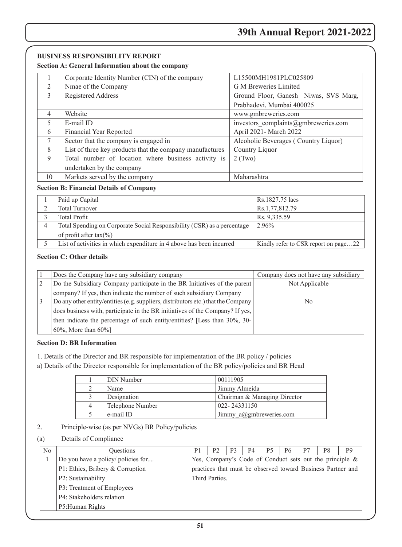## **BUSINESS RESPONSIBILITY REPORT**

### **Section A: General Information about the company**

|                | Corporate Identity Number (CIN) of the company           | L15500MH1981PLC025809                 |  |  |
|----------------|----------------------------------------------------------|---------------------------------------|--|--|
| $\mathfrak{D}$ | Nmae of the Company                                      | G M Breweries Limited                 |  |  |
| 3              | Registered Address                                       | Ground Floor, Ganesh Niwas, SVS Marg, |  |  |
|                |                                                          | Prabhadevi, Mumbai 400025             |  |  |
| $\overline{4}$ | Website                                                  | www.gmbreweries.com                   |  |  |
| 5              | E-mail ID                                                | investors complaints@gmbreweries.com  |  |  |
| 6              | Financial Year Reported                                  | April 2021- March 2022                |  |  |
| 7              | Sector that the company is engaged in                    | Alcoholic Beverages (Country Liquor)  |  |  |
| 8              | List of three key products that the company manufactures | Country Liquor                        |  |  |
| 9              | Total number of location where business activity is      | $2$ (Two)                             |  |  |
|                | undertaken by the company                                |                                       |  |  |
| 10             | Markets served by the company                            | Maharashtra                           |  |  |

### **Section B: Financial Details of Company**

| Paid up Capital                                                         | Rs.1827.75 lacs                      |
|-------------------------------------------------------------------------|--------------------------------------|
| <b>Total Turnover</b>                                                   | Rs.1,77,812.79                       |
| <b>Total Profit</b>                                                     | Rs. 9,335.59                         |
| Total Spending on Corporate Social Responsibility (CSR) as a percentage | 2.96%                                |
| of profit after tax $(\% )$                                             |                                      |
| List of activities in which expenditure in 4 above has been incurred    | Kindly refer to CSR report on page22 |

## **Section C: Other details**

| Does the Company have any subsidiary company                                      | Company does not have any subsidiary |
|-----------------------------------------------------------------------------------|--------------------------------------|
| Do the Subsidiary Company participate in the BR Initiatives of the parent         | Not Applicable                       |
| company? If yes, then indicate the number of such subsidiary Company              |                                      |
| Do any other entity/entities (e.g. suppliers, distributors etc.) that the Company | No                                   |
| does business with, participate in the BR initiatives of the Company? If yes,     |                                      |
| then indicate the percentage of such entity/entities? [Less than $30\%$ , $30$ -  |                                      |
| $60\%$ , More than $60\%$                                                         |                                      |

### **Section D: BR Information**

- 1. Details of the Director and BR responsible for implementation of the BR policy / policies
- a) Details of the Director responsible for implementation of the BR policy/policies and BR Head

| DIN Number       | 00111905                            |
|------------------|-------------------------------------|
| Name             | Jimmy Almeida                       |
| Designation      | Chairman & Managing Director        |
| Telephone Number | 022-24331150                        |
| e-mail ID        | Jimmy $a(\partial)$ gmbreweries.com |

### 2. Principle-wise (as per NVGs) BR Policy/policies

### (a) Details of Compliance

| N <sub>0</sub>             | <b>Ouestions</b>                   | P1 | P <sub>2</sub> | P3 | P4 | <b>P5</b> | P6 | P7 | P8 | P <sub>9</sub>                                              |
|----------------------------|------------------------------------|----|----------------|----|----|-----------|----|----|----|-------------------------------------------------------------|
|                            | Do you have a policy/ policies for |    |                |    |    |           |    |    |    | Yes, Company's Code of Conduct sets out the principle &     |
|                            | P1: Ethics, Bribery & Corruption   |    |                |    |    |           |    |    |    | practices that must be observed toward Business Partner and |
|                            | P2: Sustainability                 |    | Third Parties. |    |    |           |    |    |    |                                                             |
| P3: Treatment of Employees |                                    |    |                |    |    |           |    |    |    |                                                             |
|                            | P4: Stakeholders relation          |    |                |    |    |           |    |    |    |                                                             |
|                            | P5: Human Rights                   |    |                |    |    |           |    |    |    |                                                             |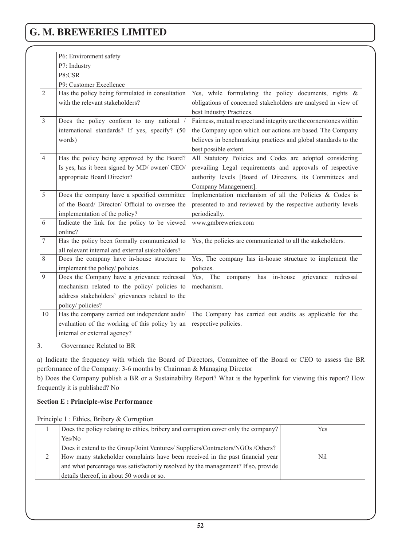|                | P6: Environment safety                           |                                                                    |  |  |  |
|----------------|--------------------------------------------------|--------------------------------------------------------------------|--|--|--|
|                | P7: Industry                                     |                                                                    |  |  |  |
|                | P8:CSR                                           |                                                                    |  |  |  |
|                | P9: Customer Excellence                          |                                                                    |  |  |  |
| $\overline{2}$ | Has the policy being formulated in consultation  | Yes, while formulating the policy documents, rights $\&$           |  |  |  |
|                | with the relevant stakeholders?                  | obligations of concerned stakeholders are analysed in view of      |  |  |  |
|                |                                                  | best Industry Practices.                                           |  |  |  |
| 3              | Does the policy conform to any national /        | Fairness, mutual respect and integrity are the cornerstones within |  |  |  |
|                | international standards? If yes, specify? (50    | the Company upon which our actions are based. The Company          |  |  |  |
|                | words)                                           | believes in benchmarking practices and global standards to the     |  |  |  |
|                |                                                  | best possible extent.                                              |  |  |  |
| $\overline{4}$ | Has the policy being approved by the Board?      | All Statutory Policies and Codes are adopted considering           |  |  |  |
|                | Is yes, has it been signed by MD/ owner/ CEO/    | prevailing Legal requirements and approvals of respective          |  |  |  |
|                | appropriate Board Director?                      | authority levels [Board of Directors, its Committees and           |  |  |  |
|                |                                                  | Company Management].                                               |  |  |  |
| 5              | Does the company have a specified committee      | Implementation mechanism of all the Policies & Codes is            |  |  |  |
|                | of the Board/ Director/ Official to oversee the  | presented to and reviewed by the respective authority levels       |  |  |  |
|                | implementation of the policy?                    | periodically.                                                      |  |  |  |
| 6              | Indicate the link for the policy to be viewed    | www.gmbreweries.com                                                |  |  |  |
|                | online?                                          |                                                                    |  |  |  |
| 7              | Has the policy been formally communicated to     | Yes, the policies are communicated to all the stakeholders.        |  |  |  |
|                | all relevant internal and external stakeholders? |                                                                    |  |  |  |
| 8              | Does the company have in-house structure to      | Yes, The company has in-house structure to implement the           |  |  |  |
|                | implement the policy/ policies.                  | policies.                                                          |  |  |  |
| 9              | Does the Company have a grievance redressal      | in-house grievance<br>Yes, The company has<br>redressal            |  |  |  |
|                | mechanism related to the policy/ policies to     | mechanism.                                                         |  |  |  |
|                | address stakeholders' grievances related to the  |                                                                    |  |  |  |
|                | policy/policies?                                 |                                                                    |  |  |  |
| 10             | Has the company carried out independent audit/   | The Company has carried out audits as applicable for the           |  |  |  |
|                | evaluation of the working of this policy by an   | respective policies.                                               |  |  |  |
|                | internal or external agency?                     |                                                                    |  |  |  |

3. Governance Related to BR

a) Indicate the frequency with which the Board of Directors, Committee of the Board or CEO to assess the BR performance of the Company: 3-6 months by Chairman & Managing Director

b) Does the Company publish a BR or a Sustainability Report? What is the hyperlink for viewing this report? How frequently it is published? No

## **Section E : Principle-wise Performance**

Principle 1 : Ethics, Bribery & Corruption

| Does the policy relating to ethics, bribery and corruption cover only the company? | Yes |
|------------------------------------------------------------------------------------|-----|
| Yes/No                                                                             |     |
| Does it extend to the Group/Joint Ventures/ Suppliers/Contractors/NGOs /Others?    |     |
| How many stakeholder complaints have been received in the past financial year      | Nil |
| and what percentage was satisfactorily resolved by the management? If so, provide  |     |
| details thereof, in about 50 words or so.                                          |     |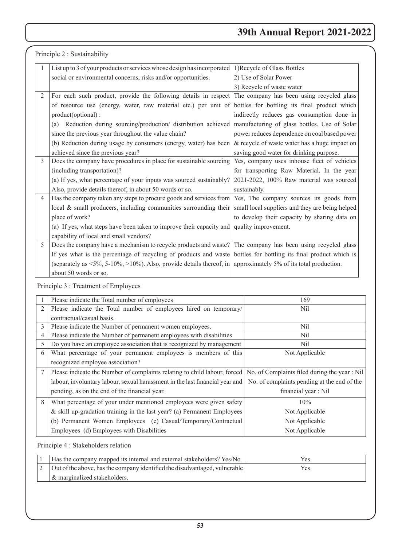|                | Principle 2 : Sustainability                                                                                                                      |                                               |
|----------------|---------------------------------------------------------------------------------------------------------------------------------------------------|-----------------------------------------------|
| 1              | List up to 3 of your products or services whose design has incorporated 1) Recycle of Glass Bottles                                               |                                               |
|                | social or environmental concerns, risks and/or opportunities.                                                                                     | 2) Use of Solar Power                         |
|                |                                                                                                                                                   | 3) Recycle of waste water                     |
| $\overline{2}$ | For each such product, provide the following details in respect The company has been using recycled glass                                         |                                               |
|                | of resource use (energy, water, raw material etc.) per unit of bottles for bottling its final product which                                       |                                               |
|                | product(optional):                                                                                                                                | indirectly reduces gas consumption done in    |
|                | (a) Reduction during sourcing/production/ distribution achieved manufacturing of glass bottles. Use of Solar                                      |                                               |
|                | since the previous year throughout the value chain?                                                                                               | power reduces dependence on coal based power  |
|                | (b) Reduction during usage by consumers (energy, water) has been                                                                                  | & recycle of waste water has a huge impact on |
|                | achieved since the previous year?                                                                                                                 | saving good water for drinking purpose.       |
| 3              | Does the company have procedures in place for sustainable sourcing                                                                                | Yes, company uses inhouse fleet of vehicles   |
|                | (including transportation)?                                                                                                                       | for transporting Raw Material. In the year    |
|                | (a) If yes, what percentage of your inputs was sourced sustainably?                                                                               | 2021-2022, 100% Raw material was sourced      |
|                | Also, provide details thereof, in about 50 words or so.                                                                                           | sustainably.                                  |
| $\overline{4}$ | Has the company taken any steps to procure goods and services from   Yes, The company sources its goods from                                      |                                               |
|                | local $\&$ small producers, including communities surrounding their small local suppliers and they are being helped                               |                                               |
|                | place of work?                                                                                                                                    | to develop their capacity by sharing data on  |
|                | (a) If yes, what steps have been taken to improve their capacity and quality improvement.                                                         |                                               |
|                | capability of local and small vendors?                                                                                                            |                                               |
| 5              | Does the company have a mechanism to recycle products and waste? The company has been using recycled glass                                        |                                               |
|                | If yes what is the percentage of recycling of products and waste bottles for bottling its final product which is                                  |                                               |
|                | (separately as $\langle 5\%, 5\text{-}10\%, 5\text{-}10\% \rangle$ ). Also, provide details thereof, in approximately 5% of its total production. |                                               |
|                | about 50 words or so.                                                                                                                             |                                               |

# Principle 3 : Treatment of Employees

|   | Please indicate the Total number of employees                                | 169                                           |
|---|------------------------------------------------------------------------------|-----------------------------------------------|
|   | Please indicate the Total number of employees hired on temporary/            | Nil                                           |
|   | contractual/casual basis.                                                    |                                               |
| 3 | Please indicate the Number of permanent women employees.                     | Nil                                           |
| 4 | Please indicate the Number of permanent employees with disabilities          | Nil.                                          |
| 5 | Do you have an employee association that is recognized by management         | Nil                                           |
| 6 | What percentage of your permanent employees is members of this               | Not Applicable                                |
|   | recognized employee association?                                             |                                               |
|   | Please indicate the Number of complaints relating to child labour, forced    | No. of Complaints filed during the year : Nil |
|   | labour, involuntary labour, sexual harassment in the last financial year and | No. of complaints pending at the end of the   |
|   | pending, as on the end of the financial year.                                | financial year : Nil                          |
| 8 | What percentage of your under mentioned employees were given safety          | 10%                                           |
|   | $\&$ skill up-gradation training in the last year? (a) Permanent Employees   | Not Applicable                                |
|   | (b) Permanent Women Employees (c) Casual/Temporary/Contractual               | Not Applicable                                |
|   | Employees (d) Employees with Disabilities                                    | Not Applicable                                |

Principle 4 : Stakeholders relation

| Has the company mapped its internal and external stakeholders? Yes/No      | Yes. |
|----------------------------------------------------------------------------|------|
| Out of the above, has the company identified the disadvantaged, vulnerable | Yes  |
| & marginalized stakeholders.                                               |      |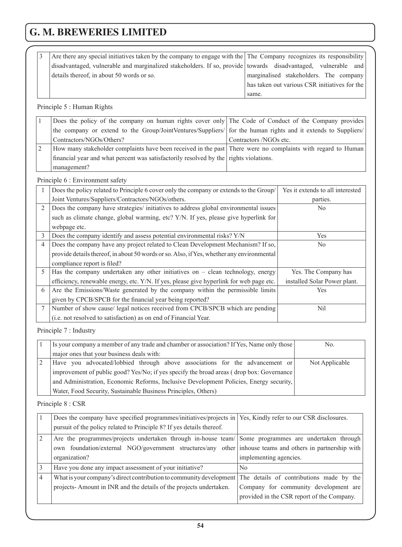| Are there any special initiatives taken by the company to engage with the The Company recognizes its responsibility |                                               |
|---------------------------------------------------------------------------------------------------------------------|-----------------------------------------------|
| disadvantaged, vulnerable and marginalized stakeholders. If so, provide towards disadvantaged, vulnerable and       |                                               |
| details thereof, in about 50 words or so.                                                                           | marginalised stakeholders. The company        |
|                                                                                                                     | has taken out various CSR initiatives for the |
|                                                                                                                     | same.                                         |

# Principle 5 : Human Rights

|                | Does the policy of the company on human rights cover only The Code of Conduct of the Company provides         |                        |
|----------------|---------------------------------------------------------------------------------------------------------------|------------------------|
|                | the company or extend to the Group/JointVentures/Suppliers/ for the human rights and it extends to Suppliers/ |                        |
|                | Contractors/NGOs/Others?                                                                                      | Contractors /NGOs etc. |
| $\overline{2}$ | How many stakeholder complaints have been received in the past There were no complaints with regard to Human  |                        |
|                | financial year and what percent was satisfactorily resolved by the rights violations.                         |                        |
|                | management?                                                                                                   |                        |

# Principle 6 : Environment safety

|   | Does the policy related to Principle 6 cover only the company or extends to the Group/    | Yes it extends to all interested |
|---|-------------------------------------------------------------------------------------------|----------------------------------|
|   | Joint Ventures/Suppliers/Contractors/NGOs/others.                                         | parties.                         |
| 2 | Does the company have strategies/ initiatives to address global environmental issues      | N <sub>0</sub>                   |
|   | such as climate change, global warming, etc? Y/N. If yes, please give hyperlink for       |                                  |
|   | webpage etc.                                                                              |                                  |
| 3 | Does the company identify and assess potential environmental risks? Y/N                   | <b>Yes</b>                       |
| 4 | Does the company have any project related to Clean Development Mechanism? If so,          | N <sub>0</sub>                   |
|   | provide details thereof, in about 50 words or so. Also, if Yes, whether any environmental |                                  |
|   | compliance report is filed?                                                               |                                  |
| 5 | Has the company undertaken any other initiatives on $-$ clean technology, energy          | Yes. The Company has             |
|   | efficiency, renewable energy, etc. Y/N. If yes, please give hyperlink for web page etc.   | installed Solar Power plant.     |
| 6 | Are the Emissions/Waste generated by the company within the permissible limits            | <b>Yes</b>                       |
|   | given by CPCB/SPCB for the financial year being reported?                                 |                                  |
|   | Number of show cause/ legal notices received from CPCB/SPCB which are pending             | Nil                              |
|   | (i.e. not resolved to satisfaction) as on end of Financial Year.                          |                                  |

Principle 7 : Industry

| Is your company a member of any trade and chamber or association? If Yes, Name only those | No.            |
|-------------------------------------------------------------------------------------------|----------------|
| major ones that your business deals with:                                                 |                |
| Have you advocated/lobbied through above associations for the advancement or              | Not Applicable |
| improvement of public good? Yes/No; if yes specify the broad areas (drop box: Governance  |                |
| and Administration, Economic Reforms, Inclusive Development Policies, Energy security,    |                |
| Water, Food Security, Sustainable Business Principles, Others)                            |                |

Principle 8 : CSR

|                | Does the company have specified programmes/initiatives/projects in                                       | Yes, Kindly refer to our CSR disclosures.  |  |  |
|----------------|----------------------------------------------------------------------------------------------------------|--------------------------------------------|--|--|
|                | pursuit of the policy related to Principle 8? If yes details thereof.                                    |                                            |  |  |
| $\sqrt{2}$     | Are the programmes/projects undertaken through in-house team/ Some programmes are undertaken through     |                                            |  |  |
|                | own foundation/external NGO/government structures/any other inhouse teams and others in partnership with |                                            |  |  |
|                | organization?                                                                                            | implementing agencies.                     |  |  |
| $\overline{3}$ | Have you done any impact assessment of your initiative?                                                  | N <sub>0</sub>                             |  |  |
| $\sqrt{4}$     | What is your company's direct contribution to community development                                      | The details of contributions made by the   |  |  |
|                | projects-Amount in INR and the details of the projects undertaken.                                       | Company for community development are      |  |  |
|                |                                                                                                          | provided in the CSR report of the Company. |  |  |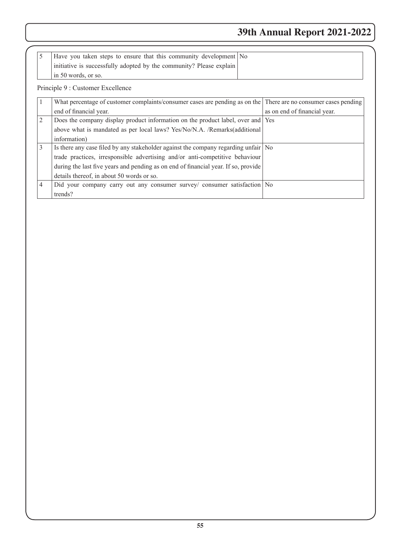| 5              | Have you taken steps to ensure that this community development No                                               |                              |
|----------------|-----------------------------------------------------------------------------------------------------------------|------------------------------|
|                | initiative is successfully adopted by the community? Please explain                                             |                              |
|                | in 50 words, or so.                                                                                             |                              |
|                | Principle 9 : Customer Excellence                                                                               |                              |
| 1              | What percentage of customer complaints/consumer cases are pending as on the There are no consumer cases pending |                              |
|                | end of financial year.                                                                                          | as on end of financial year. |
| $\overline{c}$ | Does the company display product information on the product label, over and Yes                                 |                              |
|                | above what is mandated as per local laws? Yes/No/N.A. /Remarks(additional                                       |                              |
|                | information)                                                                                                    |                              |
| 3              | Is there any case filed by any stakeholder against the company regarding unfair No                              |                              |
|                | trade practices, irresponsible advertising and/or anti-competitive behaviour                                    |                              |
|                | during the last five years and pending as on end of financial year. If so, provide                              |                              |
|                | details thereof, in about 50 words or so.                                                                       |                              |
| $\overline{4}$ | Did your company carry out any consumer survey/ consumer satisfaction No                                        |                              |
|                | trends?                                                                                                         |                              |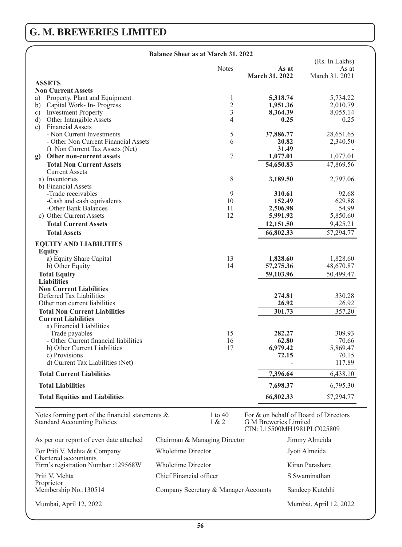| <b>Balance Sheet as at March 31, 2022</b>                                                  |                              |                  |                                                                                              |                 |
|--------------------------------------------------------------------------------------------|------------------------------|------------------|----------------------------------------------------------------------------------------------|-----------------|
|                                                                                            |                              |                  |                                                                                              | (Rs. In Lakhs)  |
|                                                                                            |                              | <b>Notes</b>     | As at<br>March 31, 2022                                                                      | As at           |
| <b>ASSETS</b>                                                                              |                              |                  |                                                                                              | March 31, 2021  |
| <b>Non Current Assets</b>                                                                  |                              |                  |                                                                                              |                 |
| Property, Plant and Equipment<br>a)                                                        |                              | 1                | 5,318.74                                                                                     | 5,734.22        |
| Capital Work- In-Progress<br>b)                                                            |                              | $\overline{c}$   | 1,951.36                                                                                     | 2,010.79        |
| $\mathbf{c})$<br><b>Investment Property</b>                                                |                              | $\overline{3}$   | 8,364.39                                                                                     | 8,055.14        |
| Other Intangible Assets<br>$\mathbf{d}$                                                    |                              | 4                | 0.25                                                                                         | 0.25            |
| <b>Financial Assets</b><br>e)                                                              |                              |                  |                                                                                              |                 |
| - Non Current Investments                                                                  |                              | 5                | 37,886.77                                                                                    | 28,651.65       |
| - Other Non Current Financial Assets                                                       |                              | 6                | 20.82                                                                                        | 2,340.50        |
| f) Non Current Tax Assets (Net)                                                            |                              |                  | 31.49                                                                                        |                 |
| g) Other non-current assets                                                                |                              | 7                | 1,077.01                                                                                     | 1,077.01        |
| <b>Total Non Current Assets</b>                                                            |                              |                  | 54,650.83                                                                                    | 47,869.56       |
| <b>Current Assets</b>                                                                      |                              |                  |                                                                                              |                 |
| a) Inventories                                                                             |                              | 8                | 3,189.50                                                                                     | 2,797.06        |
| b) Financial Assets                                                                        |                              |                  |                                                                                              |                 |
| -Trade receivables                                                                         |                              | 9                | 310.61<br>152.49                                                                             | 92.68           |
| -Cash and cash equivalents<br>-Other Bank Balances                                         |                              | 10<br>11         | 2,506.98                                                                                     | 629.88<br>54.99 |
| c) Other Current Assets                                                                    |                              | 12               | 5,991.92                                                                                     | 5,850.60        |
| <b>Total Current Assets</b>                                                                |                              |                  | 12,151.50                                                                                    | 9,425.21        |
|                                                                                            |                              |                  |                                                                                              |                 |
| <b>Total Assets</b>                                                                        |                              |                  | 66,802.33                                                                                    | 57,294.77       |
| <b>EQUITY AND LIABILITIES</b>                                                              |                              |                  |                                                                                              |                 |
| <b>Equity</b>                                                                              |                              |                  |                                                                                              |                 |
| a) Equity Share Capital                                                                    |                              | 13               | 1,828.60                                                                                     | 1,828.60        |
| b) Other Equity                                                                            |                              | 14               | 57,275.36                                                                                    | 48,670.87       |
| <b>Total Equity</b>                                                                        |                              |                  | 59,103.96                                                                                    | 50,499.47       |
| <b>Liabilities</b>                                                                         |                              |                  |                                                                                              |                 |
| <b>Non Current Liabilities</b>                                                             |                              |                  |                                                                                              |                 |
| Deferred Tax Liabilities                                                                   |                              |                  | 274.81                                                                                       | 330.28          |
| Other non current liabilities                                                              |                              |                  | 26.92                                                                                        | 26.92           |
| <b>Total Non Current Liabilities</b>                                                       |                              |                  | 301.73                                                                                       | 357.20          |
| <b>Current Liabilities</b>                                                                 |                              |                  |                                                                                              |                 |
| a) Financial Liabilities                                                                   |                              |                  |                                                                                              | 309.93          |
| - Trade payables<br>- Other Current financial liabilities                                  |                              | 15<br>16         | 282.27<br>62.80                                                                              | 70.66           |
| b) Other Current Liabilities                                                               |                              | 17               | 6,979.42                                                                                     | 5,869.47        |
| c) Provisions                                                                              |                              |                  | 72.15                                                                                        | 70.15           |
| d) Current Tax Liabilities (Net)                                                           |                              |                  |                                                                                              | 117.89          |
|                                                                                            |                              |                  |                                                                                              |                 |
| <b>Total Current Liabilities</b>                                                           |                              |                  | 7,396.64                                                                                     | 6,438.10        |
| <b>Total Liabilities</b>                                                                   |                              |                  | 7,698.37                                                                                     | 6,795.30        |
| <b>Total Equities and Liabilities</b>                                                      |                              |                  | 66,802.33                                                                                    | 57,294.77       |
| Notes forming part of the financial statements $\&$<br><b>Standard Accounting Policies</b> |                              | 1 to 40<br>1 & 2 | For & on behalf of Board of Directors<br>G M Breweries Limited<br>CIN: L15500MH1981PLC025809 |                 |
| As per our report of even date attached                                                    | Chairman & Managing Director |                  |                                                                                              | Jimmy Almeida   |
| For Priti V. Mehta & Company<br>Chartered accountants                                      | Wholetime Director           |                  |                                                                                              | Jyoti Almeida   |
| Firm's registration Numbar : 129568W                                                       | Wholetime Director           |                  |                                                                                              | Kiran Parashare |

**56**

Mumbai, April 12, 2022 Mumbai, April 12, 2022

Company Secretary & Manager Accounts

Priti V. Mehta Chief Financial officer S Swaminathan Proprietor<br>
Membership No.:130514 Company Secretary & Manager Accounts<br>
Sandeep Kutchhi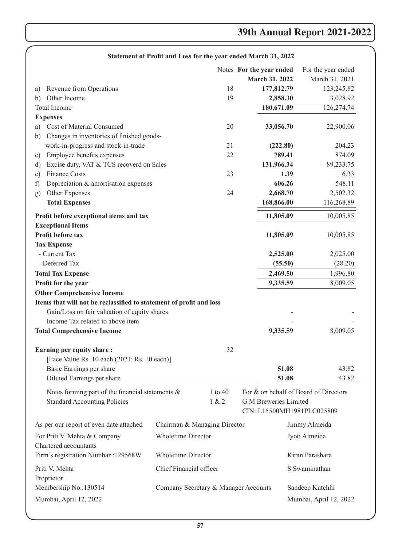|                                                                     |                              |             | Statement of Front and Loss for the year ended march 31, 2022 |                                       |
|---------------------------------------------------------------------|------------------------------|-------------|---------------------------------------------------------------|---------------------------------------|
|                                                                     |                              |             | Notes For the year ended                                      | For the year ended                    |
|                                                                     |                              |             | March 31, 2022                                                | March 31, 2021                        |
| Revenue from Operations<br>a)                                       |                              | 18          | 177,812.79                                                    | 123,245.82                            |
| Other Income<br>b)                                                  |                              | 19          | 2,858.30                                                      | 3,028.92                              |
| <b>Total Income</b>                                                 |                              |             | 180,671.09                                                    | 126,274.74                            |
| <b>Expenses</b>                                                     |                              |             |                                                               |                                       |
| Cost of Material Consumed<br>a)                                     |                              | 20          | 33,056.70                                                     | 22,900.06                             |
| Changes in inventories of finished goods-<br>b)                     |                              |             |                                                               |                                       |
| work-in-progress and stock-in-trade                                 |                              | 21          | (222.80)                                                      | 204.23                                |
| Employee benefits expenses<br>c)                                    |                              | 22          | 789.41                                                        | 874.09                                |
| Excise duty, VAT & TCS recoverd on Sales<br>d)                      |                              |             | 131,966.34                                                    | 89,233.75                             |
| Finance Costs<br>e)                                                 |                              | 23          | 1.39                                                          | 6.33                                  |
| Depreciation & amortisation expenses<br>f)                          |                              |             | 606.26                                                        | 548.11                                |
| Other Expenses<br>g)                                                |                              | 24          | 2,668.70                                                      | 2,502.32                              |
| <b>Total Expenses</b>                                               |                              |             | 168,866.00                                                    | 116,268.89                            |
| Profit before exceptional items and tax                             |                              |             | 11,805.09                                                     | 10,005.85                             |
| <b>Exceptional Items</b>                                            |                              |             |                                                               |                                       |
| Profit before tax                                                   |                              |             | 11,805.09                                                     | 10,005.85                             |
| <b>Tax Expense</b>                                                  |                              |             |                                                               |                                       |
| - Current Tax                                                       |                              |             | 2,525.00                                                      | 2,025.00                              |
| - Deferred Tax                                                      |                              |             | (55.50)                                                       | (28.20)                               |
| <b>Total Tax Expense</b>                                            |                              |             | 2,469.50                                                      | 1,996.80                              |
| Profit for the year                                                 |                              |             | 9,335.59                                                      | 8,009.05                              |
| <b>Other Comprehensive Income</b>                                   |                              |             |                                                               |                                       |
| Items that will not be reclassified to statement of profit and loss |                              |             |                                                               |                                       |
| Gain/Loss on fair valuation of equity shares                        |                              |             |                                                               |                                       |
| Income Tax related to above item                                    |                              |             |                                                               |                                       |
| <b>Total Comprehensive Income</b>                                   |                              |             | 9,335.59                                                      | 8,009.05                              |
|                                                                     |                              |             |                                                               |                                       |
| Earning per equity share:                                           |                              | 32          |                                                               |                                       |
| [Face Value Rs. 10 each (2021: Rs. 10 each)]                        |                              |             |                                                               |                                       |
| Basic Earnings per share                                            |                              |             | 51.08                                                         | 43.82                                 |
| Diluted Earnings per share                                          |                              |             | 51.08                                                         | 43.82                                 |
| Notes forming part of the financial statements $\&$                 |                              | $1$ to $40$ |                                                               | For & on behalf of Board of Directors |
| <b>Standard Accounting Policies</b>                                 |                              | 1 & 2       | G M Breweries Limited                                         |                                       |
|                                                                     |                              |             |                                                               | CIN: L15500MH1981PLC025809            |
| As per our report of even date attached                             | Chairman & Managing Director |             |                                                               | Jimmy Almeida                         |
| Wholetime Director<br>For Priti V. Mehta & Company                  |                              |             |                                                               | Jyoti Almeida                         |
| Chartered accountants                                               |                              |             |                                                               |                                       |
| <b>Wholetime Director</b><br>Firm's registration Numbar :129568W    |                              |             | Kiran Parashare                                               |                                       |
|                                                                     |                              |             |                                                               |                                       |
| Priti V. Mehta<br>Chief Financial officer                           |                              |             |                                                               | S Swaminathan                         |
| Proprietor                                                          |                              |             |                                                               |                                       |
| Membership No.:130514<br>Company Secretary & Manager Accounts       |                              |             | Sandeep Kutchhi                                               |                                       |
| Mumbai, April 12, 2022                                              |                              |             |                                                               | Mumbai, April 12, 2022                |
|                                                                     |                              |             |                                                               |                                       |

# **Statement of Profit and Loss for the year ended March 31, 2022**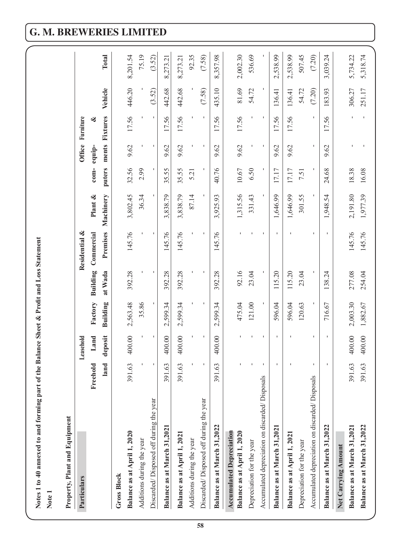| Notes 1 to 40 annexed to and forming part of the Balance Sheet & Profit and Loss Statement<br>Note 1 |            |                  |                 |                  |                  |                      |                |        |                |                  |                      |
|------------------------------------------------------------------------------------------------------|------------|------------------|-----------------|------------------|------------------|----------------------|----------------|--------|----------------|------------------|----------------------|
| Property, Plant and Equipment<br>Particulars                                                         |            | Leasehold        |                 |                  | Residential &    |                      |                | Office | Furniture      |                  |                      |
|                                                                                                      | Freehold   | Land             | Factory         | Building         | Commercial       | Plant &              | $com-$         | equip- | ∛              |                  |                      |
|                                                                                                      | land       | deposit          | <b>Building</b> | at Wada          | Premises         | Machinery            | puters         |        | ments Fixtures | Vehicle          | Total                |
| <b>Gross Block</b>                                                                                   |            |                  |                 |                  |                  |                      |                |        |                |                  |                      |
| Balance as at April 1, 2020                                                                          | 63<br>391  | 400.00           | 2,563.48        | 392.28           | 145.76           | 3,802.45             | 32.56          | 9.62   | 17.56          | 446.20           | 8,201.54             |
| Additions during the year                                                                            |            |                  | 35.86           |                  |                  | 36.34                | 2.99           |        |                |                  | 75.19                |
| Discarded/Disposed off during the year                                                               |            |                  |                 |                  |                  |                      |                |        |                | (3.52)           | (3.52)               |
| Balance as at March 31,2021                                                                          | 63<br>391  | 400.00           | 2,599.34        | 392.28           | 145.76           | 3,838.79             | 35.55          | 9.62   | 17.56          | 442.68           | 8,273.21             |
| Balance as at April 1, 2021                                                                          | 63<br>391  | 400.00           | 2,599.34        | 392.28           | 145.76           | 3,838.79             | 35.55          | 9.62   | 17.56          | 442.68           | 8,273.21             |
| Additions during the year                                                                            |            |                  |                 |                  |                  | 87.14                | 5.21           |        |                |                  | 92.35                |
| Discarded/Disposed off during the year                                                               |            |                  |                 |                  |                  |                      |                |        | $\mathbf{I}$   | (7.58)           | (7.58)               |
| Balance as at March 31,2022                                                                          | 63<br>391  | 400.00           | 2,599.34        | 392.28           | 145.76           | 3,925.93             | 40.76          | 9.62   | 17.56          | 435.10           | 8,357.98             |
| <b>Accumulated Depreciation</b><br>Balance as at April 1, 2020                                       |            |                  | 475.04          | 92.16            |                  | 1,315.56             | 10.67          | 9.62   | 17.56          | 81.69            | 2,002.30             |
| Depreciation for the year                                                                            |            |                  | 121.00          | 23.04            |                  | 331.43               | 6.50           |        |                | 54.72            | 536.69               |
| Accumulated depreciation on discarded/Disposals                                                      |            |                  |                 |                  |                  |                      |                |        |                |                  |                      |
| Balance as at March 31,2021                                                                          |            | $\blacksquare$   | 596.04          | 115.20           |                  | 1,646.99             | 17.17          | 9.62   | 17.56          | 136.41           | 2,538.99             |
| Balance as at April 1, 2021                                                                          |            |                  | 596.04          | 115.20           |                  | 1,646.99             | 17.17          | 9.62   | 17.56          | 136.41           | 2,538.99             |
| Depreciation for the year                                                                            |            |                  | 120.63          | 23.04            |                  | 301.55               | 7.51           |        |                | 54.72            | 507.45               |
| Accumulated depreciation on discarded/Disposals                                                      |            |                  |                 |                  |                  |                      |                |        |                | (7.20)           | (7.20)               |
| Balance as at March 31,2022                                                                          |            |                  | 716.67          | 138.24           |                  | 1,948.54             | 24.68          | 9.62   | 17.56          | 183.93           | 3,039.24             |
| Net Carrying Amount                                                                                  | 63<br>391. |                  | 2,003.30        |                  |                  |                      |                |        |                |                  |                      |
| Balance as at March 31,2022<br>Balance as at March 31,2021                                           | 63<br>391  | 400.00<br>400.00 | 1,882.67        | 277.08<br>254.04 | 145.76<br>145.76 | 2,191.80<br>1,977.39 | 16.08<br>18.38 |        | I,             | 306.27<br>251.17 | 5,318.74<br>5,734.22 |
|                                                                                                      |            |                  |                 |                  |                  |                      |                |        |                |                  |                      |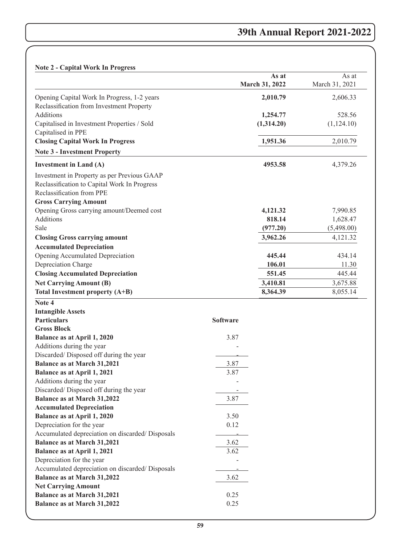# **Note 2 - Capital Work In Progress**

| $\alpha$                                                                                 |                         |                         |
|------------------------------------------------------------------------------------------|-------------------------|-------------------------|
|                                                                                          | As at<br>March 31, 2022 | As at<br>March 31, 2021 |
| Opening Capital Work In Progress, 1-2 years<br>Reclassification from Investment Property | 2,010.79                | 2,606.33                |
| <b>Additions</b>                                                                         | 1,254.77                | 528.56                  |
| Capitalised in Investment Properties / Sold                                              | (1,314.20)              | (1,124.10)              |
| Capitalised in PPE                                                                       |                         |                         |
| <b>Closing Capital Work In Progress</b>                                                  | 1,951.36                | 2,010.79                |
| <b>Note 3 - Investment Property</b>                                                      |                         |                         |
| <b>Investment in Land (A)</b>                                                            | 4953.58                 | 4,379.26                |
| Investment in Property as per Previous GAAP                                              |                         |                         |
| Reclassification to Capital Work In Progress                                             |                         |                         |
| Reclassification from PPE                                                                |                         |                         |
| <b>Gross Carrying Amount</b>                                                             |                         |                         |
| Opening Gross carrying amount/Deemed cost                                                | 4,121.32                | 7,990.85                |
| Additions                                                                                | 818.14                  | 1,628.47                |
| Sale                                                                                     | (977.20)                | (5,498.00)              |
| <b>Closing Gross carrying amount</b>                                                     | 3,962.26                | 4,121.32                |
| <b>Accumulated Depreciation</b>                                                          |                         |                         |
| Opening Accumulated Depreciation                                                         | 445.44                  | 434.14                  |
| Depreciation Charge                                                                      | 106.01                  | 11.30                   |
| <b>Closing Accumulated Depreciation</b>                                                  | 551.45                  | 445.44                  |
| <b>Net Carrying Amount (B)</b>                                                           | 3,410.81                | 3,675.88                |
| Total Investment property (A+B)                                                          | 8,364.39                | 8,055.14                |
| Note 4                                                                                   |                         |                         |
| <b>Intangible Assets</b>                                                                 |                         |                         |
| <b>Particulars</b>                                                                       | <b>Software</b>         |                         |
| <b>Gross Block</b>                                                                       |                         |                         |
| Balance as at April 1, 2020                                                              | 3.87                    |                         |
| Additions during the year                                                                |                         |                         |
| Discarded/Disposed off during the year                                                   |                         |                         |
| <b>Balance as at March 31,2021</b>                                                       | 3.87                    |                         |
| Balance as at April 1, 2021                                                              | 3.87                    |                         |
| Additions during the year                                                                |                         |                         |
| Discarded/Disposed off during the year                                                   | -                       |                         |
| Balance as at March 31,2022                                                              | 3.87                    |                         |
| <b>Accumulated Depreciation</b>                                                          |                         |                         |
| Balance as at April 1, 2020                                                              | 3.50                    |                         |
| Depreciation for the year                                                                | 0.12                    |                         |
| Accumulated depreciation on discarded/ Disposals                                         |                         |                         |
| Balance as at March 31,2021                                                              | 3.62                    |                         |
| Balance as at April 1, 2021                                                              | 3.62                    |                         |
| Depreciation for the year                                                                |                         |                         |
| Accumulated depreciation on discarded/ Disposals                                         |                         |                         |
| Balance as at March 31,2022                                                              | 3.62                    |                         |
| <b>Net Carrying Amount</b>                                                               |                         |                         |
| <b>Balance as at March 31,2021</b>                                                       | 0.25                    |                         |
| Balance as at March 31,2022                                                              | 0.25                    |                         |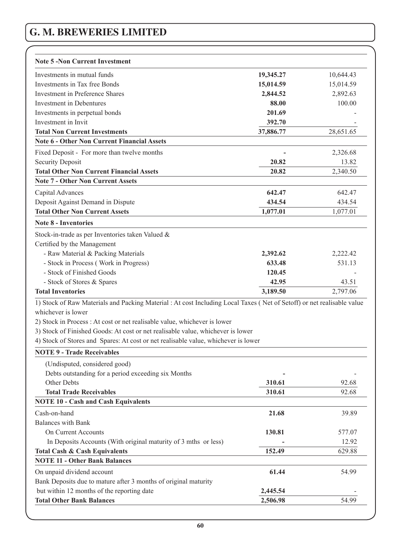| <b>Note 5 -Non Current Investment</b>                                                                                  |           |           |
|------------------------------------------------------------------------------------------------------------------------|-----------|-----------|
| Investments in mutual funds                                                                                            | 19,345.27 | 10,644.43 |
| Investments in Tax free Bonds                                                                                          | 15,014.59 | 15,014.59 |
| <b>Investment in Preference Shares</b>                                                                                 | 2,844.52  | 2,892.63  |
| <b>Investment in Debentures</b>                                                                                        | 88.00     | 100.00    |
| Investments in perpetual bonds                                                                                         | 201.69    |           |
| Investment in Invit                                                                                                    | 392.70    |           |
| <b>Total Non Current Investments</b>                                                                                   | 37,886.77 | 28,651.65 |
| <b>Note 6 - Other Non Current Financial Assets</b>                                                                     |           |           |
| Fixed Deposit - For more than twelve months                                                                            |           | 2,326.68  |
| <b>Security Deposit</b>                                                                                                | 20.82     | 13.82     |
| <b>Total Other Non Current Financial Assets</b>                                                                        | 20.82     | 2,340.50  |
| <b>Note 7 - Other Non Current Assets</b>                                                                               |           |           |
| Capital Advances                                                                                                       | 642.47    | 642.47    |
| Deposit Against Demand in Dispute                                                                                      | 434.54    | 434.54    |
| <b>Total Other Non Current Assets</b>                                                                                  | 1,077.01  | 1,077.01  |
| <b>Note 8 - Inventories</b>                                                                                            |           |           |
| Stock-in-trade as per Inventories taken Valued &                                                                       |           |           |
| Certified by the Management                                                                                            |           |           |
| - Raw Material & Packing Materials                                                                                     | 2,392.62  | 2,222.42  |
| - Stock in Process (Work in Progress)                                                                                  | 633.48    | 531.13    |
| - Stock of Finished Goods                                                                                              | 120.45    |           |
| - Stock of Stores & Spares                                                                                             | 42.95     | 43.51     |
| <b>Total Inventories</b>                                                                                               | 3,189.50  | 2,797.06  |
| 1) Stock of Raw Materials and Packing Material : At cost Including Local Taxes (Net of Setoff) or net realisable value |           |           |
| whichever is lower                                                                                                     |           |           |
| 2) Stock in Process : At cost or net realisable value, whichever is lower                                              |           |           |
| 3) Stock of Finished Goods: At cost or net realisable value, whichever is lower                                        |           |           |
| 4) Stock of Stores and Spares: At cost or net realisable value, whichever is lower                                     |           |           |
| <b>NOTE 9 - Trade Receivables</b>                                                                                      |           |           |
| (Undisputed, considered good)                                                                                          |           |           |
| Debts outstanding for a period exceeding six Months                                                                    |           |           |
| Other Debts                                                                                                            | 310.61    | 92.68     |
| <b>Total Trade Receivables</b>                                                                                         | 310.61    | 92.68     |
| <b>NOTE 10 - Cash and Cash Equivalents</b>                                                                             |           |           |
| Cash-on-hand                                                                                                           | 21.68     | 39.89     |
| <b>Balances with Bank</b>                                                                                              |           |           |
| On Current Accounts                                                                                                    | 130.81    | 577.07    |
| In Deposits Accounts (With original maturity of 3 mths or less)                                                        |           | 12.92     |
| <b>Total Cash &amp; Cash Equivalents</b>                                                                               | 152.49    | 629.88    |
| <b>NOTE 11 - Other Bank Balances</b>                                                                                   |           |           |
| On unpaid dividend account                                                                                             | 61.44     | 54.99     |
| Bank Deposits due to mature after 3 months of original maturity                                                        |           |           |
| but within 12 months of the reporting date                                                                             | 2,445.54  |           |
| <b>Total Other Bank Balances</b>                                                                                       | 2,506.98  | 54.99     |
|                                                                                                                        |           |           |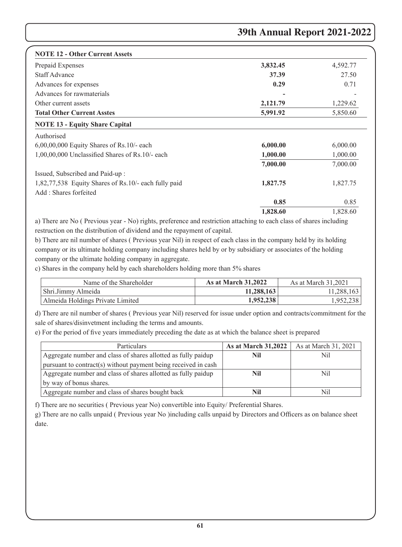| <b>NOTE 12 - Other Current Assets</b>                |          |          |
|------------------------------------------------------|----------|----------|
| Prepaid Expenses                                     | 3,832.45 | 4,592.77 |
| <b>Staff Advance</b>                                 | 37.39    | 27.50    |
| Advances for expenses                                | 0.29     | 0.71     |
| Advances for rawmaterials                            |          |          |
| Other current assets                                 | 2,121.79 | 1,229.62 |
| <b>Total Other Current Asstes</b>                    | 5,991.92 | 5,850.60 |
| <b>NOTE 13 - Equity Share Capital</b>                |          |          |
| Authorised                                           |          |          |
| $6,00,00,000$ Equity Shares of Rs.10/- each          | 6,000.00 | 6,000.00 |
| 1,00,00,000 Unclassified Shares of Rs.10/- each      | 1,000.00 | 1,000.00 |
|                                                      | 7,000.00 | 7,000.00 |
| Issued, Subscribed and Paid-up:                      |          |          |
| 1,82,77,538 Equity Shares of Rs.10/- each fully paid | 1,827.75 | 1,827.75 |
| Add: Shares forfeited                                |          |          |
|                                                      | 0.85     | 0.85     |
|                                                      | 1,828.60 | 1,828.60 |

a) There are No ( Previous year - No) rights, preference and restriction attaching to each class of shares including restruction on the distribution of dividend and the repayment of capital.

b) There are nil number of shares ( Previous year Nil) in respect of each class in the company held by its holding company or its ultimate holding company including shares held by or by subsidiary or associates of the holding company or the ultimate holding company in aggregate.

c) Shares in the company held by each shareholders holding more than 5% shares

| Name of the Shareholder          | <b>As at March 31,2022</b> | As at March 31.2021 |
|----------------------------------|----------------------------|---------------------|
| Shri.Jimmy Almeida               | 11,288,163                 | 11,288,163          |
| Almeida Holdings Private Limited | 1,952,238                  | 1,952,238           |

d) There are nil number of shares ( Previous year Nil) reserved for issue under option and contracts/commitment for the sale of shares/disinvetment including the terms and amounts.

e) For the period of five years immediately preceding the date as at which the balance sheet is prepared

| Particulars                                                    | <b>As at March 31,2022</b> | As at March 31, 2021 |
|----------------------------------------------------------------|----------------------------|----------------------|
| Aggregate number and class of shares allotted as fully paidup  | Nil                        | Nil                  |
| pursuant to contract(s) without payment being received in cash |                            |                      |
| Aggregate number and class of shares allotted as fully paidup  | Nil                        | Nil                  |
| by way of bonus shares.                                        |                            |                      |
| Aggregate number and class of shares bought back               | Nil                        | Nil                  |

f) There are no securities ( Previous year No) convertible into Equity/ Preferential Shares.

g) There are no calls unpaid ( Previous year No )including calls unpaid by Directors and Officers as on balance sheet date.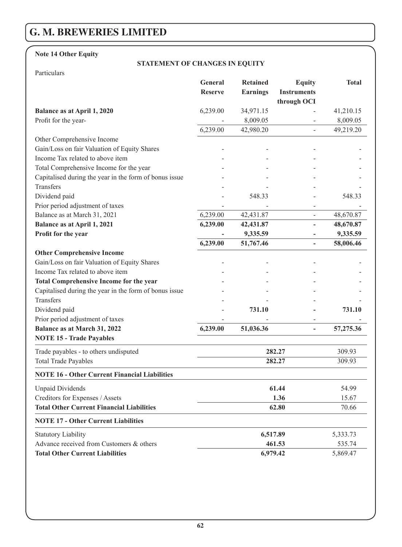# **Note 14 Other Equity**

# **STATEMENT OF CHANGES IN EQUITY**

Particulars

|                                                        | General<br><b>Reserve</b> | <b>Retained</b><br><b>Earnings</b> | <b>Equity</b><br><b>Instruments</b> | <b>Total</b> |
|--------------------------------------------------------|---------------------------|------------------------------------|-------------------------------------|--------------|
| Balance as at April 1, 2020                            | 6,239.00                  | 34,971.15                          | through OCI                         | 41,210.15    |
| Profit for the year-                                   |                           | 8,009.05                           | ÷,                                  | 8,009.05     |
|                                                        | 6,239.00                  | 42,980.20                          | $\overline{a}$                      | 49,219.20    |
| Other Comprehensive Income                             |                           |                                    |                                     |              |
| Gain/Loss on fair Valuation of Equity Shares           |                           |                                    |                                     |              |
| Income Tax related to above item                       |                           |                                    |                                     |              |
| Total Comprehensive Income for the year                |                           |                                    |                                     |              |
| Capitalised during the year in the form of bonus issue |                           |                                    |                                     |              |
| Transfers                                              |                           |                                    |                                     |              |
| Dividend paid                                          |                           | 548.33                             |                                     | 548.33       |
| Prior period adjustment of taxes                       |                           |                                    |                                     |              |
| Balance as at March 31, 2021                           | 6,239.00                  | 42,431.87                          | ÷,                                  | 48,670.87    |
| Balance as at April 1, 2021                            | 6,239.00                  | 42,431.87                          | L.                                  | 48,670.87    |
| Profit for the year                                    |                           | 9,335.59                           |                                     | 9,335.59     |
|                                                        | 6,239.00                  | 51,767.46                          | L,                                  | 58,006.46    |
| <b>Other Comprehensive Income</b>                      |                           |                                    |                                     |              |
| Gain/Loss on fair Valuation of Equity Shares           |                           |                                    |                                     |              |
| Income Tax related to above item                       |                           |                                    |                                     |              |
| <b>Total Comprehensive Income for the year</b>         |                           |                                    |                                     |              |
| Capitalised during the year in the form of bonus issue |                           |                                    |                                     |              |
| Transfers                                              |                           |                                    |                                     |              |
| Dividend paid                                          |                           | 731.10                             |                                     | 731.10       |
| Prior period adjustment of taxes                       |                           |                                    | $\overline{a}$                      |              |
| Balance as at March 31, 2022                           | 6,239.00                  | 51,036.36                          | L,                                  | 57,275.36    |
| <b>NOTE 15 - Trade Payables</b>                        |                           |                                    |                                     |              |
| Trade payables - to others undisputed                  |                           |                                    | 282.27                              | 309.93       |
| <b>Total Trade Payables</b>                            |                           |                                    | 282.27                              | 309.93       |
| <b>NOTE 16 - Other Current Financial Liabilities</b>   |                           |                                    |                                     |              |
| <b>Unpaid Dividends</b>                                |                           |                                    | 61.44                               | 54.99        |
| Creditors for Expenses / Assets                        |                           |                                    | 1.36                                | 15.67        |
| <b>Total Other Current Financial Liabilities</b>       |                           |                                    | 62.80                               | 70.66        |
| <b>NOTE 17 - Other Current Liabilities</b>             |                           |                                    |                                     |              |
| <b>Statutory Liability</b>                             |                           | 6,517.89                           |                                     | 5,333.73     |
| Advance received from Customers & others               |                           |                                    | 461.53                              | 535.74       |
| <b>Total Other Current Liabilities</b>                 |                           | 6,979.42                           |                                     | 5,869.47     |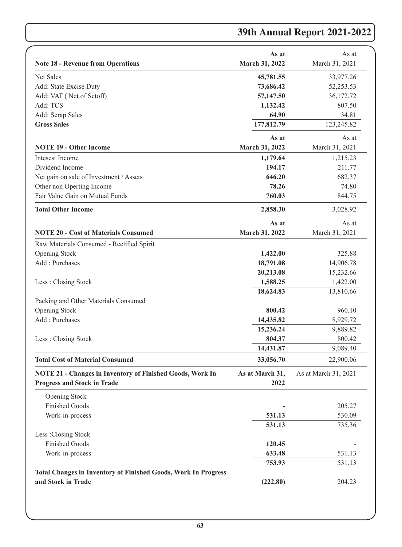|                                                                                                 | As at                   | As at                |
|-------------------------------------------------------------------------------------------------|-------------------------|----------------------|
| <b>Note 18 - Revenue from Operations</b>                                                        | March 31, 2022          | March 31, 2021       |
| <b>Net Sales</b>                                                                                | 45,781.55               | 33,977.26            |
| Add: State Excise Duty                                                                          | 73,686.42               | 52,253.53            |
| Add: VAT (Net of Setoff)                                                                        | 57,147.50               | 36,172.72            |
| Add: TCS                                                                                        | 1,132.42                | 807.50               |
| Add: Scrap Sales                                                                                | 64.90                   | 34.81                |
| <b>Gross Sales</b>                                                                              | 177,812.79              | 123,245.82           |
|                                                                                                 | As at                   | As at                |
| <b>NOTE 19 - Other Income</b>                                                                   | March 31, 2022          | March 31, 2021       |
| Intesest Income                                                                                 | 1,179.64                | 1,215.23             |
| Dividend Income                                                                                 | 194.17                  | 211.77               |
| Net gain on sale of Investment / Assets                                                         | 646.20                  | 682.37               |
| Other non Operting Income                                                                       | 78.26                   | 74.80                |
| Fair Value Gain on Mutual Funds                                                                 | 760.03                  | 844.75               |
| <b>Total Other Income</b>                                                                       | 2,858.30                | 3,028.92             |
|                                                                                                 | As at                   | As at                |
| <b>NOTE 20 - Cost of Materials Consumed</b>                                                     | March 31, 2022          | March 31, 2021       |
| Raw Materials Consumed - Rectified Spirit                                                       |                         |                      |
| <b>Opening Stock</b>                                                                            | 1,422.00                | 325.88               |
| Add: Purchases                                                                                  | 18,791.08               | 14,906.78            |
|                                                                                                 | 20,213.08               | 15,232.66            |
| Less: Closing Stock                                                                             | 1,588.25                | 1,422.00             |
|                                                                                                 | 18,624.83               | 13,810.66            |
| Packing and Other Materials Consumed                                                            |                         |                      |
| Opening Stock                                                                                   | 800.42                  | 960.10               |
| Add: Purchases                                                                                  | 14,435.82               | 8,929.72             |
|                                                                                                 | 15,236.24               | 9,889.82             |
| Less: Closing Stock                                                                             | 804.37                  | 800.42               |
|                                                                                                 | 14,431.87               | 9,089.40             |
| <b>Total Cost of Material Consumed</b>                                                          | 33,056.70               | 22,900.06            |
|                                                                                                 |                         |                      |
| NOTE 21 - Changes in Inventory of Finished Goods, Work In<br><b>Progress and Stock in Trade</b> | As at March 31,<br>2022 | As at March 31, 2021 |
|                                                                                                 |                         |                      |
| Opening Stock                                                                                   |                         |                      |
| <b>Finished Goods</b>                                                                           |                         | 205.27               |
| Work-in-process                                                                                 | 531.13                  | 530.09               |
|                                                                                                 | 531.13                  | 735.36               |
| Less: Closing Stock                                                                             |                         |                      |
| <b>Finished Goods</b>                                                                           | 120.45                  |                      |
| Work-in-process                                                                                 | 633.48                  | 531.13               |
|                                                                                                 | 753.93                  | 531.13               |
| <b>Total Changes in Inventory of Finished Goods, Work In Progress</b>                           |                         |                      |
| and Stock in Trade                                                                              | (222.80)                | 204.23               |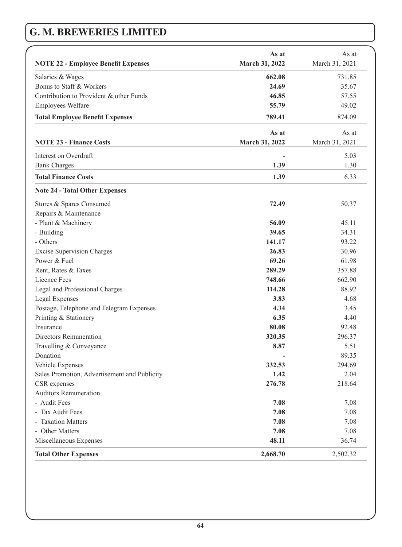|                                              | As at          | As at          |
|----------------------------------------------|----------------|----------------|
| <b>NOTE 22 - Employee Benefit Expenses</b>   | March 31, 2022 | March 31, 2021 |
| Salaries & Wages                             | 662.08         | 731.85         |
| Bonus to Staff & Workers                     | 24.69          | 35.67          |
| Contribution to Provident & other Funds      | 46.85          | 57.55          |
| Employees Welfare                            | 55.79          | 49.02          |
| <b>Total Employee Benefit Expenses</b>       | 789.41         | 874.09         |
|                                              | As at          | As at          |
| <b>NOTE 23 - Finance Costs</b>               | March 31, 2022 | March 31, 2021 |
| Interest on Overdraft                        |                | 5.03           |
| <b>Bank Charges</b>                          | 1.39           | 1.30           |
| <b>Total Finance Costs</b>                   | 1.39           | 6.33           |
| <b>Note 24 - Total Other Expenses</b>        |                |                |
| Stores & Spares Consumed                     | 72.49          | 50.37          |
| Repairs & Maintenance                        |                |                |
| - Plant & Machinery                          | 56.09          | 45.11          |
| - Building                                   | 39.65          | 34.31          |
| - Others                                     | 141.17         | 93.22          |
| <b>Excise Supervision Charges</b>            | 26.83          | 30.96          |
| Power & Fuel                                 | 69.26          | 61.98          |
| Rent, Rates & Taxes                          | 289.29         | 357.88         |
| Licence Fees                                 | 748.66         | 662.90         |
| Legal and Professional Charges               | 114.28         | 88.92          |
| Legal Expenses                               | 3.83           | 4.68           |
| Postage, Telephone and Telegram Expenses     | 4.34           | 3.45           |
| Printing & Stationery                        | 6.35           | 4.40           |
| Insurance                                    | 80.08          | 92.48          |
| Directors Remuneration                       | 320.35         | 296.37         |
| Travelling & Conveyance                      | 8.87           | 5.51           |
| Donation                                     |                | 89.35          |
| Vehicle Expenses                             | 332.53         | 294.69         |
| Sales Promotion, Advertisement and Publicity | 1.42           | 2.04           |
| CSR expenses                                 | 276.78         | 218.64         |
| Auditors Remuneration                        |                |                |
| - Audit Fees                                 | 7.08           | 7.08           |
| - Tax Audit Fees                             | 7.08           | 7.08           |
| - Taxation Matters                           | 7.08           | 7.08           |
| - Other Matters                              | 7.08           | 7.08           |
| Miscellaneous Expenses                       | 48.11          | 36.74          |
| <b>Total Other Expenses</b>                  | 2,668.70       | 2,502.32       |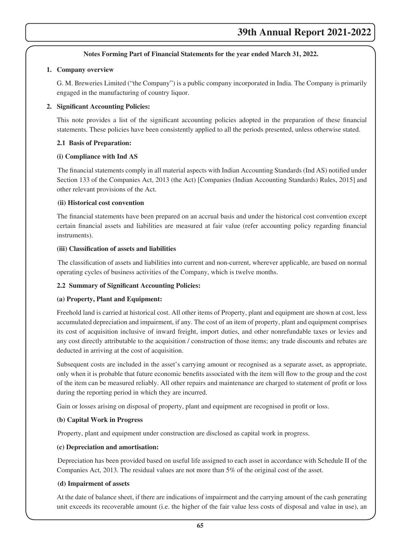### **Notes Forming Part of Financial Statements for the year ended March 31, 2022.**

### **1. Company overview**

 G. M. Breweries Limited ("the Company") is a public company incorporated in India. The Company is primarily engaged in the manufacturing of country liquor.

### **2. Significant Accounting Policies:**

This note provides a list of the significant accounting policies adopted in the preparation of these financial statements. These policies have been consistently applied to all the periods presented, unless otherwise stated.

### **2.1 Basis of Preparation:**

### **(i) Compliance with Ind AS**

The financial statements comply in all material aspects with Indian Accounting Standards (Ind AS) notified under Section 133 of the Companies Act, 2013 (the Act) [Companies (Indian Accounting Standards) Rules, 2015] and other relevant provisions of the Act.

### **(ii) Historical cost convention**

The financial statements have been prepared on an accrual basis and under the historical cost convention except certain financial assets and liabilities are measured at fair value (refer accounting policy regarding financial instruments).

### **(iii) Classification of assets and liabilities**

The classification of assets and liabilities into current and non-current, wherever applicable, are based on normal operating cycles of business activities of the Company, which is twelve months.

## **2.2 Summary of Significant Accounting Policies:**

## **(a) Property, Plant and Equipment:**

Freehold land is carried at historical cost. All other items of Property, plant and equipment are shown at cost, less accumulated depreciation and impairment, if any. The cost of an item of property, plant and equipment comprises its cost of acquisition inclusive of inward freight, import duties, and other nonrefundable taxes or levies and any cost directly attributable to the acquisition / construction of those items; any trade discounts and rebates are deducted in arriving at the cost of acquisition.

Subsequent costs are included in the asset's carrying amount or recognised as a separate asset, as appropriate, only when it is probable that future economic benefits associated with the item will flow to the group and the cost of the item can be measured reliably. All other repairs and maintenance are charged to statement of profit or loss during the reporting period in which they are incurred.

Gain or losses arising on disposal of property, plant and equipment are recognised in profit or loss.

## **(b) Capital Work in Progress**

Property, plant and equipment under construction are disclosed as capital work in progress.

### **(c) Depreciation and amortisation:**

 Depreciation has been provided based on useful life assigned to each asset in accordance with Schedule II of the Companies Act, 2013. The residual values are not more than 5% of the original cost of the asset.

## **(d) Impairment of assets**

 At the date of balance sheet, if there are indications of impairment and the carrying amount of the cash generating unit exceeds its recoverable amount (i.e. the higher of the fair value less costs of disposal and value in use), an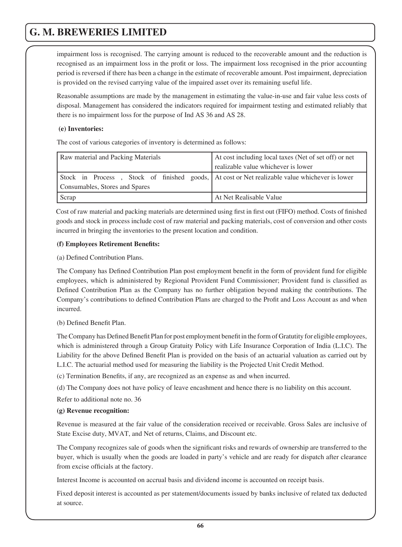impairment loss is recognised. The carrying amount is reduced to the recoverable amount and the reduction is recognised as an impairment loss in the profit or loss. The impairment loss recognised in the prior accounting period is reversed if there has been a change in the estimate of recoverable amount. Post impairment, depreciation is provided on the revised carrying value of the impaired asset over its remaining useful life.

 Reasonable assumptions are made by the management in estimating the value-in-use and fair value less costs of disposal. Management has considered the indicators required for impairment testing and estimated reliably that there is no impairment loss for the purpose of Ind AS 36 and AS 28.

### **(e) Inventories:**

The cost of various categories of inventory is determined as follows:

| Raw material and Packing Materials                                                            | At cost including local taxes (Net of set off) or net |
|-----------------------------------------------------------------------------------------------|-------------------------------------------------------|
|                                                                                               | realizable value whichever is lower                   |
| Stock in Process, Stock of finished goods, At cost or Net realizable value whichever is lower |                                                       |
| Consumables, Stores and Spares                                                                |                                                       |
| Scrap                                                                                         | At Net Realisable Value                               |

Cost of raw material and packing materials are determined using first in first out (FIFO) method. Costs of finished goods and stock in process include cost of raw material and packing materials, cost of conversion and other costs incurred in bringing the inventories to the present location and condition.

## **(f) Employees Retirement Benefits:**

(a) Defined Contribution Plans.

 The Company has Defined Contribution Plan post employment benefit in the form of provident fund for eligible employees, which is administered by Regional Provident Fund Commissioner; Provident fund is classified as Defined Contribution Plan as the Company has no further obligation beyond making the contributions. The Company's contributions to defined Contribution Plans are charged to the Profit and Loss Account as and when incurred.

(b) Defined Benefit Plan.

The Company has Defined Benefit Plan for post employment benefit in the form of Gratutity for eligible employees, which is administered through a Group Gratuity Policy with Life Insurance Corporation of India (L.I.C). The Liability for the above Defined Benefit Plan is provided on the basis of an actuarial valuation as carried out by L.I.C. The actuarial method used for measuring the liability is the Projected Unit Credit Method.

(c) Termination Benefits, if any, are recognized as an expense as and when incurred.

(d) The Company does not have policy of leave encashment and hence there is no liability on this account.

Refer to additional note no. 36

## **(g) Revenue recognition:**

 Revenue is measured at the fair value of the consideration received or receivable. Gross Sales are inclusive of State Excise duty, MVAT, and Net of returns, Claims, and Discount etc.

The Company recognizes sale of goods when the significant risks and rewards of ownership are transferred to the buyer, which is usually when the goods are loaded in party's vehicle and are ready for dispatch after clearance from excise officials at the factory.

Interest Income is accounted on accrual basis and dividend income is accounted on receipt basis.

 Fixed deposit interest is accounted as per statement/documents issued by banks inclusive of related tax deducted at source.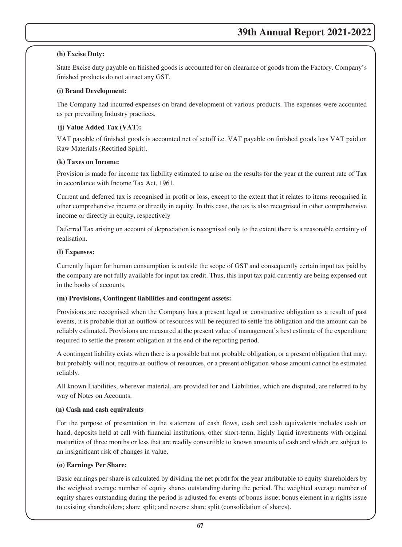## **(h) Excise Duty:**

State Excise duty payable on finished goods is accounted for on clearance of goods from the Factory. Company's finished products do not attract any GST.

## **(i) Brand Development:**

 The Company had incurred expenses on brand development of various products. The expenses were accounted as per prevailing Industry practices.

## **(j) Value Added Tax (VAT):**

VAT payable of finished goods is accounted net of setoff i.e. VAT payable on finished goods less VAT paid on Raw Materials (Rectified Spirit).

## **(k) Taxes on Income:**

 Provision is made for income tax liability estimated to arise on the results for the year at the current rate of Tax in accordance with Income Tax Act, 1961.

Current and deferred tax is recognised in profit or loss, except to the extent that it relates to items recognised in other comprehensive income or directly in equity. In this case, the tax is also recognised in other comprehensive income or directly in equity, respectively

 Deferred Tax arising on account of depreciation is recognised only to the extent there is a reasonable certainty of realisation.

### **(l) Expenses:**

Currently liquor for human consumption is outside the scope of GST and consequently certain input tax paid by the company are not fully available for input tax credit. Thus, this input tax paid currently are being expensed out in the books of accounts.

## **(m) Provisions, Contingent liabilities and contingent assets:**

 Provisions are recognised when the Company has a present legal or constructive obligation as a result of past events, it is probable that an outflow of resources will be required to settle the obligation and the amount can be reliably estimated. Provisions are measured at the present value of management's best estimate of the expenditure required to settle the present obligation at the end of the reporting period.

 A contingent liability exists when there is a possible but not probable obligation, or a present obligation that may, but probably will not, require an outflow of resources, or a present obligation whose amount cannot be estimated reliably.

 All known Liabilities, wherever material, are provided for and Liabilities, which are disputed, are referred to by way of Notes on Accounts.

## **(n) Cash and cash equivalents**

For the purpose of presentation in the statement of cash flows, cash and cash equivalents includes cash on hand, deposits held at call with financial institutions, other short-term, highly liquid investments with original maturities of three months or less that are readily convertible to known amounts of cash and which are subject to an insignificant risk of changes in value.

## **(o) Earnings Per Share:**

Basic earnings per share is calculated by dividing the net profit for the year attributable to equity shareholders by the weighted average number of equity shares outstanding during the period. The weighted average number of equity shares outstanding during the period is adjusted for events of bonus issue; bonus element in a rights issue to existing shareholders; share split; and reverse share split (consolidation of shares).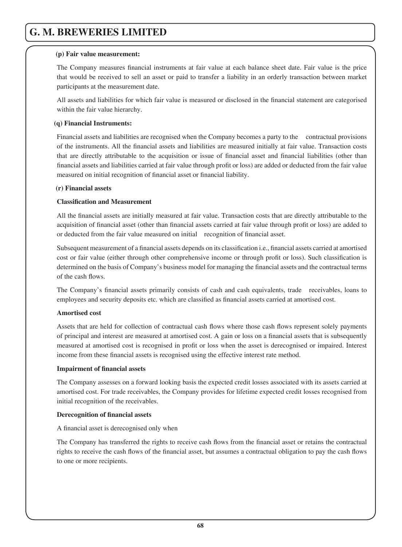### **(p) Fair value measurement:**

The Company measures financial instruments at fair value at each balance sheet date. Fair value is the price that would be received to sell an asset or paid to transfer a liability in an orderly transaction between market participants at the measurement date.

All assets and liabilities for which fair value is measured or disclosed in the financial statement are categorised within the fair value hierarchy.

### **(q) Financial Instruments:**

 Financial assets and liabilities are recognised when the Company becomes a party to the contractual provisions of the instruments. All the financial assets and liabilities are measured initially at fair value. Transaction costs that are directly attributable to the acquisition or issue of financial asset and financial liabilities (other than financial assets and liabilities carried at fair value through profit or loss) are added or deducted from the fair value measured on initial recognition of financial asset or financial liability.

### **(r) Financial assets**

## **Classification and Measurement**

All the financial assets are initially measured at fair value. Transaction costs that are directly attributable to the acquisition of financial asset (other than financial assets carried at fair value through profit or loss) are added to or deducted from the fair value measured on initial recognition of financial asset.

Subsequent measurement of a financial assets depends on its classification i.e., financial assets carried at amortised cost or fair value (either through other comprehensive income or through profit or loss). Such classification is determined on the basis of Company's business model for managing the financial assets and the contractual terms of the cash flows.

The Company's financial assets primarily consists of cash and cash equivalents, trade receivables, loans to employees and security deposits etc. which are classified as financial assets carried at amortised cost.

### **Amortised cost**

Assets that are held for collection of contractual cash flows where those cash flows represent solely payments of principal and interest are measured at amortised cost. A gain or loss on a financial assets that is subsequently measured at amortised cost is recognised in profit or loss when the asset is derecognised or impaired. Interest income from these financial assets is recognised using the effective interest rate method.

### **Impairment of financial assets**

 The Company assesses on a forward looking basis the expected credit losses associated with its assets carried at amortised cost. For trade receivables, the Company provides for lifetime expected credit losses recognised from initial recognition of the receivables.

### **Derecognition of financial assets**

A financial asset is derecognised only when

The Company has transferred the rights to receive cash flows from the financial asset or retains the contractual rights to receive the cash flows of the financial asset, but assumes a contractual obligation to pay the cash flows to one or more recipients.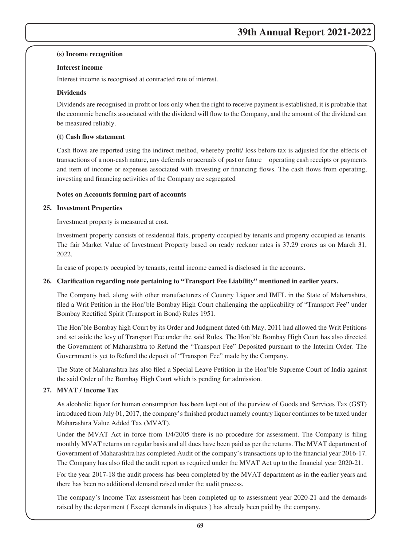#### **(s) Income recognition**

### **Interest income**

Interest income is recognised at contracted rate of interest.

### **Dividends**

Dividends are recognised in profit or loss only when the right to receive payment is established, it is probable that the economic benefits associated with the dividend will flow to the Company, and the amount of the dividend can be measured reliably.

#### **(t) Cash flow statement**

Cash flows are reported using the indirect method, whereby profit/ loss before tax is adjusted for the effects of transactions of a non-cash nature, any deferrals or accruals of past or future operating cash receipts or payments and item of income or expenses associated with investing or financing flows. The cash flows from operating, investing and financing activities of the Company are segregated

#### **Notes on Accounts forming part of accounts**

#### **25. Investment Properties**

Investment property is measured at cost.

Investment property consists of residential flats, property occupied by tenants and property occupied as tenants. The fair Market Value of Investment Property based on ready recknor rates is 37.29 crores as on March 31, 2022.

In case of property occupied by tenants, rental income earned is disclosed in the accounts.

### **26. Clarification regarding note pertaining to "Transport Fee Liability" mentioned in earlier years.**

The Company had, along with other manufacturers of Country Liquor and IMFL in the State of Maharashtra, filed a Writ Petition in the Hon'ble Bombay High Court challenging the applicability of "Transport Fee" under Bombay Rectified Spirit (Transport in Bond) Rules 1951.

The Hon'ble Bombay high Court by its Order and Judgment dated 6th May, 2011 had allowed the Writ Petitions and set aside the levy of Transport Fee under the said Rules. The Hon'ble Bombay High Court has also directed the Government of Maharashtra to Refund the "Transport Fee" Deposited pursuant to the Interim Order. The Government is yet to Refund the deposit of "Transport Fee" made by the Company.

The State of Maharashtra has also filed a Special Leave Petition in the Hon'ble Supreme Court of India against the said Order of the Bombay High Court which is pending for admission.

### **27. MVAT / Income Tax**

As alcoholic liquor for human consumption has been kept out of the purview of Goods and Services Tax (GST) introduced from July 01, 2017, the company's finished product namely country liquor continues to be taxed under Maharashtra Value Added Tax (MVAT).

Under the MVAT Act in force from  $1/4/2005$  there is no procedure for assessment. The Company is filing monthly MVAT returns on regular basis and all dues have been paid as per the returns. The MVAT department of Government of Maharashtra has completed Audit of the company's transactions up to the financial year 2016-17. The Company has also filed the audit report as required under the MVAT Act up to the financial year 2020-21.

 For the year 2017-18 the audit process has been completed by the MVAT department as in the earlier years and there has been no additional demand raised under the audit process.

 The company's Income Tax assessment has been completed up to assessment year 2020-21 and the demands raised by the department ( Except demands in disputes ) has already been paid by the company.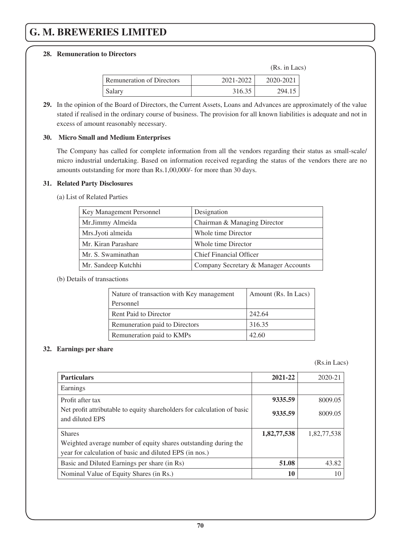### **28. Remuneration to Directors**

(Rs. in Lacs)

| Remuneration of Directors | 2021-2022 | 2020-2021 |
|---------------------------|-----------|-----------|
| Salary                    | 316.35    | 294.15    |

**29.** In the opinion of the Board of Directors, the Current Assets, Loans and Advances are approximately of the value stated if realised in the ordinary course of business. The provision for all known liabilities is adequate and not in excess of amount reasonably necessary.

### **30. Micro Small and Medium Enterprises**

 The Company has called for complete information from all the vendors regarding their status as small-scale/ micro industrial undertaking. Based on information received regarding the status of the vendors there are no amounts outstanding for more than Rs.1,00,000/- for more than 30 days.

### **31. Related Party Disclosures**

(a) List of Related Parties

| Key Management Personnel | Designation                          |
|--------------------------|--------------------------------------|
| Mr.Jimmy Almeida         | Chairman & Managing Director         |
| Mrs.Jyoti almeida        | Whole time Director                  |
| Mr. Kiran Parashare      | Whole time Director                  |
| Mr. S. Swaminathan       | <b>Chief Financial Officer</b>       |
| Mr. Sandeep Kutchhi      | Company Secretary & Manager Accounts |

### (b) Details of transactions

| Nature of transaction with Key management | Amount (Rs. In Lacs) |
|-------------------------------------------|----------------------|
| Personnel                                 |                      |
| Rent Paid to Director                     | 242.64               |
| Remuneration paid to Directors            | 316.35               |
| Remuneration paid to KMPs                 | 42.60                |

## **32. Earnings per share**

(Rs.in Lacs)

| <b>Particulars</b>                                                                         | 2021-22     | 2020-21     |
|--------------------------------------------------------------------------------------------|-------------|-------------|
| Earnings                                                                                   |             |             |
| Profit after tax                                                                           | 9335.59     | 8009.05     |
| Net profit attributable to equity shareholders for calculation of basic<br>and diluted EPS | 9335.59     | 8009.05     |
| <b>Shares</b>                                                                              | 1,82,77,538 | 1,82,77,538 |
| Weighted average number of equity shares outstanding during the                            |             |             |
| year for calculation of basic and diluted EPS (in nos.)                                    |             |             |
| Basic and Diluted Earnings per share (in Rs)                                               | 51.08       | 43.82       |
| Nominal Value of Equity Shares (in Rs.)                                                    | 10          |             |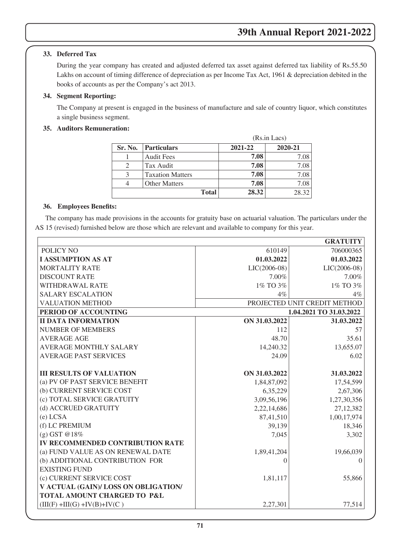# **33. Deferred Tax**

 During the year company has created and adjusted deferred tax asset against deferred tax liability of Rs.55.50 Lakhs on account of timing difference of depreciation as per Income Tax Act, 1961 & depreciation debited in the books of accounts as per the Company's act 2013.

## **34. Segment Reporting:**

The Company at present is engaged in the business of manufacture and sale of country liquor, which constitutes a single business segment.

# **35. Auditors Remuneration:**

|         |                         | (Rs.in Lacs) |         |
|---------|-------------------------|--------------|---------|
| Sr. No. | <b>Particulars</b>      | 2021-22      | 2020-21 |
|         | <b>Audit Fees</b>       | 7.08         | 7.08    |
| 2       | Tax Audit               | 7.08         | 7.08    |
| 3       | <b>Taxation Matters</b> | 7.08         | 7.08    |
|         | <b>Other Matters</b>    | 7.08         | 7.08    |
|         | <b>Total</b>            | 28.32        | 28.32   |

## **36. Employees Benefits:**

The company has made provisions in the accounts for gratuity base on actuarial valuation. The particulars under the AS 15 (revised) furnished below are those which are relevant and available to company for this year.

|                                      |                | <b>GRATUITY</b>              |
|--------------------------------------|----------------|------------------------------|
| POLICY NO                            | 610149         | 706000365                    |
| <b>I ASSUMPTION AS AT</b>            | 01.03.2022     | 01.03.2022                   |
| <b>MORTALITY RATE</b>                | $LIC(2006-08)$ | $LIC(2006-08)$               |
| <b>DISCOUNT RATE</b>                 | 7.00%          | 7.00%                        |
| WITHDRAWAL RATE                      | 1% TO 3%       | 1% TO 3%                     |
| <b>SALARY ESCALATION</b>             | $4\%$          | $4\%$                        |
| <b>VALUATION METHOD</b>              |                | PROJECTED UNIT CREDIT METHOD |
| PERIOD OF ACCOUNTING                 |                | 1.04.2021 TO 31.03.2022      |
| <b>II DATA INFORMATION</b>           | ON 31.03.2022  | 31.03.2022                   |
| <b>NUMBER OF MEMBERS</b>             | 112            | 57                           |
| <b>AVERAGE AGE</b>                   | 48.70          | 35.61                        |
| <b>AVERAGE MONTHLY SALARY</b>        | 14,240.32      | 13,655.07                    |
| <b>AVERAGE PAST SERVICES</b>         | 24.09          | 6.02                         |
|                                      |                |                              |
| <b>III RESULTS OF VALUATION</b>      | ON 31.03.2022  | 31.03.2022                   |
| (a) PV OF PAST SERVICE BENEFIT       | 1,84,87,092    | 17,54,599                    |
| (b) CURRENT SERVICE COST             | 6,35,229       | 2,67,306                     |
| (c) TOTAL SERVICE GRATUITY           | 3,09,56,196    | 1,27,30,356                  |
| (d) ACCRUED GRATUITY                 | 2,22,14,686    | 27, 12, 382                  |
| $(e)$ LCSA                           | 87,41,510      | 1,00,17,974                  |
| (f) LC PREMIUM                       | 39,139         | 18,346                       |
| $(g)$ GST @18%                       | 7.045          | 3,302                        |
| IV RECOMMENDED CONTRIBUTION RATE     |                |                              |
| (a) FUND VALUE AS ON RENEWAL DATE    | 1,89,41,204    | 19,66,039                    |
| (b) ADDITIONAL CONTRIBUTION FOR      | 0              | $\Omega$                     |
| <b>EXISTING FUND</b>                 |                |                              |
| (c) CURRENT SERVICE COST             | 1,81,117       | 55,866                       |
| V ACTUAL (GAIN)/ LOSS ON OBLIGATION/ |                |                              |
| TOTAL AMOUNT CHARGED TO P&L          |                |                              |
| $(III(F) + III(G) + IV(B) + IV(C))$  | 2,27,301       | 77,514                       |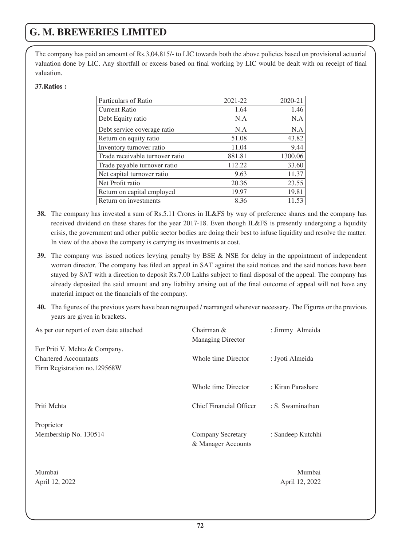The company has paid an amount of Rs.3,04,815/- to LIC towards both the above policies based on provisional actuarial valuation done by LIC. Any shortfall or excess based on final working by LIC would be dealt with on receipt of final valuation.

### **37.Ratios :**

| Particulars of Ratio            | 2021-22 | 2020-21 |
|---------------------------------|---------|---------|
| <b>Current Ratio</b>            | 1.64    | 1.46    |
| Debt Equity ratio               | N.A     | N.A     |
| Debt service coverage ratio     | N.A     | N.A     |
| Return on equity ratio          | 51.08   | 43.82   |
| Inventory turnover ratio        | 11.04   | 9.44    |
| Trade receivable turnover ratio | 881.81  | 1300.06 |
| Trade payable turnover ratio    | 112.22  | 33.60   |
| Net capital turnover ratio      | 9.63    | 11.37   |
| Net Profit ratio                | 20.36   | 23.55   |
| Return on capital employed      | 19.97   | 19.81   |
| Return on investments           | 8.36    | 11.53   |

- **38.** The company has invested a sum of Rs.5.11 Crores in IL&FS by way of preference shares and the company has received dividend on these shares for the year 2017-18. Even though IL&FS is presently undergoing a liquidity crisis, the government and other public sector bodies are doing their best to infuse liquidity and resolve the matter. In view of the above the company is carrying its investments at cost.
- **39.** The company was issued notices levying penalty by BSE & NSE for delay in the appointment of independent woman director. The company has filed an appeal in SAT against the said notices and the said notices have been stayed by SAT with a direction to deposit Rs.7.00 Lakhs subject to final disposal of the appeal. The company has already deposited the said amount and any liability arising out of the final outcome of appeal will not have any material impact on the financials of the company.
- **40.** The figures of the previous years have been regrouped / rearranged wherever necessary. The Figures or the previous years are given in brackets.

| As per our report of even date attached | Chairman $\&$                  | : Jimmy Almeida   |
|-----------------------------------------|--------------------------------|-------------------|
|                                         | <b>Managing Director</b>       |                   |
| For Priti V. Mehta & Company.           |                                |                   |
| <b>Chartered Accountants</b>            | Whole time Director            | : Jyoti Almeida   |
| Firm Registration no.129568W            |                                |                   |
|                                         | Whole time Director            | : Kiran Parashare |
| Priti Mehta                             | <b>Chief Financial Officer</b> | : S. Swaminathan  |
| Proprietor                              |                                |                   |
| Membership No. 130514                   | Company Secretary              | : Sandeep Kutchhi |
|                                         | & Manager Accounts             |                   |
|                                         |                                |                   |
| Mumbai                                  |                                | Mumbai            |
| April 12, 2022                          |                                | April 12, 2022    |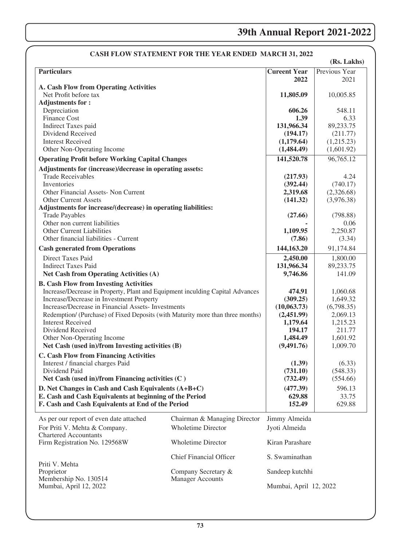## **39th Annual Report 2021-2022**

|                                                                                                                                       | CASH FLOW STATEMENT FOR THE YEAR ENDED MARCH 31, 2022 |                             | (Rs. Lakhs)              |
|---------------------------------------------------------------------------------------------------------------------------------------|-------------------------------------------------------|-----------------------------|--------------------------|
| <b>Particulars</b>                                                                                                                    |                                                       | <b>Cureent Year</b><br>2022 | Previous Year<br>2021    |
| A. Cash Flow from Operating Activities                                                                                                |                                                       |                             |                          |
| Net Profit before tax                                                                                                                 |                                                       | 11,805.09                   | 10,005.85                |
| <b>Adjustments for:</b>                                                                                                               |                                                       |                             |                          |
| Depreciation                                                                                                                          |                                                       | 606.26                      | 548.11                   |
| Finance Cost                                                                                                                          |                                                       | 1.39                        | 6.33                     |
| Indirect Taxes paid                                                                                                                   |                                                       | 131,966.34                  | 89,233.75                |
| Dividend Received                                                                                                                     |                                                       | (194.17)                    | (211.77)                 |
| <b>Interest Received</b>                                                                                                              |                                                       | (1,179.64)                  | (1,215.23)<br>(1,601.92) |
| Other Non-Operating Income                                                                                                            |                                                       | (1,484.49)                  |                          |
| <b>Operating Profit before Working Capital Changes</b>                                                                                |                                                       | 141,520.78                  | 96,765.12                |
| Adjustments for (increase)/decrease in operating assets:                                                                              |                                                       |                             |                          |
| <b>Trade Receivables</b>                                                                                                              |                                                       | (217.93)                    | 4.24                     |
| Inventories                                                                                                                           |                                                       | (392.44)                    | (740.17)                 |
| Other Financial Assets- Non Current                                                                                                   |                                                       | 2,319.68                    | (2,326.68)               |
| <b>Other Current Assets</b>                                                                                                           |                                                       | (141.32)                    | (3,976.38)               |
| Adjustments for increase/(decrease) in operating liabilities:<br><b>Trade Payables</b>                                                |                                                       | (27.66)                     | (798.88)                 |
| Other non current liabilities                                                                                                         |                                                       |                             | 0.06                     |
| Other Current Liabilities                                                                                                             |                                                       | 1,109.95                    | 2,250.87                 |
| Other financial liabilities - Current                                                                                                 |                                                       | (7.86)                      | (3.34)                   |
| <b>Cash generated from Operations</b>                                                                                                 |                                                       | 144,163.20                  | 91,174.84                |
|                                                                                                                                       |                                                       |                             |                          |
| Direct Taxes Paid                                                                                                                     |                                                       | 2,450.00                    | 1,800.00                 |
| <b>Indirect Taxes Paid</b>                                                                                                            |                                                       | 131,966.34                  | 89,233.75                |
| <b>Net Cash from Operating Activities (A)</b>                                                                                         |                                                       | 9,746.86                    | 141.09                   |
| <b>B. Cash Flow from Investing Activities</b>                                                                                         |                                                       |                             |                          |
| Increase/Decrease in Property, Plant and Equipment inculding Capital Advances                                                         |                                                       | 474.91                      | 1,060.68                 |
| Increase/Decrease in Investment Property                                                                                              |                                                       | (309.25)                    | 1,649.32                 |
| Increase/Decrease in Financial Assets- Investments<br>Redemption/ (Purchase) of Fixed Deposits (with Maturity more than three months) |                                                       | (10,063.73)<br>(2,451.99)   | (6,798.35)<br>2,069.13   |
| <b>Interest Received</b>                                                                                                              |                                                       | 1,179.64                    | 1,215.23                 |
| Dividend Received                                                                                                                     |                                                       | 194.17                      | 211.77                   |
| Other Non-Operating Income                                                                                                            |                                                       | 1,484.49                    | 1,601.92                 |
| Net Cash (used in)/from Investing activities (B)                                                                                      |                                                       | (9,491.76)                  | 1,009.70                 |
| <b>C. Cash Flow from Financing Activities</b>                                                                                         |                                                       |                             |                          |
| Interest / financial charges Paid                                                                                                     |                                                       | (1.39)                      | (6.33)                   |
| Dividend Paid                                                                                                                         |                                                       | (731.10)                    | (548.33)                 |
| Net Cash (used in)/from Financing activities $(C)$                                                                                    |                                                       | (732.49)                    | (554.66)                 |
| D. Net Changes in Cash and Cash Equivalents (A+B+C)                                                                                   |                                                       | (477.39)                    | 596.13                   |
| E. Cash and Cash Equivalents at beginning of the Period                                                                               |                                                       | 629.88                      | 33.75                    |
| F. Cash and Cash Equivalents at End of the Period                                                                                     |                                                       | 152.49                      | 629.88                   |
|                                                                                                                                       |                                                       |                             |                          |
| As per our report of even date attached                                                                                               | Chairman & Managing Director                          | Jimmy Almeida               |                          |
| For Priti V. Mehta & Company.                                                                                                         | <b>Wholetime Director</b>                             | Jyoti Almeida               |                          |
| <b>Chartered Accountants</b>                                                                                                          |                                                       |                             |                          |
| Firm Registration No. 129568W                                                                                                         | <b>Wholetime Director</b>                             | Kiran Parashare             |                          |
|                                                                                                                                       | <b>Chief Financial Officer</b>                        | S. Swaminathan              |                          |
| Priti V. Mehta                                                                                                                        |                                                       |                             |                          |
| Proprietor                                                                                                                            | Company Secretary &                                   | Sandeep kutchhi             |                          |
| Membership No. 130514                                                                                                                 | <b>Manager Accounts</b>                               |                             |                          |
| Mumbai, April 12, 2022                                                                                                                |                                                       | Mumbai, April 12, 2022      |                          |
|                                                                                                                                       |                                                       |                             |                          |